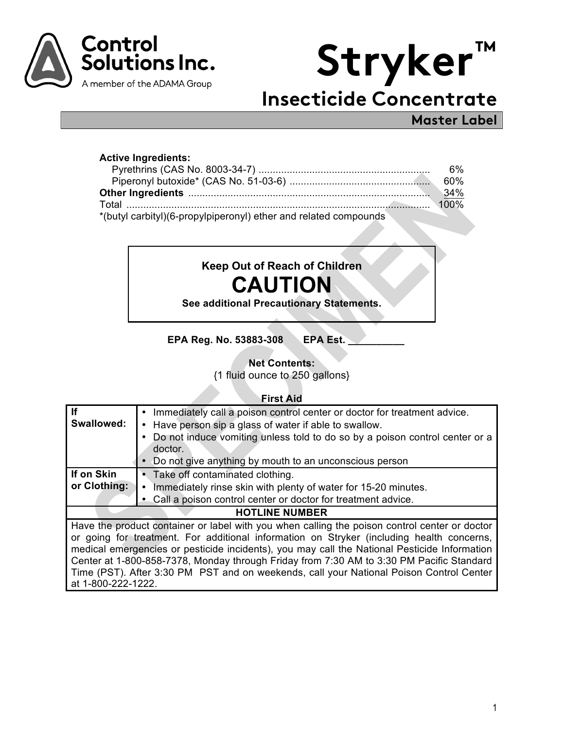



# **Master Label**

#### **Active Ingredients:**

|                                                                  | 6%      |
|------------------------------------------------------------------|---------|
|                                                                  | 60%     |
|                                                                  | 34%     |
|                                                                  | $100\%$ |
| *(butyl carbityl)(6-propylpiperonyl) ether and related compounds |         |

**Keep Out of Reach of Children CAUTION**

**See additional Precautionary Statements.**

**EPA Reg. No. 53883-308 EPA Est.** 

**Net Contents:** 

{1 fluid ounce to 250 gallons}

| <b>First Aid</b> |  |
|------------------|--|
|------------------|--|

| If                                                                                            | • Immediately call a poison control center or doctor for treatment advice.               |  |
|-----------------------------------------------------------------------------------------------|------------------------------------------------------------------------------------------|--|
| Swallowed:                                                                                    | Have person sip a glass of water if able to swallow.                                     |  |
|                                                                                               | Do not induce vomiting unless told to do so by a poison control center or a<br>$\bullet$ |  |
|                                                                                               | doctor.                                                                                  |  |
|                                                                                               | Do not give anything by mouth to an unconscious person                                   |  |
| If on Skin                                                                                    | Take off contaminated clothing.<br>$\bullet$                                             |  |
| or Clothing:                                                                                  | Immediately rinse skin with plenty of water for 15-20 minutes.                           |  |
|                                                                                               | • Call a poison control center or doctor for treatment advice.                           |  |
|                                                                                               | <b>HOTLINE NUMBER</b>                                                                    |  |
| Have the product container or label with you when calling the poison control center or doctor |                                                                                          |  |
| or going for treatment. For additional information on Stryker (including health concerns,     |                                                                                          |  |
| medical emergencies or pesticide incidents), you may call the National Pesticide Information  |                                                                                          |  |
| Center at 1-800-858-7378, Monday through Friday from 7:30 AM to 3:30 PM Pacific Standard      |                                                                                          |  |
| Time (PST). After 3:30 PM PST and on weekends, call your National Poison Control Center       |                                                                                          |  |
|                                                                                               |                                                                                          |  |
| at 1-800-222-1222.                                                                            |                                                                                          |  |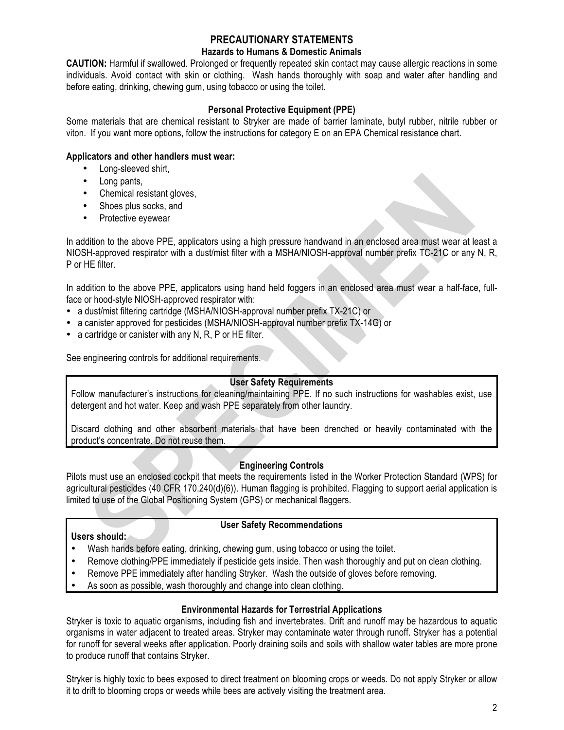#### **PRECAUTIONARY STATEMENTS**

#### **Hazards to Humans & Domestic Animals**

**CAUTION:** Harmful if swallowed. Prolonged or frequently repeated skin contact may cause allergic reactions in some individuals. Avoid contact with skin or clothing. Wash hands thoroughly with soap and water after handling and before eating, drinking, chewing gum, using tobacco or using the toilet.

#### **Personal Protective Equipment (PPE)**

Some materials that are chemical resistant to Stryker are made of barrier laminate, butyl rubber, nitrile rubber or viton. If you want more options, follow the instructions for category E on an EPA Chemical resistance chart.

#### **Applicators and other handlers must wear:**

- Long-sleeved shirt,
- Long pants,
- Chemical resistant gloves,
- Shoes plus socks, and
- Protective eyewear

In addition to the above PPE, applicators using a high pressure handwand in an enclosed area must wear at least a NIOSH-approved respirator with a dust/mist filter with a MSHA/NIOSH-approval number prefix TC-21C or any N, R, P or HE filter.

In addition to the above PPE, applicators using hand held foggers in an enclosed area must wear a half-face, fullface or hood-style NIOSH-approved respirator with:

- a dust/mist filtering cartridge (MSHA/NIOSH-approval number prefix TX-21C) or
- a canister approved for pesticides (MSHA/NIOSH-approval number prefix TX-14G) or
- a cartridge or canister with any N, R, P or HE filter.

See engineering controls for additional requirements.

#### **User Safety Requirements**

Follow manufacturer's instructions for cleaning/maintaining PPE. If no such instructions for washables exist, use detergent and hot water. Keep and wash PPE separately from other laundry.

Discard clothing and other absorbent materials that have been drenched or heavily contaminated with the product's concentrate. Do not reuse them.

#### **Engineering Controls**

Pilots must use an enclosed cockpit that meets the requirements listed in the Worker Protection Standard (WPS) for agricultural pesticides (40 CFR 170.240(d)(6)). Human flagging is prohibited. Flagging to support aerial application is limited to use of the Global Positioning System (GPS) or mechanical flaggers.

# **Users should:**

#### **User Safety Recommendations**

- Wash hands before eating, drinking, chewing gum, using tobacco or using the toilet.
- Remove clothing/PPE immediately if pesticide gets inside. Then wash thoroughly and put on clean clothing.
- Remove PPE immediately after handling Stryker. Wash the outside of gloves before removing.
- As soon as possible, wash thoroughly and change into clean clothing.

#### **Environmental Hazards for Terrestrial Applications**

Stryker is toxic to aquatic organisms, including fish and invertebrates. Drift and runoff may be hazardous to aquatic organisms in water adjacent to treated areas. Stryker may contaminate water through runoff. Stryker has a potential for runoff for several weeks after application. Poorly draining soils and soils with shallow water tables are more prone to produce runoff that contains Stryker.

Stryker is highly toxic to bees exposed to direct treatment on blooming crops or weeds. Do not apply Stryker or allow it to drift to blooming crops or weeds while bees are actively visiting the treatment area.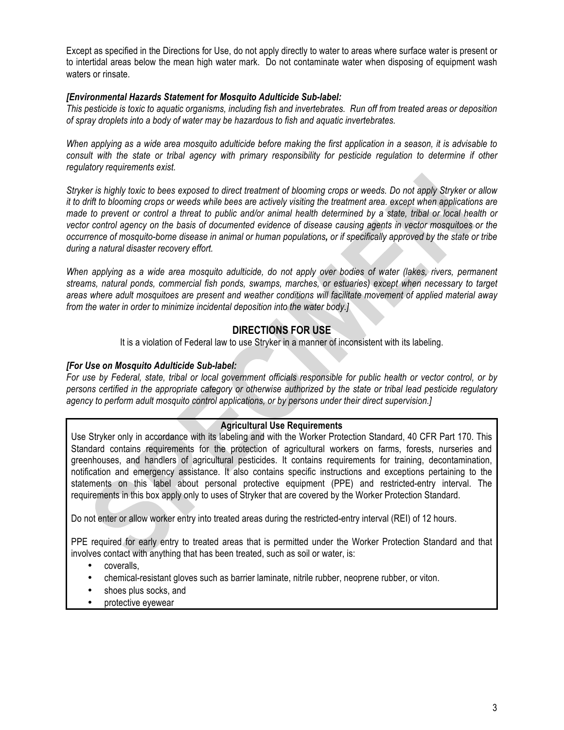Except as specified in the Directions for Use, do not apply directly to water to areas where surface water is present or to intertidal areas below the mean high water mark. Do not contaminate water when disposing of equipment wash waters or rinsate.

#### *[Environmental Hazards Statement for Mosquito Adulticide Sub-label:*

*This pesticide is toxic to aquatic organisms, including fish and invertebrates. Run off from treated areas or deposition of spray droplets into a body of water may be hazardous to fish and aquatic invertebrates.*

*When applying as a wide area mosquito adulticide before making the first application in a season, it is advisable to consult with the state or tribal agency with primary responsibility for pesticide regulation to determine if other regulatory requirements exist.*

*Stryker is highly toxic to bees exposed to direct treatment of blooming crops or weeds. Do not apply Stryker or allow it to drift to blooming crops or weeds while bees are actively visiting the treatment area. except when applications are made to prevent or control a threat to public and/or animal health determined by a state, tribal or local health or vector control agency on the basis of documented evidence of disease causing agents in vector mosquitoes or the occurrence of mosquito-borne disease in animal or human populations, or if specifically approved by the state or tribe during a natural disaster recovery effort.* 

*When applying as a wide area mosquito adulticide, do not apply over bodies of water (lakes, rivers, permanent streams, natural ponds, commercial fish ponds, swamps, marches, or estuaries) except when necessary to target areas where adult mosquitoes are present and weather conditions will facilitate movement of applied material away from the water in order to minimize incidental deposition into the water body.]*

#### **DIRECTIONS FOR USE**

It is a violation of Federal law to use Stryker in a manner of inconsistent with its labeling.

#### *[For Use on Mosquito Adulticide Sub-label:*

*For use by Federal, state, tribal or local government officials responsible for public health or vector control, or by persons certified in the appropriate category or otherwise authorized by the state or tribal lead pesticide regulatory agency to perform adult mosquito control applications, or by persons under their direct supervision.]*

#### **Agricultural Use Requirements**

Use Stryker only in accordance with its labeling and with the Worker Protection Standard, 40 CFR Part 170. This Standard contains requirements for the protection of agricultural workers on farms, forests, nurseries and greenhouses, and handlers of agricultural pesticides. It contains requirements for training, decontamination, notification and emergency assistance. It also contains specific instructions and exceptions pertaining to the statements on this label about personal protective equipment (PPE) and restricted-entry interval. The requirements in this box apply only to uses of Stryker that are covered by the Worker Protection Standard.

Do not enter or allow worker entry into treated areas during the restricted-entry interval (REI) of 12 hours.

PPE required for early entry to treated areas that is permitted under the Worker Protection Standard and that involves contact with anything that has been treated, such as soil or water, is:

- coveralls,
- chemical-resistant gloves such as barrier laminate, nitrile rubber, neoprene rubber, or viton.
- shoes plus socks, and
- protective eyewear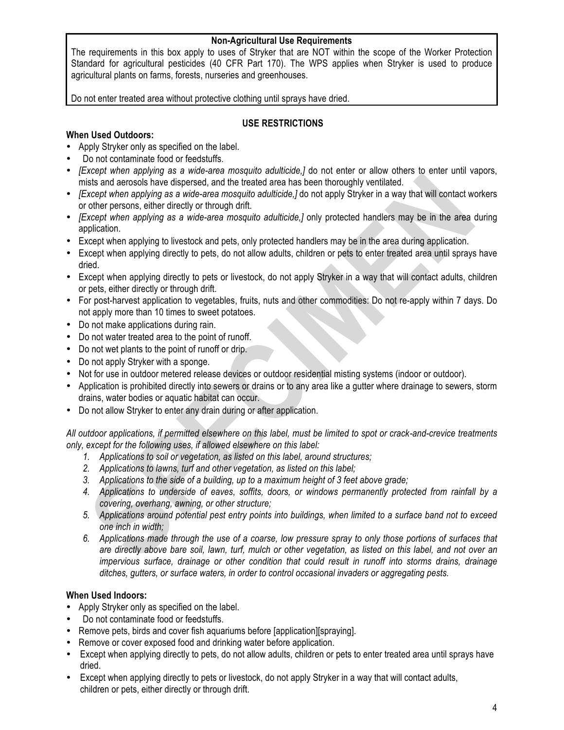#### **Non-Agricultural Use Requirements**

The requirements in this box apply to uses of Stryker that are NOT within the scope of the Worker Protection Standard for agricultural pesticides (40 CFR Part 170). The WPS applies when Stryker is used to produce agricultural plants on farms, forests, nurseries and greenhouses.

Do not enter treated area without protective clothing until sprays have dried.

#### **USE RESTRICTIONS**

#### **When Used Outdoors:**

- Apply Stryker only as specified on the label.
- Do not contaminate food or feedstuffs.
- *[Except when applying as a wide-area mosquito adulticide,]* do not enter or allow others to enter until vapors, mists and aerosols have dispersed, and the treated area has been thoroughly ventilated.
- *[Except when applying as a wide-area mosquito adulticide,]* do not apply Stryker in a way that will contact workers or other persons, either directly or through drift.
- *[Except when applying as a wide-area mosquito adulticide,]* only protected handlers may be in the area during application.
- Except when applying to livestock and pets, only protected handlers may be in the area during application.
- Except when applying directly to pets, do not allow adults, children or pets to enter treated area until sprays have dried.
- Except when applying directly to pets or livestock, do not apply Stryker in a way that will contact adults, children or pets, either directly or through drift.
- For post-harvest application to vegetables, fruits, nuts and other commodities: Do not re-apply within 7 days. Do not apply more than 10 times to sweet potatoes.
- Do not make applications during rain.
- Do not water treated area to the point of runoff.
- Do not wet plants to the point of runoff or drip.
- Do not apply Stryker with a sponge.
- Not for use in outdoor metered release devices or outdoor residential misting systems (indoor or outdoor).
- Application is prohibited directly into sewers or drains or to any area like a gutter where drainage to sewers, storm drains, water bodies or aquatic habitat can occur.
- Do not allow Stryker to enter any drain during or after application.

*All outdoor applications, if permitted elsewhere on this label, must be limited to spot or crack-and-crevice treatments only, except for the following uses, if allowed elsewhere on this label:*

- *1. Applications to soil or vegetation, as listed on this label, around structures;*
- *2. Applications to lawns, turf and other vegetation, as listed on this label;*
- *3. Applications to the side of a building, up to a maximum height of 3 feet above grade;*
- *4. Applications to underside of eaves, soffits, doors, or windows permanently protected from rainfall by a covering, overhang, awning, or other structure;*
- *5. Applications around potential pest entry points into buildings, when limited to a surface band not to exceed one inch in width;*
- *6. Applications made through the use of a coarse, low pressure spray to only those portions of surfaces that are directly above bare soil, lawn, turf, mulch or other vegetation, as listed on this label, and not over an impervious surface, drainage or other condition that could result in runoff into storms drains, drainage ditches, gutters, or surface waters, in order to control occasional invaders or aggregating pests.*

#### **When Used Indoors:**

- Apply Stryker only as specified on the label.
- Do not contaminate food or feedstuffs.
- Remove pets, birds and cover fish aquariums before [application][spraying].
- Remove or cover exposed food and drinking water before application.
- Except when applying directly to pets, do not allow adults, children or pets to enter treated area until sprays have dried.
- Except when applying directly to pets or livestock, do not apply Stryker in a way that will contact adults, children or pets, either directly or through drift.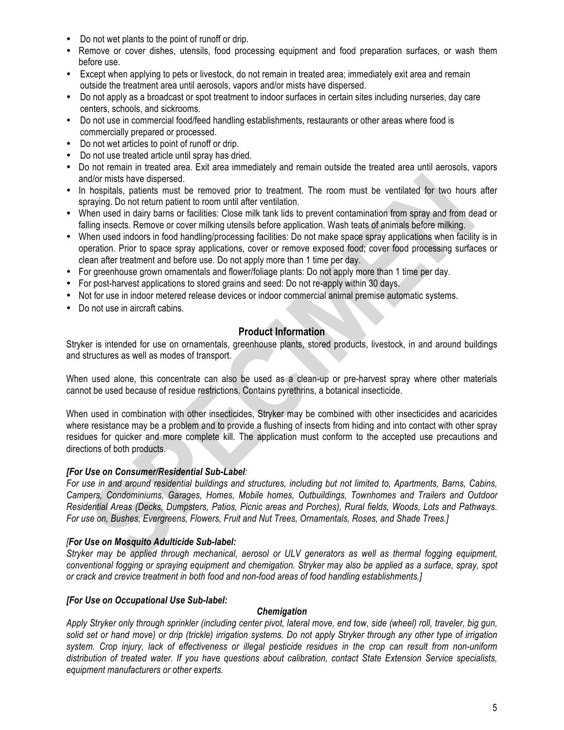- Do not wet plants to the point of runoff or drip.
- Remove or cover dishes, utensils, food processing equipment and food preparation surfaces, or wash them before use.
- Except when applying to pets or livestock, do not remain in treated area; immediately exit area and remain outside the treatment area until aerosols, vapors and/or mists have dispersed.
- Do not apply as a broadcast or spot treatment to indoor surfaces in certain sites including nurseries, day care centers, schools, and sickrooms.
- Do not use in commercial food/feed handling establishments, restaurants or other areas where food is commercially prepared or processed.
- Do not wet articles to point of runoff or drip.
- Do not use treated article until spray has dried.
- Do not remain in treated area. Exit area immediately and remain outside the treated area until aerosols, vapors and/or mists have dispersed.
- In hospitals, patients must be removed prior to treatment. The room must be ventilated for two hours after spraying. Do not return patient to room until after ventilation.
- When used in dairy barns or facilities: Close milk tank lids to prevent contamination from spray and from dead or falling insects. Remove or cover milking utensils before application. Wash teats of animals before milking.
- When used indoors in food handling/processing facilities: Do not make space spray applications when facility is in operation. Prior to space spray applications, cover or remove exposed food; cover food processing surfaces or clean after treatment and before use. Do not apply more than 1 time per day.
- For greenhouse grown ornamentals and flower/foliage plants: Do not apply more than 1 time per day.
- For post-harvest applications to stored grains and seed: Do not re-apply within 30 days.
- Not for use in indoor metered release devices or indoor commercial animal premise automatic systems.
- Do not use in aircraft cabins.

## **Product Information**

Stryker is intended for use on ornamentals, greenhouse plants, stored products, livestock, in and around buildings and structures as well as modes of transport.

When used alone, this concentrate can also be used as a clean-up or pre-harvest spray where other materials cannot be used because of residue restrictions. Contains pyrethrins, a botanical insecticide.

When used in combination with other insecticides, Stryker may be combined with other insecticides and acaricides where resistance may be a problem and to provide a flushing of insects from hiding and into contact with other spray residues for quicker and more complete kill. The application must conform to the accepted use precautions and directions of both products.

#### *[For Use on Consumer/Residential Sub-Label:*

*For use in and around residential buildings and structures, including but not limited to, Apartments, Barns, Cabins, Campers, Condominiums, Garages, Homes, Mobile homes, Outbuildings, Townhomes and Trailers and Outdoor Residential Areas (Decks, Dumpsters, Patios, Picnic areas and Porches), Rural fields, Woods, Lots and Pathways. For use on, Bushes, Evergreens, Flowers, Fruit and Nut Trees, Ornamentals, Roses, and Shade Trees.]*

#### *[For Use on Mosquito Adulticide Sub-label:*

*Stryker may be applied through mechanical, aerosol or ULV generators as well as thermal fogging equipment, conventional fogging or spraying equipment and chemigation. Stryker may also be applied as a surface, spray, spot or crack and crevice treatment in both food and non-food areas of food handling establishments.]*

#### *[For Use on Occupational Use Sub-label:*

#### *Chemigation*

*Apply Stryker only through sprinkler (including center pivot, lateral move, end tow, side (wheel) roll, traveler, big gun, solid set or hand move) or drip (trickle) irrigation systems. Do not apply Stryker through any other type of irrigation system. Crop injury, lack of effectiveness or illegal pesticide residues in the crop can result from non-uniform distribution of treated water. If you have questions about calibration, contact State Extension Service specialists, equipment manufacturers or other experts.*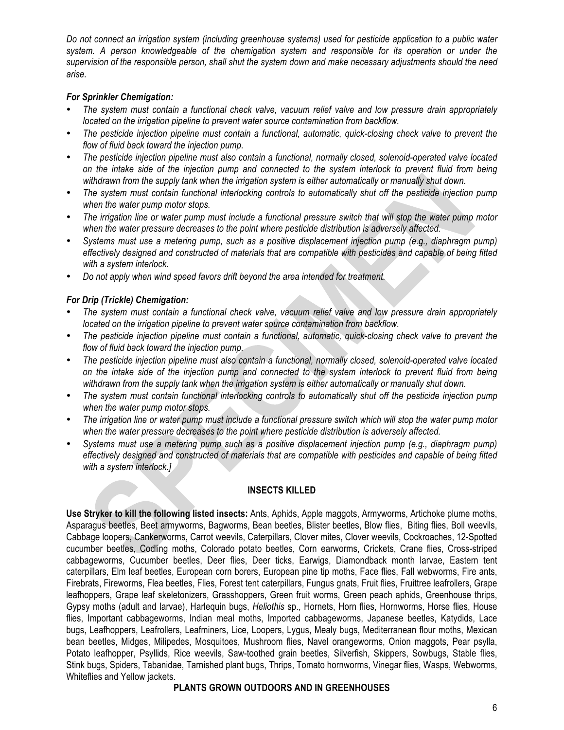*Do not connect an irrigation system (including greenhouse systems) used for pesticide application to a public water system. A person knowledgeable of the chemigation system and responsible for its operation or under the supervision of the responsible person, shall shut the system down and make necessary adjustments should the need arise.* 

#### *For Sprinkler Chemigation:*

- *The system must contain a functional check valve, vacuum relief valve and low pressure drain appropriately located on the irrigation pipeline to prevent water source contamination from backflow.*
- *The pesticide injection pipeline must contain a functional, automatic, quick-closing check valve to prevent the flow of fluid back toward the injection pump.*
- *The pesticide injection pipeline must also contain a functional, normally closed, solenoid-operated valve located on the intake side of the injection pump and connected to the system interlock to prevent fluid from being*  withdrawn from the supply tank when the irrigation system is either automatically or manually shut down.
- *The system must contain functional interlocking controls to automatically shut off the pesticide injection pump when the water pump motor stops.*
- *The irrigation line or water pump must include a functional pressure switch that will stop the water pump motor when the water pressure decreases to the point where pesticide distribution is adversely affected.*
- *Systems must use a metering pump, such as a positive displacement injection pump (e.g., diaphragm pump) effectively designed and constructed of materials that are compatible with pesticides and capable of being fitted with a system interlock.*
- *Do not apply when wind speed favors drift beyond the area intended for treatment.*

#### *For Drip (Trickle) Chemigation:*

- *The system must contain a functional check valve, vacuum relief valve and low pressure drain appropriately located on the irrigation pipeline to prevent water source contamination from backflow.*
- *The pesticide injection pipeline must contain a functional, automatic, quick-closing check valve to prevent the flow of fluid back toward the injection pump.*
- *The pesticide injection pipeline must also contain a functional, normally closed, solenoid-operated valve located on the intake side of the injection pump and connected to the system interlock to prevent fluid from being withdrawn from the supply tank when the irrigation system is either automatically or manually shut down.*
- *The system must contain functional interlocking controls to automatically shut off the pesticide injection pump when the water pump motor stops.*
- *The irrigation line or water pump must include a functional pressure switch which will stop the water pump motor when the water pressure decreases to the point where pesticide distribution is adversely affected.*
- *Systems must use a metering pump such as a positive displacement injection pump (e.g., diaphragm pump) effectively designed and constructed of materials that are compatible with pesticides and capable of being fitted with a system interlock.]*

#### **INSECTS KILLED**

**Use Stryker to kill the following listed insects:** Ants, Aphids, Apple maggots, Armyworms, Artichoke plume moths, Asparagus beetles, Beet armyworms, Bagworms, Bean beetles, Blister beetles, Blow flies, Biting flies, Boll weevils, Cabbage loopers, Cankerworms, Carrot weevils, Caterpillars, Clover mites, Clover weevils, Cockroaches, 12-Spotted cucumber beetles, Codling moths, Colorado potato beetles, Corn earworms, Crickets, Crane flies, Cross-striped cabbageworms, Cucumber beetles, Deer flies, Deer ticks, Earwigs, Diamondback month larvae, Eastern tent caterpillars, Elm leaf beetles, European corn borers, European pine tip moths, Face flies, Fall webworms, Fire ants, Firebrats, Fireworms, Flea beetles, Flies, Forest tent caterpillars, Fungus gnats, Fruit flies, Fruittree leafrollers, Grape leafhoppers, Grape leaf skeletonizers, Grasshoppers, Green fruit worms, Green peach aphids, Greenhouse thrips, Gypsy moths (adult and larvae), Harlequin bugs, *Heliothis* sp., Hornets, Horn flies, Hornworms, Horse flies, House flies, Important cabbageworms, Indian meal moths, Imported cabbageworms, Japanese beetles, Katydids, Lace bugs, Leafhoppers, Leafrollers, Leafminers, Lice, Loopers, Lygus, Mealy bugs, Mediterranean flour moths, Mexican bean beetles, Midges, Milipedes, Mosquitoes, Mushroom flies, Navel orangeworms, Onion maggots, Pear psylla, Potato leafhopper, Psyllids, Rice weevils, Saw-toothed grain beetles, Silverfish, Skippers, Sowbugs, Stable flies, Stink bugs, Spiders, Tabanidae, Tarnished plant bugs, Thrips, Tomato hornworms, Vinegar flies, Wasps, Webworms, Whiteflies and Yellow jackets.

#### **PLANTS GROWN OUTDOORS AND IN GREENHOUSES**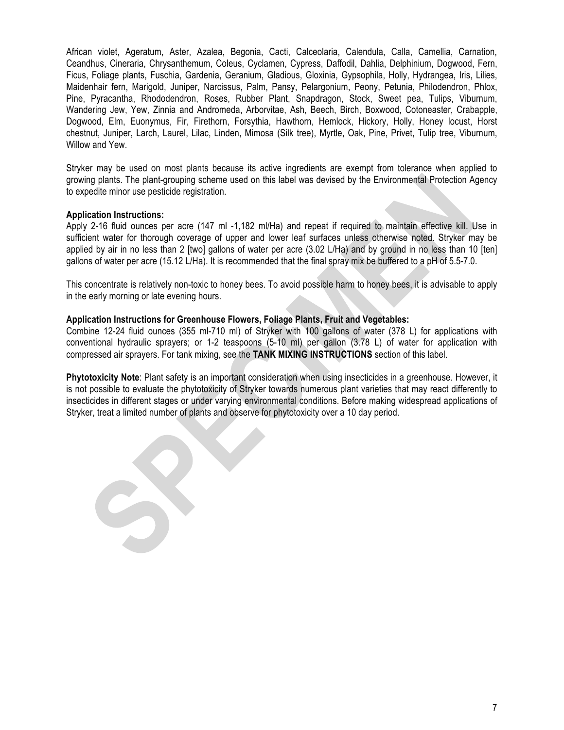African violet, Ageratum, Aster, Azalea, Begonia, Cacti, Calceolaria, Calendula, Calla, Camellia, Carnation, Ceandhus, Cineraria, Chrysanthemum, Coleus, Cyclamen, Cypress, Daffodil, Dahlia, Delphinium, Dogwood, Fern, Ficus, Foliage plants, Fuschia, Gardenia, Geranium, Gladious, Gloxinia, Gypsophila, Holly, Hydrangea, Iris, Lilies, Maidenhair fern, Marigold, Juniper, Narcissus, Palm, Pansy, Pelargonium, Peony, Petunia, Philodendron, Phlox, Pine, Pyracantha, Rhododendron, Roses, Rubber Plant, Snapdragon, Stock, Sweet pea, Tulips, Viburnum, Wandering Jew, Yew, Zinnia and Andromeda, Arborvitae, Ash, Beech, Birch, Boxwood, Cotoneaster, Crabapple, Dogwood, Elm, Euonymus, Fir, Firethorn, Forsythia, Hawthorn, Hemlock, Hickory, Holly, Honey locust, Horst chestnut, Juniper, Larch, Laurel, Lilac, Linden, Mimosa (Silk tree), Myrtle, Oak, Pine, Privet, Tulip tree, Viburnum, Willow and Yew.

Stryker may be used on most plants because its active ingredients are exempt from tolerance when applied to growing plants. The plant-grouping scheme used on this label was devised by the Environmental Protection Agency to expedite minor use pesticide registration.

#### **Application Instructions:**

3

Apply 2-16 fluid ounces per acre (147 ml -1,182 ml/Ha) and repeat if required to maintain effective kill. Use in sufficient water for thorough coverage of upper and lower leaf surfaces unless otherwise noted. Stryker may be applied by air in no less than 2 [two] gallons of water per acre (3.02 L/Ha) and by ground in no less than 10 [ten] gallons of water per acre (15.12 L/Ha). It is recommended that the final spray mix be buffered to a pH of 5.5-7.0.

This concentrate is relatively non-toxic to honey bees. To avoid possible harm to honey bees, it is advisable to apply in the early morning or late evening hours.

#### **Application Instructions for Greenhouse Flowers, Foliage Plants, Fruit and Vegetables:**

Combine 12-24 fluid ounces (355 ml-710 ml) of Stryker with 100 gallons of water (378 L) for applications with conventional hydraulic sprayers; or 1-2 teaspoons (5-10 ml) per gallon (3.78 L) of water for application with compressed air sprayers. For tank mixing, see the **TANK MIXING INSTRUCTIONS** section of this label.

**Phytotoxicity Note**: Plant safety is an important consideration when using insecticides in a greenhouse. However, it is not possible to evaluate the phytotoxicity of Stryker towards numerous plant varieties that may react differently to insecticides in different stages or under varying environmental conditions. Before making widespread applications of Stryker, treat a limited number of plants and observe for phytotoxicity over a 10 day period.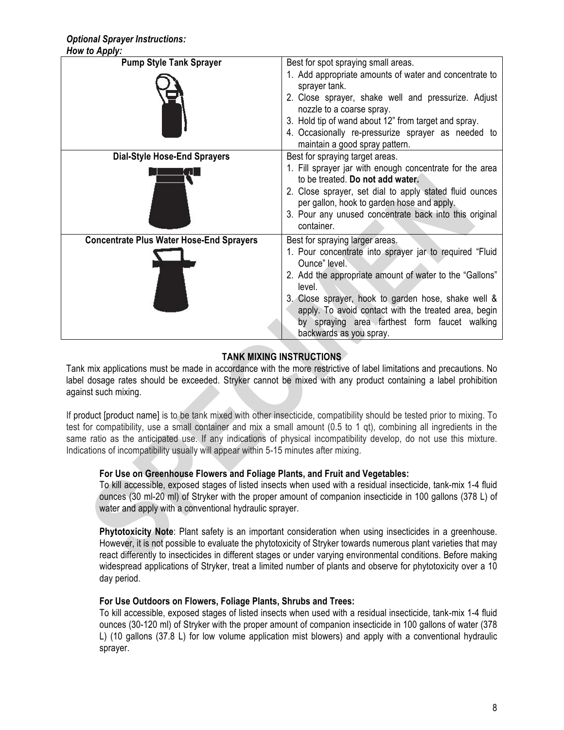*Optional Sprayer Instructions: How to Apply:*

| . <i>.</i><br><b>Pump Style Tank Sprayer</b>    | Best for spot spraying small areas.                                                                                                                                                                                                                                                                                                                                         |
|-------------------------------------------------|-----------------------------------------------------------------------------------------------------------------------------------------------------------------------------------------------------------------------------------------------------------------------------------------------------------------------------------------------------------------------------|
|                                                 | 1. Add appropriate amounts of water and concentrate to<br>sprayer tank.<br>2. Close sprayer, shake well and pressurize. Adjust<br>nozzle to a coarse spray.<br>3. Hold tip of wand about 12" from target and spray.<br>4. Occasionally re-pressurize sprayer as needed to<br>maintain a good spray pattern.                                                                 |
| <b>Dial-Style Hose-End Sprayers</b>             | Best for spraying target areas.                                                                                                                                                                                                                                                                                                                                             |
|                                                 | 1. Fill sprayer jar with enough concentrate for the area<br>to be treated. Do not add water.<br>2. Close sprayer, set dial to apply stated fluid ounces<br>per gallon, hook to garden hose and apply.<br>3. Pour any unused concentrate back into this original<br>container.                                                                                               |
| <b>Concentrate Plus Water Hose-End Sprayers</b> | Best for spraying larger areas.<br>1. Pour concentrate into sprayer jar to required "Fluid<br>Ounce" level.<br>2. Add the appropriate amount of water to the "Gallons"<br>level.<br>3. Close sprayer, hook to garden hose, shake well &<br>apply. To avoid contact with the treated area, begin<br>by spraying area farthest form faucet walking<br>backwards as you spray. |

## **TANK MIXING INSTRUCTIONS**

Tank mix applications must be made in accordance with the more restrictive of label limitations and precautions. No label dosage rates should be exceeded. Stryker cannot be mixed with any product containing a label prohibition against such mixing.

If product [product name] is to be tank mixed with other insecticide, compatibility should be tested prior to mixing. To test for compatibility, use a small container and mix a small amount (0.5 to 1 qt), combining all ingredients in the same ratio as the anticipated use. If any indications of physical incompatibility develop, do not use this mixture. Indications of incompatibility usually will appear within 5-15 minutes after mixing.

#### **For Use on Greenhouse Flowers and Foliage Plants, and Fruit and Vegetables:**

To kill accessible, exposed stages of listed insects when used with a residual insecticide, tank-mix 1-4 fluid ounces (30 ml-20 ml) of Stryker with the proper amount of companion insecticide in 100 gallons (378 L) of water and apply with a conventional hydraulic sprayer.

**Phytotoxicity Note**: Plant safety is an important consideration when using insecticides in a greenhouse. However, it is not possible to evaluate the phytotoxicity of Stryker towards numerous plant varieties that may react differently to insecticides in different stages or under varying environmental conditions. Before making widespread applications of Stryker, treat a limited number of plants and observe for phytotoxicity over a 10 day period.

#### **For Use Outdoors on Flowers, Foliage Plants, Shrubs and Trees:**

To kill accessible, exposed stages of listed insects when used with a residual insecticide, tank-mix 1-4 fluid ounces (30-120 ml) of Stryker with the proper amount of companion insecticide in 100 gallons of water (378 L) (10 gallons (37.8 L) for low volume application mist blowers) and apply with a conventional hydraulic sprayer.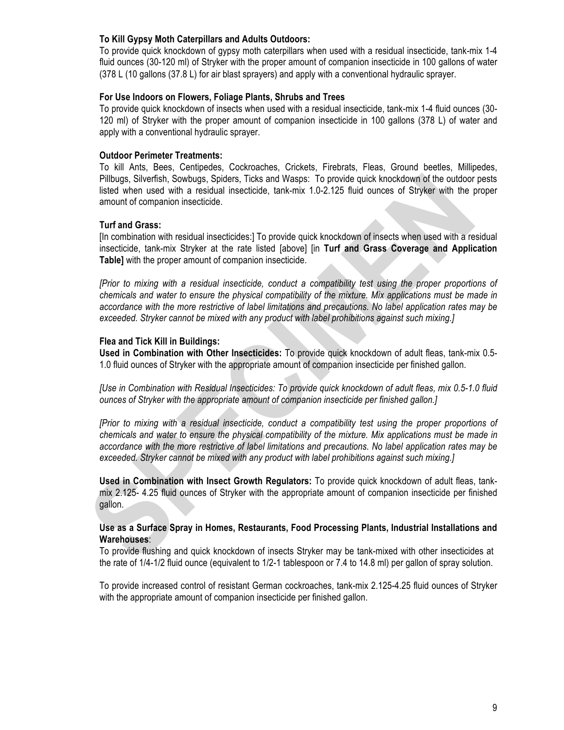#### **To Kill Gypsy Moth Caterpillars and Adults Outdoors:**

To provide quick knockdown of gypsy moth caterpillars when used with a residual insecticide, tank-mix 1-4 fluid ounces (30-120 ml) of Stryker with the proper amount of companion insecticide in 100 gallons of water (378 L (10 gallons (37.8 L) for air blast sprayers) and apply with a conventional hydraulic sprayer.

#### **For Use Indoors on Flowers, Foliage Plants, Shrubs and Trees**

To provide quick knockdown of insects when used with a residual insecticide, tank-mix 1-4 fluid ounces (30- 120 ml) of Stryker with the proper amount of companion insecticide in 100 gallons (378 L) of water and apply with a conventional hydraulic sprayer.

#### **Outdoor Perimeter Treatments:**

To kill Ants, Bees, Centipedes, Cockroaches, Crickets, Firebrats, Fleas, Ground beetles, Millipedes, Pillbugs, Silverfish, Sowbugs, Spiders, Ticks and Wasps: To provide quick knockdown of the outdoor pests listed when used with a residual insecticide, tank-mix 1.0-2.125 fluid ounces of Stryker with the proper amount of companion insecticide.

#### **Turf and Grass:**

[In combination with residual insecticides:] To provide quick knockdown of insects when used with a residual insecticide, tank-mix Stryker at the rate listed [above] [in **Turf and Grass Coverage and Application Table]** with the proper amount of companion insecticide.

*[Prior to mixing with a residual insecticide, conduct a compatibility test using the proper proportions of chemicals and water to ensure the physical compatibility of the mixture. Mix applications must be made in accordance with the more restrictive of label limitations and precautions. No label application rates may be exceeded. Stryker cannot be mixed with any product with label prohibitions against such mixing.]*

#### **Flea and Tick Kill in Buildings:**

**Used in Combination with Other Insecticides:** To provide quick knockdown of adult fleas, tank-mix 0.5- 1.0 fluid ounces of Stryker with the appropriate amount of companion insecticide per finished gallon.

*[Use in Combination with Residual Insecticides: To provide quick knockdown of adult fleas, mix 0.5-1.0 fluid ounces of Stryker with the appropriate amount of companion insecticide per finished gallon.]*

*[Prior to mixing with a residual insecticide, conduct a compatibility test using the proper proportions of chemicals and water to ensure the physical compatibility of the mixture. Mix applications must be made in accordance with the more restrictive of label limitations and precautions. No label application rates may be exceeded. Stryker cannot be mixed with any product with label prohibitions against such mixing.]*

**Used in Combination with Insect Growth Regulators:** To provide quick knockdown of adult fleas, tankmix 2.125- 4.25 fluid ounces of Stryker with the appropriate amount of companion insecticide per finished gallon.

#### **Use as a Surface Spray in Homes, Restaurants, Food Processing Plants, Industrial Installations and Warehouses**:

To provide flushing and quick knockdown of insects Stryker may be tank-mixed with other insecticides at the rate of 1/4-1/2 fluid ounce (equivalent to 1/2-1 tablespoon or 7.4 to 14.8 ml) per gallon of spray solution.

To provide increased control of resistant German cockroaches, tank-mix 2.125-4.25 fluid ounces of Stryker with the appropriate amount of companion insecticide per finished gallon.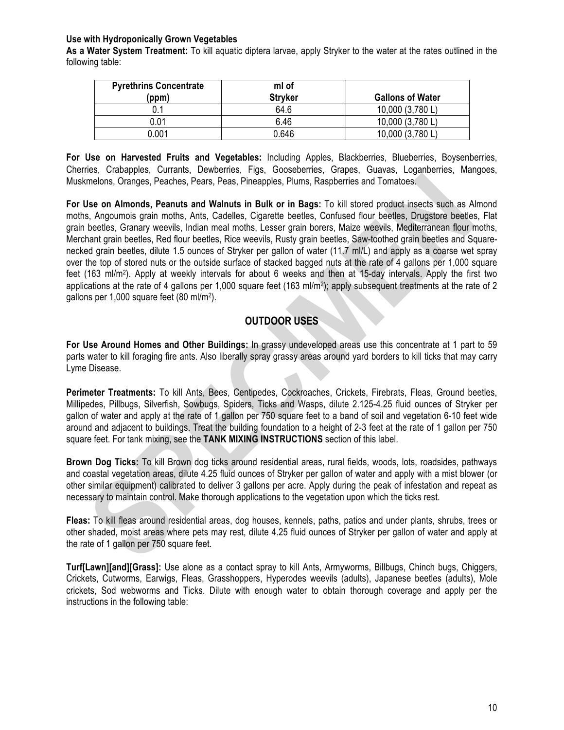#### **Use with Hydroponically Grown Vegetables**

**As a Water System Treatment:** To kill aquatic diptera larvae, apply Stryker to the water at the rates outlined in the following table:

| <b>Pyrethrins Concentrate</b><br>(ppm) | ml of<br><b>Stryker</b> | <b>Gallons of Water</b> |
|----------------------------------------|-------------------------|-------------------------|
|                                        | 64.6                    | 10,000 (3,780 L)        |
| 0.01                                   | 6.46                    | 10,000 (3,780 L)        |
| 0.001                                  | 0.646                   | 10,000 (3,780 L)        |

**For Use on Harvested Fruits and Vegetables:** Including Apples, Blackberries, Blueberries, Boysenberries, Cherries, Crabapples, Currants, Dewberries, Figs, Gooseberries, Grapes, Guavas, Loganberries, Mangoes, Muskmelons, Oranges, Peaches, Pears, Peas, Pineapples, Plums, Raspberries and Tomatoes.

**For Use on Almonds, Peanuts and Walnuts in Bulk or in Bags:** To kill stored product insects such as Almond moths, Angoumois grain moths, Ants, Cadelles, Cigarette beetles, Confused flour beetles, Drugstore beetles, Flat grain beetles, Granary weevils, Indian meal moths, Lesser grain borers, Maize weevils, Mediterranean flour moths, Merchant grain beetles, Red flour beetles, Rice weevils, Rusty grain beetles, Saw-toothed grain beetles and Squarenecked grain beetles, dilute 1.5 ounces of Stryker per gallon of water (11.7 ml/L) and apply as a coarse wet spray over the top of stored nuts or the outside surface of stacked bagged nuts at the rate of 4 gallons per 1,000 square feet (163 ml/m2). Apply at weekly intervals for about 6 weeks and then at 15-day intervals. Apply the first two applications at the rate of 4 gallons per 1,000 square feet (163 ml/m2); apply subsequent treatments at the rate of 2 gallons per 1,000 square feet (80 ml/m2).

# **OUTDOOR USES**

**For Use Around Homes and Other Buildings:** In grassy undeveloped areas use this concentrate at 1 part to 59 parts water to kill foraging fire ants. Also liberally spray grassy areas around yard borders to kill ticks that may carry Lyme Disease.

**Perimeter Treatments:** To kill Ants, Bees, Centipedes, Cockroaches, Crickets, Firebrats, Fleas, Ground beetles, Millipedes, Pillbugs, Silverfish, Sowbugs, Spiders, Ticks and Wasps, dilute 2.125-4.25 fluid ounces of Stryker per gallon of water and apply at the rate of 1 gallon per 750 square feet to a band of soil and vegetation 6-10 feet wide around and adjacent to buildings. Treat the building foundation to a height of 2-3 feet at the rate of 1 gallon per 750 square feet. For tank mixing, see the **TANK MIXING INSTRUCTIONS** section of this label.

**Brown Dog Ticks:** To kill Brown dog ticks around residential areas, rural fields, woods, lots, roadsides, pathways and coastal vegetation areas, dilute 4.25 fluid ounces of Stryker per gallon of water and apply with a mist blower (or other similar equipment) calibrated to deliver 3 gallons per acre. Apply during the peak of infestation and repeat as necessary to maintain control. Make thorough applications to the vegetation upon which the ticks rest.

**Fleas:** To kill fleas around residential areas, dog houses, kennels, paths, patios and under plants, shrubs, trees or other shaded, moist areas where pets may rest, dilute 4.25 fluid ounces of Stryker per gallon of water and apply at the rate of 1 gallon per 750 square feet.

**Turf[Lawn][and][Grass]:** Use alone as a contact spray to kill Ants, Armyworms, Billbugs, Chinch bugs, Chiggers, Crickets, Cutworms, Earwigs, Fleas, Grasshoppers, Hyperodes weevils (adults), Japanese beetles (adults), Mole crickets, Sod webworms and Ticks. Dilute with enough water to obtain thorough coverage and apply per the instructions in the following table: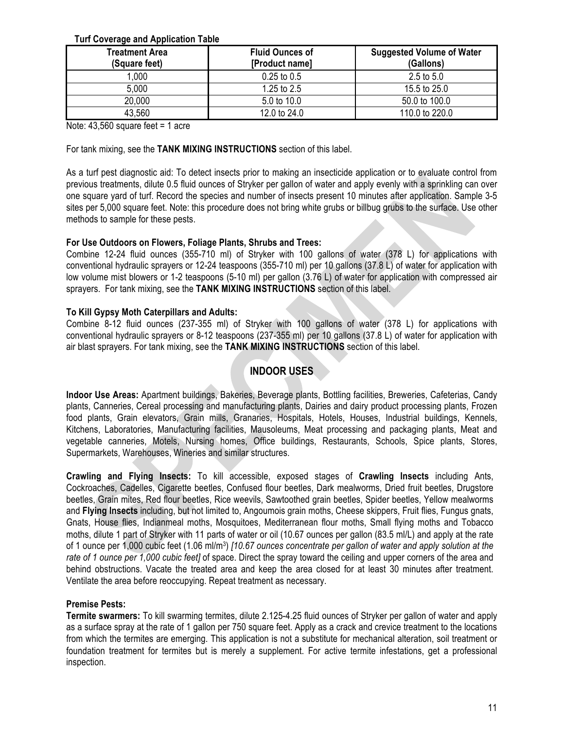#### **Turf Coverage and Application Table**

| Treatment Area<br>(Square feet) | <b>Fluid Ounces of</b><br>[Product name] | <b>Suggested Volume of Water</b><br>(Gallons) |
|---------------------------------|------------------------------------------|-----------------------------------------------|
| 1,000                           | $0.25$ to $0.5$                          | $2.5 \text{ to } 5.0$                         |
| 5,000                           | 1.25 to 2.5                              | 15.5 to 25.0                                  |
| 20,000                          | 5.0 to 10.0                              | 50.0 to 100.0                                 |
| 43,560                          | 12.0 to 24.0                             | 110.0 to 220.0                                |

Note:  $43,560$  square feet = 1 acre

For tank mixing, see the **TANK MIXING INSTRUCTIONS** section of this label.

As a turf pest diagnostic aid: To detect insects prior to making an insecticide application or to evaluate control from previous treatments, dilute 0.5 fluid ounces of Stryker per gallon of water and apply evenly with a sprinkling can over one square yard of turf. Record the species and number of insects present 10 minutes after application. Sample 3-5 sites per 5,000 square feet. Note: this procedure does not bring white grubs or billbug grubs to the surface. Use other methods to sample for these pests.

#### **For Use Outdoors on Flowers, Foliage Plants, Shrubs and Trees:**

Combine 12-24 fluid ounces (355-710 ml) of Stryker with 100 gallons of water (378 L) for applications with conventional hydraulic sprayers or 12-24 teaspoons (355-710 ml) per 10 gallons (37.8 L) of water for application with low volume mist blowers or 1-2 teaspoons (5-10 ml) per gallon (3.76 L) of water for application with compressed air sprayers. For tank mixing, see the **TANK MIXING INSTRUCTIONS** section of this label.

#### **To Kill Gypsy Moth Caterpillars and Adults:**

Combine 8-12 fluid ounces (237-355 ml) of Stryker with 100 gallons of water (378 L) for applications with conventional hydraulic sprayers or 8-12 teaspoons (237-355 ml) per 10 gallons (37.8 L) of water for application with air blast sprayers. For tank mixing, see the **TANK MIXING INSTRUCTIONS** section of this label.

# **INDOOR USES**

**Indoor Use Areas:** Apartment buildings, Bakeries, Beverage plants, Bottling facilities, Breweries, Cafeterias, Candy plants, Canneries, Cereal processing and manufacturing plants, Dairies and dairy product processing plants, Frozen food plants, Grain elevators, Grain mills, Granaries, Hospitals, Hotels, Houses, Industrial buildings, Kennels, Kitchens, Laboratories, Manufacturing facilities, Mausoleums, Meat processing and packaging plants, Meat and vegetable canneries, Motels, Nursing homes, Office buildings, Restaurants, Schools, Spice plants, Stores, Supermarkets, Warehouses, Wineries and similar structures.

**Crawling and Flying Insects:** To kill accessible, exposed stages of **Crawling Insects** including Ants, Cockroaches, Cadelles, Cigarette beetles, Confused flour beetles, Dark mealworms, Dried fruit beetles, Drugstore beetles, Grain mites, Red flour beetles, Rice weevils, Sawtoothed grain beetles, Spider beetles, Yellow mealworms and **Flying Insects** including, but not limited to, Angoumois grain moths, Cheese skippers, Fruit flies, Fungus gnats, Gnats, House flies, Indianmeal moths, Mosquitoes, Mediterranean flour moths, Small flying moths and Tobacco moths, dilute 1 part of Stryker with 11 parts of water or oil (10.67 ounces per gallon (83.5 ml/L) and apply at the rate of 1 ounce per 1,000 cubic feet (1.06 ml/m3) *[10.67 ounces concentrate per gallon of water and apply solution at the rate of 1 ounce per 1,000 cubic feet]* of space. Direct the spray toward the ceiling and upper corners of the area and behind obstructions. Vacate the treated area and keep the area closed for at least 30 minutes after treatment. Ventilate the area before reoccupying. Repeat treatment as necessary.

#### **Premise Pests:**

**Termite swarmers:** To kill swarming termites, dilute 2.125-4.25 fluid ounces of Stryker per gallon of water and apply as a surface spray at the rate of 1 gallon per 750 square feet. Apply as a crack and crevice treatment to the locations from which the termites are emerging. This application is not a substitute for mechanical alteration, soil treatment or foundation treatment for termites but is merely a supplement. For active termite infestations, get a professional inspection.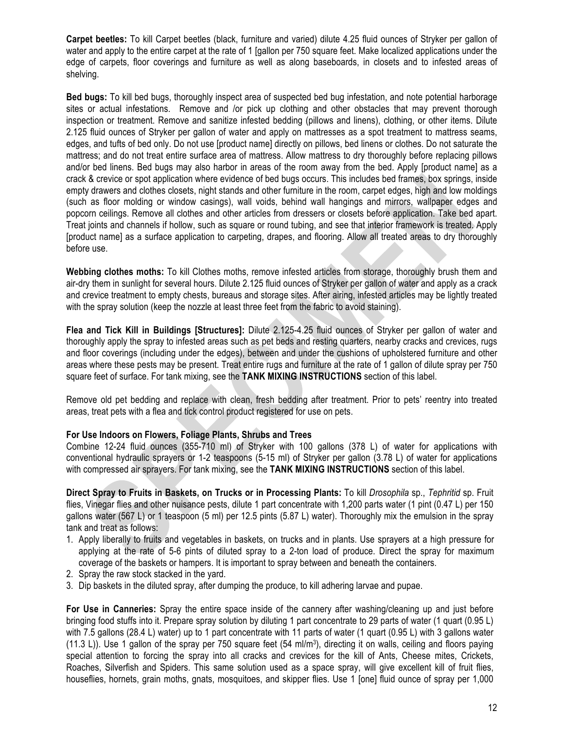**Carpet beetles:** To kill Carpet beetles (black, furniture and varied) dilute 4.25 fluid ounces of Stryker per gallon of water and apply to the entire carpet at the rate of 1 [gallon per 750 square feet. Make localized applications under the edge of carpets, floor coverings and furniture as well as along baseboards, in closets and to infested areas of shelving.

**Bed bugs:** To kill bed bugs, thoroughly inspect area of suspected bed bug infestation, and note potential harborage sites or actual infestations. Remove and /or pick up clothing and other obstacles that may prevent thorough inspection or treatment. Remove and sanitize infested bedding (pillows and linens), clothing, or other items. Dilute 2.125 fluid ounces of Stryker per gallon of water and apply on mattresses as a spot treatment to mattress seams, edges, and tufts of bed only. Do not use [product name] directly on pillows, bed linens or clothes. Do not saturate the mattress; and do not treat entire surface area of mattress. Allow mattress to dry thoroughly before replacing pillows and/or bed linens. Bed bugs may also harbor in areas of the room away from the bed. Apply [product name] as a crack & crevice or spot application where evidence of bed bugs occurs. This includes bed frames, box springs, inside empty drawers and clothes closets, night stands and other furniture in the room, carpet edges, high and low moldings (such as floor molding or window casings), wall voids, behind wall hangings and mirrors, wallpaper edges and popcorn ceilings. Remove all clothes and other articles from dressers or closets before application. Take bed apart. Treat joints and channels if hollow, such as square or round tubing, and see that interior framework is treated. Apply [product name] as a surface application to carpeting, drapes, and flooring. Allow all treated areas to dry thoroughly before use.

**Webbing clothes moths:** To kill Clothes moths, remove infested articles from storage, thoroughly brush them and air-dry them in sunlight for several hours. Dilute 2.125 fluid ounces of Stryker per gallon of water and apply as a crack and crevice treatment to empty chests, bureaus and storage sites. After airing, infested articles may be lightly treated with the spray solution (keep the nozzle at least three feet from the fabric to avoid staining).

**Flea and Tick Kill in Buildings [Structures]:** Dilute 2.125-4.25 fluid ounces of Stryker per gallon of water and thoroughly apply the spray to infested areas such as pet beds and resting quarters, nearby cracks and crevices, rugs and floor coverings (including under the edges), between and under the cushions of upholstered furniture and other areas where these pests may be present. Treat entire rugs and furniture at the rate of 1 gallon of dilute spray per 750 square feet of surface. For tank mixing, see the **TANK MIXING INSTRUCTIONS** section of this label.

Remove old pet bedding and replace with clean, fresh bedding after treatment. Prior to pets' reentry into treated areas, treat pets with a flea and tick control product registered for use on pets.

#### **For Use Indoors on Flowers, Foliage Plants, Shrubs and Trees**

Combine 12-24 fluid ounces (355-710 ml) of Stryker with 100 gallons (378 L) of water for applications with conventional hydraulic sprayers or 1-2 teaspoons (5-15 ml) of Stryker per gallon (3.78 L) of water for applications with compressed air sprayers. For tank mixing, see the **TANK MIXING INSTRUCTIONS** section of this label.

**Direct Spray to Fruits in Baskets, on Trucks or in Processing Plants:** To kill *Drosophila* sp., *Tephritid* sp. Fruit flies, Vinegar flies and other nuisance pests, dilute 1 part concentrate with 1,200 parts water (1 pint (0.47 L) per 150 gallons water (567 L) or 1 teaspoon (5 ml) per 12.5 pints (5.87 L) water). Thoroughly mix the emulsion in the spray tank and treat as follows:

- 1. Apply liberally to fruits and vegetables in baskets, on trucks and in plants. Use sprayers at a high pressure for applying at the rate of 5-6 pints of diluted spray to a 2-ton load of produce. Direct the spray for maximum coverage of the baskets or hampers. It is important to spray between and beneath the containers.
- 2. Spray the raw stock stacked in the yard.
- 3. Dip baskets in the diluted spray, after dumping the produce, to kill adhering larvae and pupae.

**For Use in Canneries:** Spray the entire space inside of the cannery after washing/cleaning up and just before bringing food stuffs into it. Prepare spray solution by diluting 1 part concentrate to 29 parts of water (1 quart (0.95 L) with 7.5 gallons (28.4 L) water) up to 1 part concentrate with 11 parts of water (1 quart (0.95 L) with 3 gallons water (11.3 L)). Use 1 gallon of the spray per 750 square feet (54 ml/m3), directing it on walls, ceiling and floors paying special attention to forcing the spray into all cracks and crevices for the kill of Ants, Cheese mites, Crickets, Roaches, Silverfish and Spiders. This same solution used as a space spray, will give excellent kill of fruit flies, houseflies, hornets, grain moths, gnats, mosquitoes, and skipper flies. Use 1 [one] fluid ounce of spray per 1,000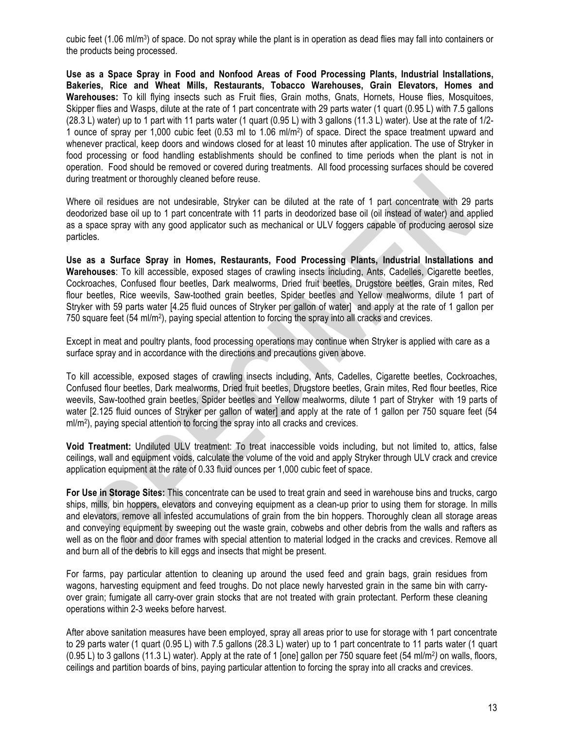cubic feet (1.06 ml/m3) of space. Do not spray while the plant is in operation as dead flies may fall into containers or the products being processed.

**Use as a Space Spray in Food and Nonfood Areas of Food Processing Plants, Industrial Installations, Bakeries, Rice and Wheat Mills, Restaurants, Tobacco Warehouses, Grain Elevators, Homes and Warehouses:** To kill flying insects such as Fruit flies, Grain moths, Gnats, Hornets, House flies, Mosquitoes, Skipper flies and Wasps, dilute at the rate of 1 part concentrate with 29 parts water (1 quart (0.95 L) with 7.5 gallons (28.3 L) water) up to 1 part with 11 parts water (1 quart (0.95 L) with 3 gallons (11.3 L) water). Use at the rate of 1/2- 1 ounce of spray per 1,000 cubic feet (0.53 ml to 1.06 ml/m2) of space. Direct the space treatment upward and whenever practical, keep doors and windows closed for at least 10 minutes after application. The use of Stryker in food processing or food handling establishments should be confined to time periods when the plant is not in operation. Food should be removed or covered during treatments. All food processing surfaces should be covered during treatment or thoroughly cleaned before reuse.

Where oil residues are not undesirable, Stryker can be diluted at the rate of 1 part concentrate with 29 parts deodorized base oil up to 1 part concentrate with 11 parts in deodorized base oil (oil instead of water) and applied as a space spray with any good applicator such as mechanical or ULV foggers capable of producing aerosol size particles.

**Use as a Surface Spray in Homes, Restaurants, Food Processing Plants, Industrial Installations and Warehouses**: To kill accessible, exposed stages of crawling insects including, Ants, Cadelles, Cigarette beetles, Cockroaches, Confused flour beetles, Dark mealworms, Dried fruit beetles, Drugstore beetles, Grain mites, Red flour beetles, Rice weevils, Saw-toothed grain beetles, Spider beetles and Yellow mealworms, dilute 1 part of Stryker with 59 parts water [4.25 fluid ounces of Stryker per gallon of water] and apply at the rate of 1 gallon per 750 square feet (54 ml/m2), paying special attention to forcing the spray into all cracks and crevices.

Except in meat and poultry plants, food processing operations may continue when Stryker is applied with care as a surface spray and in accordance with the directions and precautions given above.

To kill accessible, exposed stages of crawling insects including, Ants, Cadelles, Cigarette beetles, Cockroaches, Confused flour beetles, Dark mealworms, Dried fruit beetles, Drugstore beetles, Grain mites, Red flour beetles, Rice weevils, Saw-toothed grain beetles, Spider beetles and Yellow mealworms, dilute 1 part of Stryker with 19 parts of water [2.125 fluid ounces of Stryker per gallon of water] and apply at the rate of 1 gallon per 750 square feet (54 ml/m<sup>2</sup>), paying special attention to forcing the spray into all cracks and crevices.

**Void Treatment:** Undiluted ULV treatment: To treat inaccessible voids including, but not limited to, attics, false ceilings, wall and equipment voids, calculate the volume of the void and apply Stryker through ULV crack and crevice application equipment at the rate of 0.33 fluid ounces per 1,000 cubic feet of space.

**For Use in Storage Sites:** This concentrate can be used to treat grain and seed in warehouse bins and trucks, cargo ships, mills, bin hoppers, elevators and conveying equipment as a clean-up prior to using them for storage. In mills and elevators, remove all infested accumulations of grain from the bin hoppers. Thoroughly clean all storage areas and conveying equipment by sweeping out the waste grain, cobwebs and other debris from the walls and rafters as well as on the floor and door frames with special attention to material lodged in the cracks and crevices. Remove all and burn all of the debris to kill eggs and insects that might be present.

For farms, pay particular attention to cleaning up around the used feed and grain bags, grain residues from wagons, harvesting equipment and feed troughs. Do not place newly harvested grain in the same bin with carryover grain; fumigate all carry-over grain stocks that are not treated with grain protectant. Perform these cleaning operations within 2-3 weeks before harvest.

After above sanitation measures have been employed, spray all areas prior to use for storage with 1 part concentrate to 29 parts water (1 quart (0.95 L) with 7.5 gallons (28.3 L) water) up to 1 part concentrate to 11 parts water (1 quart (0.95 L) to 3 gallons (11.3 L) water). Apply at the rate of 1 [one] gallon per 750 square feet (54 ml/m2*)* on walls, floors, ceilings and partition boards of bins, paying particular attention to forcing the spray into all cracks and crevices.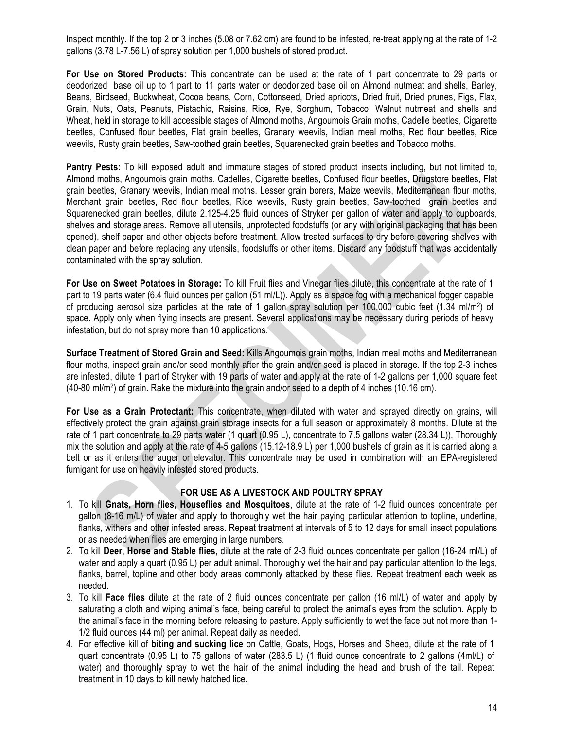Inspect monthly. If the top 2 or 3 inches (5.08 or 7.62 cm) are found to be infested, re-treat applying at the rate of 1-2 gallons (3.78 L-7.56 L) of spray solution per 1,000 bushels of stored product.

**For Use on Stored Products:** This concentrate can be used at the rate of 1 part concentrate to 29 parts or deodorized base oil up to 1 part to 11 parts water or deodorized base oil on Almond nutmeat and shells, Barley, Beans, Birdseed, Buckwheat, Cocoa beans, Corn, Cottonseed, Dried apricots, Dried fruit, Dried prunes, Figs, Flax, Grain, Nuts, Oats, Peanuts, Pistachio, Raisins, Rice, Rye, Sorghum, Tobacco, Walnut nutmeat and shells and Wheat, held in storage to kill accessible stages of Almond moths, Angoumois Grain moths, Cadelle beetles, Cigarette beetles, Confused flour beetles, Flat grain beetles, Granary weevils, Indian meal moths, Red flour beetles, Rice weevils, Rusty grain beetles, Saw-toothed grain beetles, Squarenecked grain beetles and Tobacco moths.

**Pantry Pests:** To kill exposed adult and immature stages of stored product insects including, but not limited to, Almond moths, Angoumois grain moths, Cadelles, Cigarette beetles, Confused flour beetles, Drugstore beetles, Flat grain beetles, Granary weevils, Indian meal moths. Lesser grain borers, Maize weevils, Mediterranean flour moths, Merchant grain beetles, Red flour beetles, Rice weevils, Rusty grain beetles, Saw-toothed grain beetles and Squarenecked grain beetles, dilute 2.125-4.25 fluid ounces of Stryker per gallon of water and apply to cupboards, shelves and storage areas. Remove all utensils, unprotected foodstuffs (or any with original packaging that has been opened), shelf paper and other objects before treatment. Allow treated surfaces to dry before covering shelves with clean paper and before replacing any utensils, foodstuffs or other items. Discard any foodstuff that was accidentally contaminated with the spray solution.

**For Use on Sweet Potatoes in Storage:** To kill Fruit flies and Vinegar flies dilute, this concentrate at the rate of 1 part to 19 parts water (6.4 fluid ounces per gallon (51 ml/L)). Apply as a space fog with a mechanical fogger capable of producing aerosol size particles at the rate of 1 gallon spray solution per 100,000 cubic feet (1.34 ml/m2) of space. Apply only when flying insects are present. Several applications may be necessary during periods of heavy infestation, but do not spray more than 10 applications.

**Surface Treatment of Stored Grain and Seed:** Kills Angoumois grain moths, Indian meal moths and Mediterranean flour moths, inspect grain and/or seed monthly after the grain and/or seed is placed in storage. If the top 2-3 inches are infested, dilute 1 part of Stryker with 19 parts of water and apply at the rate of 1-2 gallons per 1,000 square feet (40-80 ml/m2) of grain. Rake the mixture into the grain and/or seed to a depth of 4 inches (10.16 cm).

**For Use as a Grain Protectant:** This concentrate, when diluted with water and sprayed directly on grains, will effectively protect the grain against grain storage insects for a full season or approximately 8 months. Dilute at the rate of 1 part concentrate to 29 parts water (1 quart (0.95 L), concentrate to 7.5 gallons water (28.34 L)). Thoroughly mix the solution and apply at the rate of 4-5 gallons (15.12-18.9 L) per 1,000 bushels of grain as it is carried along a belt or as it enters the auger or elevator. This concentrate may be used in combination with an EPA-registered fumigant for use on heavily infested stored products.

#### **FOR USE AS A LIVESTOCK AND POULTRY SPRAY**

- 1. To kill **Gnats, Horn flies, Houseflies and Mosquitoes**, dilute at the rate of 1-2 fluid ounces concentrate per gallon (8-16 m/L) of water and apply to thoroughly wet the hair paying particular attention to topline, underline, flanks, withers and other infested areas. Repeat treatment at intervals of 5 to 12 days for small insect populations or as needed when flies are emerging in large numbers.
- 2. To kill **Deer, Horse and Stable flies**, dilute at the rate of 2-3 fluid ounces concentrate per gallon (16-24 ml/L) of water and apply a quart (0.95 L) per adult animal. Thoroughly wet the hair and pay particular attention to the legs, flanks, barrel, topline and other body areas commonly attacked by these flies. Repeat treatment each week as needed.
- 3. To kill **Face flies** dilute at the rate of 2 fluid ounces concentrate per gallon (16 ml/L) of water and apply by saturating a cloth and wiping animal's face, being careful to protect the animal's eyes from the solution. Apply to the animal's face in the morning before releasing to pasture. Apply sufficiently to wet the face but not more than 1- 1/2 fluid ounces (44 ml) per animal. Repeat daily as needed.
- 4. For effective kill of **biting and sucking lice** on Cattle, Goats, Hogs, Horses and Sheep, dilute at the rate of 1 quart concentrate (0.95 L) to 75 gallons of water (283.5 L) (1 fluid ounce concentrate to 2 gallons (4ml/L) of water) and thoroughly spray to wet the hair of the animal including the head and brush of the tail. Repeat treatment in 10 days to kill newly hatched lice.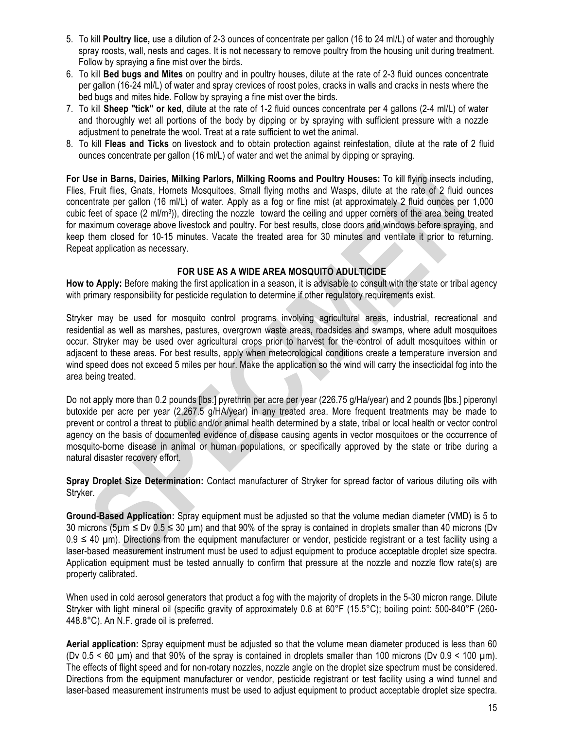- 5. To kill **Poultry lice,** use a dilution of 2-3 ounces of concentrate per gallon (16 to 24 ml/L) of water and thoroughly spray roosts, wall, nests and cages. It is not necessary to remove poultry from the housing unit during treatment. Follow by spraying a fine mist over the birds.
- 6. To kill **Bed bugs and Mites** on poultry and in poultry houses, dilute at the rate of 2-3 fluid ounces concentrate per gallon (16-24 ml/L) of water and spray crevices of roost poles, cracks in walls and cracks in nests where the bed bugs and mites hide. Follow by spraying a fine mist over the birds.
- 7. To kill **Sheep "tick" or ked**, dilute at the rate of 1-2 fluid ounces concentrate per 4 gallons (2-4 ml/L) of water and thoroughly wet all portions of the body by dipping or by spraying with sufficient pressure with a nozzle adjustment to penetrate the wool. Treat at a rate sufficient to wet the animal.
- 8. To kill **Fleas and Ticks** on livestock and to obtain protection against reinfestation, dilute at the rate of 2 fluid ounces concentrate per gallon (16 ml/L) of water and wet the animal by dipping or spraying.

**For Use in Barns, Dairies, Milking Parlors, Milking Rooms and Poultry Houses:** To kill flying insects including, Flies, Fruit flies, Gnats, Hornets Mosquitoes, Small flying moths and Wasps, dilute at the rate of 2 fluid ounces concentrate per gallon (16 ml/L) of water. Apply as a fog or fine mist (at approximately 2 fluid ounces per 1,000 cubic feet of space  $(2 \text{ ml/m}^3)$ , directing the nozzle toward the ceiling and upper corners of the area being treated for maximum coverage above livestock and poultry. For best results, close doors and windows before spraying, and keep them closed for 10-15 minutes. Vacate the treated area for 30 minutes and ventilate it prior to returning. Repeat application as necessary.

#### **FOR USE AS A WIDE AREA MOSQUITO ADULTICIDE**

**How to Apply:** Before making the first application in a season, it is advisable to consult with the state or tribal agency with primary responsibility for pesticide regulation to determine if other regulatory requirements exist.

Stryker may be used for mosquito control programs involving agricultural areas, industrial, recreational and residential as well as marshes, pastures, overgrown waste areas, roadsides and swamps, where adult mosquitoes occur. Stryker may be used over agricultural crops prior to harvest for the control of adult mosquitoes within or adjacent to these areas. For best results, apply when meteorological conditions create a temperature inversion and wind speed does not exceed 5 miles per hour. Make the application so the wind will carry the insecticidal fog into the area being treated.

Do not apply more than 0.2 pounds [lbs.] pyrethrin per acre per year (226.75 g/Ha/year) and 2 pounds [lbs.] piperonyl butoxide per acre per year (2,267.5 g/HA/year) in any treated area. More frequent treatments may be made to prevent or control a threat to public and/or animal health determined by a state, tribal or local health or vector control agency on the basis of documented evidence of disease causing agents in vector mosquitoes or the occurrence of mosquito-borne disease in animal or human populations, or specifically approved by the state or tribe during a natural disaster recovery effort.

**Spray Droplet Size Determination:** Contact manufacturer of Stryker for spread factor of various diluting oils with Stryker.

**Ground-Based Application:** Spray equipment must be adjusted so that the volume median diameter (VMD) is 5 to 30 microns (5µm ≤ Dv 0.5 ≤ 30 µm) and that 90% of the spray is contained in droplets smaller than 40 microns (Dv  $0.9 \le 40$  µm). Directions from the equipment manufacturer or vendor, pesticide registrant or a test facility using a laser-based measurement instrument must be used to adjust equipment to produce acceptable droplet size spectra. Application equipment must be tested annually to confirm that pressure at the nozzle and nozzle flow rate(s) are property calibrated.

When used in cold aerosol generators that product a fog with the majority of droplets in the 5-30 micron range. Dilute Stryker with light mineral oil (specific gravity of approximately 0.6 at 60°F (15.5°C); boiling point: 500-840°F (260- 448.8°C). An N.F. grade oil is preferred.

**Aerial application:** Spray equipment must be adjusted so that the volume mean diameter produced is less than 60 (Dv  $0.5 < 60$  µm) and that 90% of the spray is contained in droplets smaller than 100 microns (Dv  $0.9 < 100$  µm). The effects of flight speed and for non-rotary nozzles, nozzle angle on the droplet size spectrum must be considered. Directions from the equipment manufacturer or vendor, pesticide registrant or test facility using a wind tunnel and laser-based measurement instruments must be used to adjust equipment to product acceptable droplet size spectra.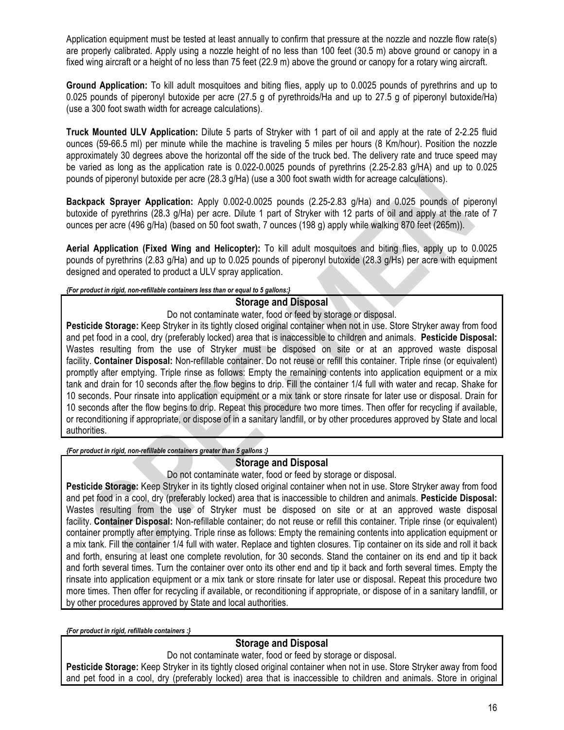Application equipment must be tested at least annually to confirm that pressure at the nozzle and nozzle flow rate(s) are properly calibrated. Apply using a nozzle height of no less than 100 feet (30.5 m) above ground or canopy in a fixed wing aircraft or a height of no less than 75 feet (22.9 m) above the ground or canopy for a rotary wing aircraft.

**Ground Application:** To kill adult mosquitoes and biting flies, apply up to 0.0025 pounds of pyrethrins and up to 0.025 pounds of piperonyl butoxide per acre (27.5 g of pyrethroids/Ha and up to 27.5 g of piperonyl butoxide/Ha) (use a 300 foot swath width for acreage calculations).

**Truck Mounted ULV Application:** Dilute 5 parts of Stryker with 1 part of oil and apply at the rate of 2-2.25 fluid ounces (59-66.5 ml) per minute while the machine is traveling 5 miles per hours (8 Km/hour). Position the nozzle approximately 30 degrees above the horizontal off the side of the truck bed. The delivery rate and truce speed may be varied as long as the application rate is 0.022-0.0025 pounds of pyrethrins (2.25-2.83 g/HA) and up to 0.025 pounds of piperonyl butoxide per acre (28.3 g/Ha) (use a 300 foot swath width for acreage calculations).

**Backpack Sprayer Application:** Apply 0.002-0.0025 pounds (2.25-2.83 g/Ha) and 0.025 pounds of piperonyl butoxide of pyrethrins (28.3 g/Ha) per acre. Dilute 1 part of Stryker with 12 parts of oil and apply at the rate of 7 ounces per acre (496 g/Ha) (based on 50 foot swath, 7 ounces (198 g) apply while walking 870 feet (265m)).

**Aerial Application (Fixed Wing and Helicopter):** To kill adult mosquitoes and biting flies, apply up to 0.0025 pounds of pyrethrins (2.83 g/Ha) and up to 0.025 pounds of piperonyl butoxide (28.3 g/Hs) per acre with equipment designed and operated to product a ULV spray application.

*{For product in rigid, non-refillable containers less than or equal to 5 gallons:}*

#### **Storage and Disposal**

Do not contaminate water, food or feed by storage or disposal.

**Pesticide Storage:** Keep Stryker in its tightly closed original container when not in use. Store Stryker away from food and pet food in a cool, dry (preferably locked) area that is inaccessible to children and animals. **Pesticide Disposal:** Wastes resulting from the use of Stryker must be disposed on site or at an approved waste disposal facility. **Container Disposal:** Non-refillable container. Do not reuse or refill this container. Triple rinse (or equivalent) promptly after emptying. Triple rinse as follows: Empty the remaining contents into application equipment or a mix tank and drain for 10 seconds after the flow begins to drip. Fill the container 1/4 full with water and recap. Shake for 10 seconds. Pour rinsate into application equipment or a mix tank or store rinsate for later use or disposal. Drain for 10 seconds after the flow begins to drip. Repeat this procedure two more times. Then offer for recycling if available, or reconditioning if appropriate, or dispose of in a sanitary landfill, or by other procedures approved by State and local authorities.

*{For product in rigid, non-refillable containers greater than 5 gallons :}*

#### **Storage and Disposal**

Do not contaminate water, food or feed by storage or disposal.

**Pesticide Storage:** Keep Stryker in its tightly closed original container when not in use. Store Stryker away from food and pet food in a cool, dry (preferably locked) area that is inaccessible to children and animals. **Pesticide Disposal:** Wastes resulting from the use of Stryker must be disposed on site or at an approved waste disposal facility. **Container Disposal:** Non-refillable container; do not reuse or refill this container. Triple rinse (or equivalent) container promptly after emptying. Triple rinse as follows: Empty the remaining contents into application equipment or a mix tank. Fill the container 1/4 full with water. Replace and tighten closures. Tip container on its side and roll it back and forth, ensuring at least one complete revolution, for 30 seconds. Stand the container on its end and tip it back and forth several times. Turn the container over onto its other end and tip it back and forth several times. Empty the rinsate into application equipment or a mix tank or store rinsate for later use or disposal. Repeat this procedure two more times. Then offer for recycling if available, or reconditioning if appropriate, or dispose of in a sanitary landfill, or by other procedures approved by State and local authorities.

*{For product in rigid, refillable containers :}*

## **Storage and Disposal**

Do not contaminate water, food or feed by storage or disposal.

**Pesticide Storage:** Keep Stryker in its tightly closed original container when not in use. Store Stryker away from food and pet food in a cool, dry (preferably locked) area that is inaccessible to children and animals. Store in original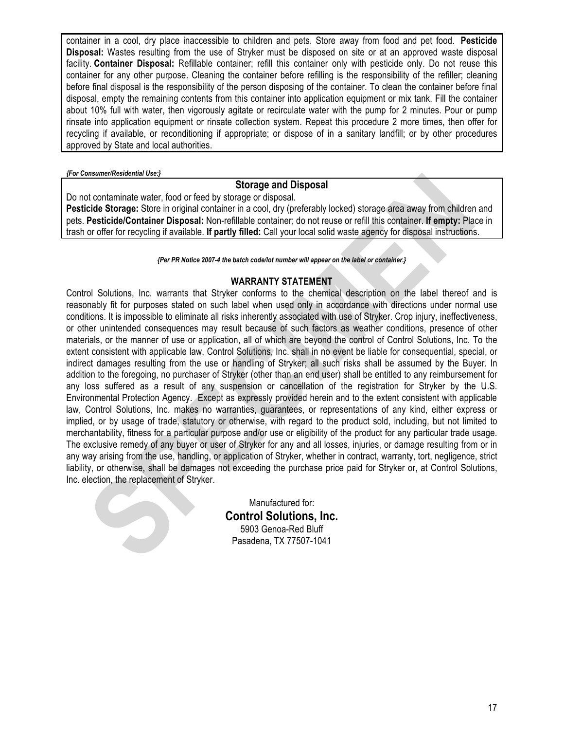container in a cool, dry place inaccessible to children and pets. Store away from food and pet food. **Pesticide Disposal:** Wastes resulting from the use of Stryker must be disposed on site or at an approved waste disposal facility. **Container Disposal:** Refillable container; refill this container only with pesticide only. Do not reuse this container for any other purpose. Cleaning the container before refilling is the responsibility of the refiller; cleaning before final disposal is the responsibility of the person disposing of the container. To clean the container before final disposal, empty the remaining contents from this container into application equipment or mix tank. Fill the container about 10% full with water, then vigorously agitate or recirculate water with the pump for 2 minutes. Pour or pump rinsate into application equipment or rinsate collection system. Repeat this procedure 2 more times, then offer for recycling if available, or reconditioning if appropriate; or dispose of in a sanitary landfill; or by other procedures approved by State and local authorities.

*{For Consumer/Residential Use:}*

#### **Storage and Disposal**

Do not contaminate water, food or feed by storage or disposal.

**Pesticide Storage:** Store in original container in a cool, dry (preferably locked) storage area away from children and pets. **Pesticide/Container Disposal:** Non-refillable container; do not reuse or refill this container. **If empty:** Place in trash or offer for recycling if available. **If partly filled:** Call your local solid waste agency for disposal instructions.

*{Per PR Notice 2007-4 the batch code/lot number will appear on the label or container.}*

#### **WARRANTY STATEMENT**

Control Solutions, Inc. warrants that Stryker conforms to the chemical description on the label thereof and is reasonably fit for purposes stated on such label when used only in accordance with directions under normal use conditions. It is impossible to eliminate all risks inherently associated with use of Stryker. Crop injury, ineffectiveness, or other unintended consequences may result because of such factors as weather conditions, presence of other materials, or the manner of use or application, all of which are beyond the control of Control Solutions, Inc. To the extent consistent with applicable law, Control Solutions, Inc. shall in no event be liable for consequential, special, or indirect damages resulting from the use or handling of Stryker; all such risks shall be assumed by the Buyer. In addition to the foregoing, no purchaser of Stryker (other than an end user) shall be entitled to any reimbursement for any loss suffered as a result of any suspension or cancellation of the registration for Stryker by the U.S. Environmental Protection Agency. Except as expressly provided herein and to the extent consistent with applicable law, Control Solutions, Inc. makes no warranties, guarantees, or representations of any kind, either express or implied, or by usage of trade, statutory or otherwise, with regard to the product sold, including, but not limited to merchantability, fitness for a particular purpose and/or use or eligibility of the product for any particular trade usage. The exclusive remedy of any buyer or user of Stryker for any and all losses, injuries, or damage resulting from or in any way arising from the use, handling, or application of Stryker, whether in contract, warranty, tort, negligence, strict liability, or otherwise, shall be damages not exceeding the purchase price paid for Stryker or, at Control Solutions, Inc. election, the replacement of Stryker.

> Manufactured for: **Control Solutions, Inc.** 5903 Genoa-Red Bluff Pasadena, TX 77507-1041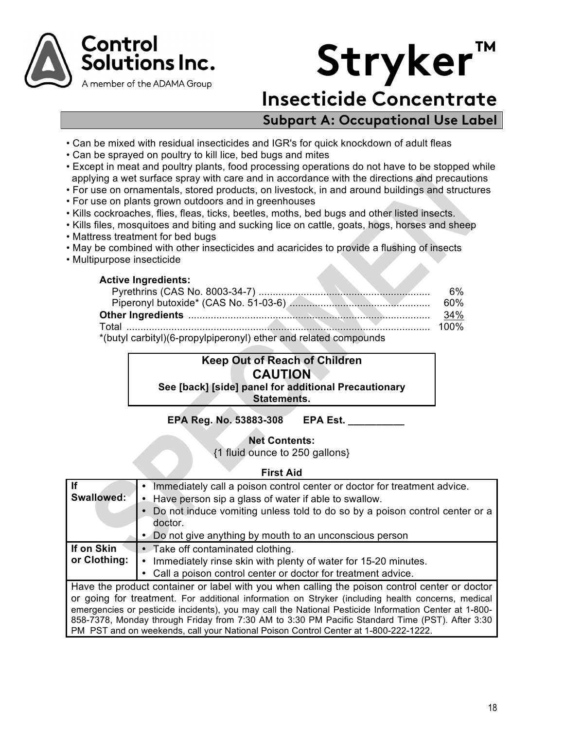



# **Insecticide Concentrate**

# **Subpart A: Occupational Use Label**

- Can be mixed with residual insecticides and IGR's for quick knockdown of adult fleas
- Can be sprayed on poultry to kill lice, bed bugs and mites
- Except in meat and poultry plants, food processing operations do not have to be stopped while applying a wet surface spray with care and in accordance with the directions and precautions
- For use on ornamentals, stored products, on livestock, in and around buildings and structures
- For use on plants grown outdoors and in greenhouses
- Kills cockroaches, flies, fleas, ticks, beetles, moths, bed bugs and other listed insects.
- Kills files, mosquitoes and biting and sucking lice on cattle, goats, hogs, horses and sheep
- Mattress treatment for bed bugs
- May be combined with other insecticides and acaricides to provide a flushing of insects
- Multipurpose insecticide

#### **Active Ingredients:**

|                                                                  | 6% |
|------------------------------------------------------------------|----|
|                                                                  |    |
|                                                                  |    |
|                                                                  |    |
| *(butyl carbityl)(6-propylpineropyl) ether and related compounds |    |

## ityl carbityl)(6-propylpiperonyl) ether and relate

#### **Keep Out of Reach of Children CAUTION See [back] [side] panel for additional Precautionary Statements.**

**EPA Reg. No. 53883-308 EPA Est. \_\_\_\_\_\_\_\_\_\_**

#### **Net Contents:**

{1 fluid ounce to 250 gallons}

#### **First Aid**

| If<br>Swallowed:           | Immediately call a poison control center or doctor for treatment advice.<br>Have person sip a glass of water if able to swallow.                                                                                                                                                                                                                                                                                                                                                                      |
|----------------------------|-------------------------------------------------------------------------------------------------------------------------------------------------------------------------------------------------------------------------------------------------------------------------------------------------------------------------------------------------------------------------------------------------------------------------------------------------------------------------------------------------------|
|                            | Do not induce vomiting unless told to do so by a poison control center or a<br>doctor.<br>• Do not give anything by mouth to an unconscious person                                                                                                                                                                                                                                                                                                                                                    |
| If on Skin<br>or Clothing: | • Take off contaminated clothing.<br>• Immediately rinse skin with plenty of water for 15-20 minutes.<br>• Call a poison control center or doctor for treatment advice.                                                                                                                                                                                                                                                                                                                               |
|                            | Have the product container or label with you when calling the poison control center or doctor<br>or going for treatment. For additional information on Stryker (including health concerns, medical<br>emergencies or pesticide incidents), you may call the National Pesticide Information Center at 1-800-<br>858-7378, Monday through Friday from 7:30 AM to 3:30 PM Pacific Standard Time (PST). After 3:30<br>PM PST and on weekends, call your National Poison Control Center at 1-800-222-1222. |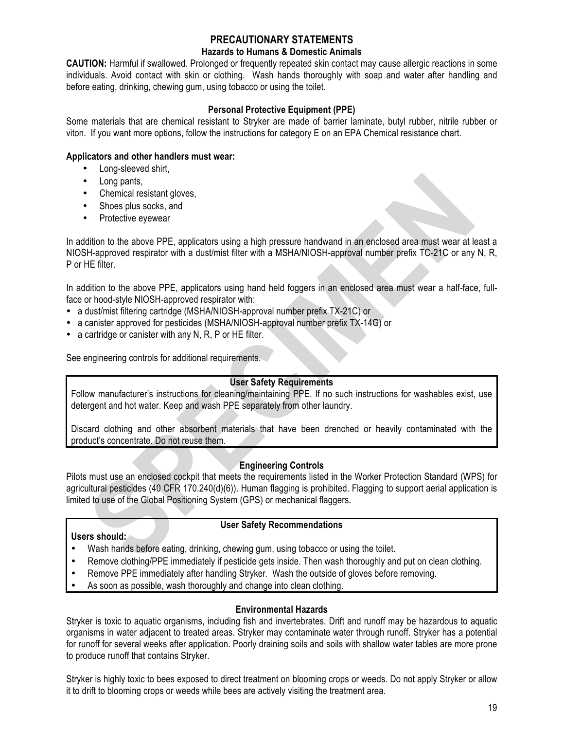#### **PRECAUTIONARY STATEMENTS**

#### **Hazards to Humans & Domestic Animals**

**CAUTION:** Harmful if swallowed. Prolonged or frequently repeated skin contact may cause allergic reactions in some individuals. Avoid contact with skin or clothing. Wash hands thoroughly with soap and water after handling and before eating, drinking, chewing gum, using tobacco or using the toilet.

#### **Personal Protective Equipment (PPE)**

Some materials that are chemical resistant to Stryker are made of barrier laminate, butyl rubber, nitrile rubber or viton. If you want more options, follow the instructions for category E on an EPA Chemical resistance chart.

#### **Applicators and other handlers must wear:**

- Long-sleeved shirt,
- Long pants,
- Chemical resistant gloves,
- Shoes plus socks, and
- Protective eyewear

In addition to the above PPE, applicators using a high pressure handwand in an enclosed area must wear at least a NIOSH-approved respirator with a dust/mist filter with a MSHA/NIOSH-approval number prefix TC-21C or any N, R, P or HE filter.

In addition to the above PPE, applicators using hand held foggers in an enclosed area must wear a half-face, fullface or hood-style NIOSH-approved respirator with:

- a dust/mist filtering cartridge (MSHA/NIOSH-approval number prefix TX-21C) or
- a canister approved for pesticides (MSHA/NIOSH-approval number prefix TX-14G) or
- a cartridge or canister with any N, R, P or HE filter.

See engineering controls for additional requirements.

#### **User Safety Requirements**

Follow manufacturer's instructions for cleaning/maintaining PPE. If no such instructions for washables exist, use detergent and hot water. Keep and wash PPE separately from other laundry.

Discard clothing and other absorbent materials that have been drenched or heavily contaminated with the product's concentrate. Do not reuse them.

#### **Engineering Controls**

Pilots must use an enclosed cockpit that meets the requirements listed in the Worker Protection Standard (WPS) for agricultural pesticides (40 CFR 170.240(d)(6)). Human flagging is prohibited. Flagging to support aerial application is limited to use of the Global Positioning System (GPS) or mechanical flaggers.

**Users should:**

#### **User Safety Recommendations**

- Wash hands before eating, drinking, chewing gum, using tobacco or using the toilet.
- Remove clothing/PPE immediately if pesticide gets inside. Then wash thoroughly and put on clean clothing.
- Remove PPE immediately after handling Stryker. Wash the outside of gloves before removing.
- As soon as possible, wash thoroughly and change into clean clothing.

#### **Environmental Hazards**

Stryker is toxic to aquatic organisms, including fish and invertebrates. Drift and runoff may be hazardous to aquatic organisms in water adjacent to treated areas. Stryker may contaminate water through runoff. Stryker has a potential for runoff for several weeks after application. Poorly draining soils and soils with shallow water tables are more prone to produce runoff that contains Stryker.

Stryker is highly toxic to bees exposed to direct treatment on blooming crops or weeds. Do not apply Stryker or allow it to drift to blooming crops or weeds while bees are actively visiting the treatment area.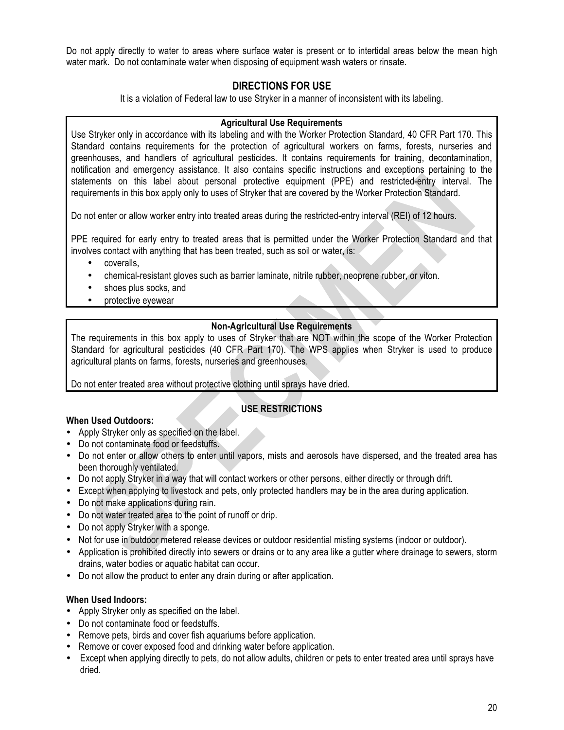Do not apply directly to water to areas where surface water is present or to intertidal areas below the mean high water mark. Do not contaminate water when disposing of equipment wash waters or rinsate.

#### **DIRECTIONS FOR USE**

It is a violation of Federal law to use Stryker in a manner of inconsistent with its labeling.

#### **Agricultural Use Requirements**

Use Stryker only in accordance with its labeling and with the Worker Protection Standard, 40 CFR Part 170. This Standard contains requirements for the protection of agricultural workers on farms, forests, nurseries and greenhouses, and handlers of agricultural pesticides. It contains requirements for training, decontamination, notification and emergency assistance. It also contains specific instructions and exceptions pertaining to the statements on this label about personal protective equipment (PPE) and restricted-entry interval. The requirements in this box apply only to uses of Stryker that are covered by the Worker Protection Standard.

Do not enter or allow worker entry into treated areas during the restricted-entry interval (REI) of 12 hours.

PPE required for early entry to treated areas that is permitted under the Worker Protection Standard and that involves contact with anything that has been treated, such as soil or water, is:

- coveralls,
- chemical-resistant gloves such as barrier laminate, nitrile rubber, neoprene rubber, or viton.
- shoes plus socks, and
- protective eyewear

#### **Non-Agricultural Use Requirements**

The requirements in this box apply to uses of Stryker that are NOT within the scope of the Worker Protection Standard for agricultural pesticides (40 CFR Part 170). The WPS applies when Stryker is used to produce agricultural plants on farms, forests, nurseries and greenhouses.

Do not enter treated area without protective clothing until sprays have dried.

#### **USE RESTRICTIONS**

#### **When Used Outdoors:**

- Apply Stryker only as specified on the label.
- Do not contaminate food or feedstuffs.
- Do not enter or allow others to enter until vapors, mists and aerosols have dispersed, and the treated area has been thoroughly ventilated.
- Do not apply Stryker in a way that will contact workers or other persons, either directly or through drift.
- Except when applying to livestock and pets, only protected handlers may be in the area during application.
- Do not make applications during rain.
- Do not water treated area to the point of runoff or drip.
- Do not apply Stryker with a sponge.
- Not for use in outdoor metered release devices or outdoor residential misting systems (indoor or outdoor).
- Application is prohibited directly into sewers or drains or to any area like a gutter where drainage to sewers, storm drains, water bodies or aquatic habitat can occur.
- Do not allow the product to enter any drain during or after application.

#### **When Used Indoors:**

- Apply Stryker only as specified on the label.
- Do not contaminate food or feedstuffs.
- Remove pets, birds and cover fish aquariums before application.
- Remove or cover exposed food and drinking water before application.
- Except when applying directly to pets, do not allow adults, children or pets to enter treated area until sprays have dried.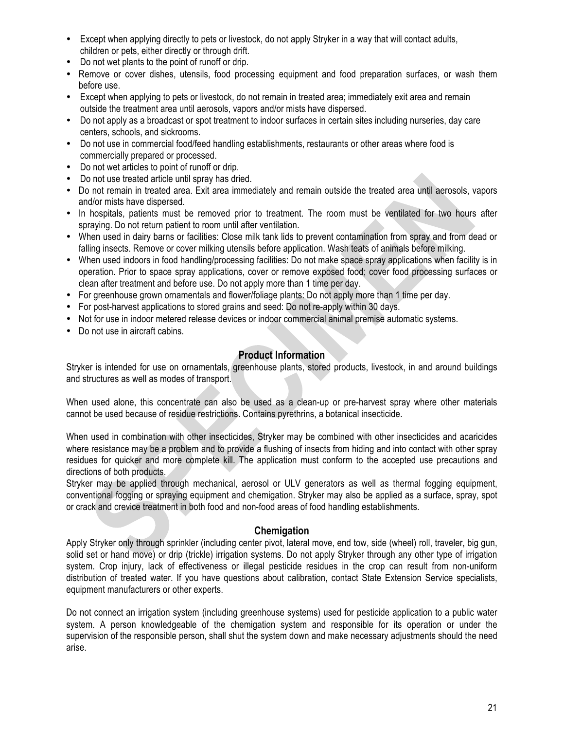- Except when applying directly to pets or livestock, do not apply Stryker in a way that will contact adults, children or pets, either directly or through drift.
- Do not wet plants to the point of runoff or drip.
- Remove or cover dishes, utensils, food processing equipment and food preparation surfaces, or wash them before use.
- Except when applying to pets or livestock, do not remain in treated area; immediately exit area and remain outside the treatment area until aerosols, vapors and/or mists have dispersed.
- Do not apply as a broadcast or spot treatment to indoor surfaces in certain sites including nurseries, day care centers, schools, and sickrooms.
- Do not use in commercial food/feed handling establishments, restaurants or other areas where food is commercially prepared or processed.
- Do not wet articles to point of runoff or drip.
- Do not use treated article until spray has dried.
- Do not remain in treated area. Exit area immediately and remain outside the treated area until aerosols, vapors and/or mists have dispersed.
- In hospitals, patients must be removed prior to treatment. The room must be ventilated for two hours after spraying. Do not return patient to room until after ventilation.
- When used in dairy barns or facilities: Close milk tank lids to prevent contamination from spray and from dead or falling insects. Remove or cover milking utensils before application. Wash teats of animals before milking.
- When used indoors in food handling/processing facilities: Do not make space spray applications when facility is in operation. Prior to space spray applications, cover or remove exposed food; cover food processing surfaces or clean after treatment and before use. Do not apply more than 1 time per day.
- For greenhouse grown ornamentals and flower/foliage plants: Do not apply more than 1 time per day.
- For post-harvest applications to stored grains and seed: Do not re-apply within 30 days.
- Not for use in indoor metered release devices or indoor commercial animal premise automatic systems.
- Do not use in aircraft cabins.

# **Product Information**

Stryker is intended for use on ornamentals, greenhouse plants, stored products, livestock, in and around buildings and structures as well as modes of transport.

When used alone, this concentrate can also be used as a clean-up or pre-harvest spray where other materials cannot be used because of residue restrictions. Contains pyrethrins, a botanical insecticide.

When used in combination with other insecticides, Stryker may be combined with other insecticides and acaricides where resistance may be a problem and to provide a flushing of insects from hiding and into contact with other spray residues for quicker and more complete kill. The application must conform to the accepted use precautions and directions of both products.

Stryker may be applied through mechanical, aerosol or ULV generators as well as thermal fogging equipment, conventional fogging or spraying equipment and chemigation. Stryker may also be applied as a surface, spray, spot or crack and crevice treatment in both food and non-food areas of food handling establishments.

#### **Chemigation**

Apply Stryker only through sprinkler (including center pivot, lateral move, end tow, side (wheel) roll, traveler, big gun, solid set or hand move) or drip (trickle) irrigation systems. Do not apply Stryker through any other type of irrigation system. Crop injury, lack of effectiveness or illegal pesticide residues in the crop can result from non-uniform distribution of treated water. If you have questions about calibration, contact State Extension Service specialists, equipment manufacturers or other experts.

Do not connect an irrigation system (including greenhouse systems) used for pesticide application to a public water system. A person knowledgeable of the chemigation system and responsible for its operation or under the supervision of the responsible person, shall shut the system down and make necessary adjustments should the need arise.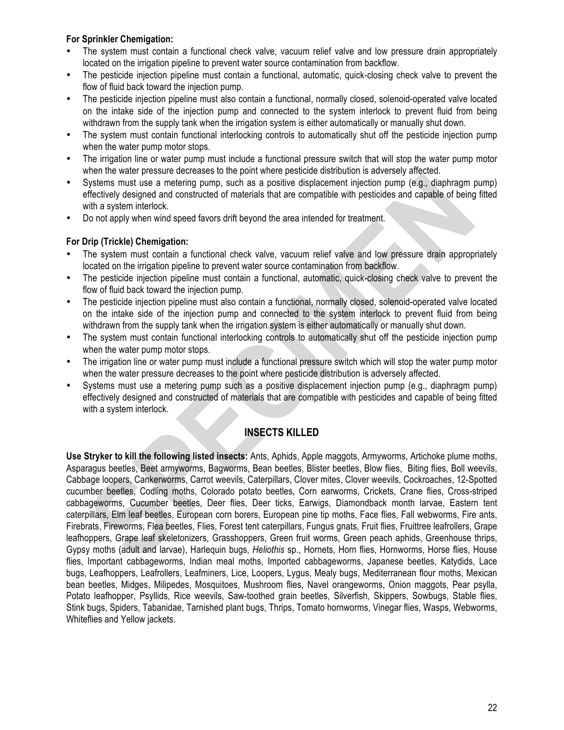#### **For Sprinkler Chemigation:**

- The system must contain a functional check valve, vacuum relief valve and low pressure drain appropriately located on the irrigation pipeline to prevent water source contamination from backflow.
- The pesticide injection pipeline must contain a functional, automatic, quick-closing check valve to prevent the flow of fluid back toward the injection pump.
- The pesticide injection pipeline must also contain a functional, normally closed, solenoid-operated valve located on the intake side of the injection pump and connected to the system interlock to prevent fluid from being withdrawn from the supply tank when the irrigation system is either automatically or manually shut down.
- The system must contain functional interlocking controls to automatically shut off the pesticide injection pump when the water pump motor stops.
- The irrigation line or water pump must include a functional pressure switch that will stop the water pump motor when the water pressure decreases to the point where pesticide distribution is adversely affected.
- Systems must use a metering pump, such as a positive displacement injection pump (e.g., diaphragm pump) effectively designed and constructed of materials that are compatible with pesticides and capable of being fitted with a system interlock.
- Do not apply when wind speed favors drift beyond the area intended for treatment.

#### **For Drip (Trickle) Chemigation:**

- The system must contain a functional check valve, vacuum relief valve and low pressure drain appropriately located on the irrigation pipeline to prevent water source contamination from backflow.
- The pesticide injection pipeline must contain a functional, automatic, quick-closing check valve to prevent the flow of fluid back toward the injection pump.
- The pesticide injection pipeline must also contain a functional, normally closed, solenoid-operated valve located on the intake side of the injection pump and connected to the system interlock to prevent fluid from being withdrawn from the supply tank when the irrigation system is either automatically or manually shut down.
- The system must contain functional interlocking controls to automatically shut off the pesticide injection pump when the water pump motor stops.
- The irrigation line or water pump must include a functional pressure switch which will stop the water pump motor when the water pressure decreases to the point where pesticide distribution is adversely affected.
- Systems must use a metering pump such as a positive displacement injection pump (e.g., diaphragm pump) effectively designed and constructed of materials that are compatible with pesticides and capable of being fitted with a system interlock.

## **INSECTS KILLED**

**Use Stryker to kill the following listed insects:** Ants, Aphids, Apple maggots, Armyworms, Artichoke plume moths, Asparagus beetles, Beet armyworms, Bagworms, Bean beetles, Blister beetles, Blow flies, Biting flies, Boll weevils, Cabbage loopers, Cankerworms, Carrot weevils, Caterpillars, Clover mites, Clover weevils, Cockroaches, 12-Spotted cucumber beetles, Codling moths, Colorado potato beetles, Corn earworms, Crickets, Crane flies, Cross-striped cabbageworms, Cucumber beetles, Deer flies, Deer ticks, Earwigs, Diamondback month larvae, Eastern tent caterpillars, Elm leaf beetles, European corn borers, European pine tip moths, Face flies, Fall webworms, Fire ants, Firebrats, Fireworms, Flea beetles, Flies, Forest tent caterpillars, Fungus gnats, Fruit flies, Fruittree leafrollers, Grape leafhoppers, Grape leaf skeletonizers, Grasshoppers, Green fruit worms, Green peach aphids, Greenhouse thrips, Gypsy moths (adult and larvae), Harlequin bugs, *Heliothis* sp., Hornets, Horn flies, Hornworms, Horse flies, House flies, Important cabbageworms, Indian meal moths, Imported cabbageworms, Japanese beetles, Katydids, Lace bugs, Leafhoppers, Leafrollers, Leafminers, Lice, Loopers, Lygus, Mealy bugs, Mediterranean flour moths, Mexican bean beetles, Midges, Milipedes, Mosquitoes, Mushroom flies, Navel orangeworms, Onion maggots, Pear psylla, Potato leafhopper, Psyllids, Rice weevils, Saw-toothed grain beetles, Silverfish, Skippers, Sowbugs, Stable flies, Stink bugs, Spiders, Tabanidae, Tarnished plant bugs, Thrips, Tomato hornworms, Vinegar flies, Wasps, Webworms, Whiteflies and Yellow jackets.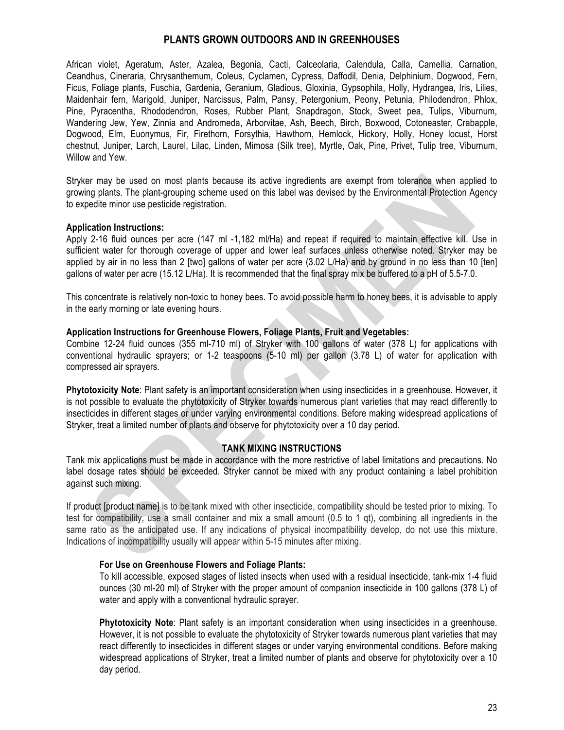#### **PLANTS GROWN OUTDOORS AND IN GREENHOUSES**

African violet, Ageratum, Aster, Azalea, Begonia, Cacti, Calceolaria, Calendula, Calla, Camellia, Carnation, Ceandhus, Cineraria, Chrysanthemum, Coleus, Cyclamen, Cypress, Daffodil, Denia, Delphinium, Dogwood, Fern, Ficus, Foliage plants, Fuschia, Gardenia, Geranium, Gladious, Gloxinia, Gypsophila, Holly, Hydrangea, Iris, Lilies, Maidenhair fern, Marigold, Juniper, Narcissus, Palm, Pansy, Petergonium, Peony, Petunia, Philodendron, Phlox, Pine, Pyracentha, Rhododendron, Roses, Rubber Plant, Snapdragon, Stock, Sweet pea, Tulips, Viburnum, Wandering Jew, Yew, Zinnia and Andromeda, Arborvitae, Ash, Beech, Birch, Boxwood, Cotoneaster, Crabapple, Dogwood, Elm, Euonymus, Fir, Firethorn, Forsythia, Hawthorn, Hemlock, Hickory, Holly, Honey locust, Horst chestnut, Juniper, Larch, Laurel, Lilac, Linden, Mimosa (Silk tree), Myrtle, Oak, Pine, Privet, Tulip tree, Viburnum, Willow and Yew.

Stryker may be used on most plants because its active ingredients are exempt from tolerance when applied to growing plants. The plant-grouping scheme used on this label was devised by the Environmental Protection Agency to expedite minor use pesticide registration.

#### **Application Instructions:**

Apply 2-16 fluid ounces per acre (147 ml -1,182 ml/Ha) and repeat if required to maintain effective kill. Use in sufficient water for thorough coverage of upper and lower leaf surfaces unless otherwise noted. Stryker may be applied by air in no less than 2 [two] gallons of water per acre (3.02 L/Ha) and by ground in no less than 10 [ten] gallons of water per acre (15.12 L/Ha). It is recommended that the final spray mix be buffered to a pH of 5.5-7.0.

This concentrate is relatively non-toxic to honey bees. To avoid possible harm to honey bees, it is advisable to apply in the early morning or late evening hours.

#### **Application Instructions for Greenhouse Flowers, Foliage Plants, Fruit and Vegetables:**

Combine 12-24 fluid ounces (355 ml-710 ml) of Stryker with 100 gallons of water (378 L) for applications with conventional hydraulic sprayers; or 1-2 teaspoons (5-10 ml) per gallon (3.78 L) of water for application with compressed air sprayers.

**Phytotoxicity Note**: Plant safety is an important consideration when using insecticides in a greenhouse. However, it is not possible to evaluate the phytotoxicity of Stryker towards numerous plant varieties that may react differently to insecticides in different stages or under varying environmental conditions. Before making widespread applications of Stryker, treat a limited number of plants and observe for phytotoxicity over a 10 day period.

#### **TANK MIXING INSTRUCTIONS**

Tank mix applications must be made in accordance with the more restrictive of label limitations and precautions. No label dosage rates should be exceeded. Stryker cannot be mixed with any product containing a label prohibition against such mixing.

If product [product name] is to be tank mixed with other insecticide, compatibility should be tested prior to mixing. To test for compatibility, use a small container and mix a small amount (0.5 to 1 qt), combining all ingredients in the same ratio as the anticipated use. If any indications of physical incompatibility develop, do not use this mixture. Indications of incompatibility usually will appear within 5-15 minutes after mixing.

#### **For Use on Greenhouse Flowers and Foliage Plants:**

To kill accessible, exposed stages of listed insects when used with a residual insecticide, tank-mix 1-4 fluid ounces (30 ml-20 ml) of Stryker with the proper amount of companion insecticide in 100 gallons (378 L) of water and apply with a conventional hydraulic sprayer.

**Phytotoxicity Note**: Plant safety is an important consideration when using insecticides in a greenhouse. However, it is not possible to evaluate the phytotoxicity of Stryker towards numerous plant varieties that may react differently to insecticides in different stages or under varying environmental conditions. Before making widespread applications of Stryker, treat a limited number of plants and observe for phytotoxicity over a 10 day period.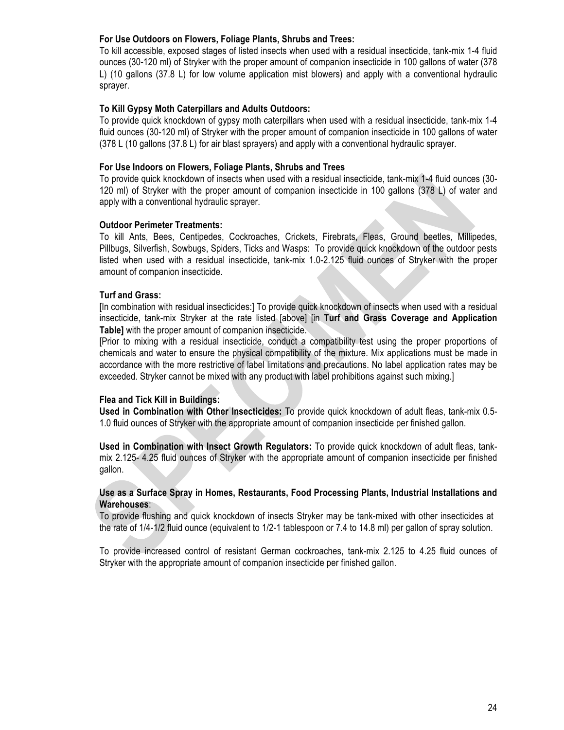#### **For Use Outdoors on Flowers, Foliage Plants, Shrubs and Trees:**

To kill accessible, exposed stages of listed insects when used with a residual insecticide, tank-mix 1-4 fluid ounces (30-120 ml) of Stryker with the proper amount of companion insecticide in 100 gallons of water (378 L) (10 gallons (37.8 L) for low volume application mist blowers) and apply with a conventional hydraulic sprayer.

#### **To Kill Gypsy Moth Caterpillars and Adults Outdoors:**

To provide quick knockdown of gypsy moth caterpillars when used with a residual insecticide, tank-mix 1-4 fluid ounces (30-120 ml) of Stryker with the proper amount of companion insecticide in 100 gallons of water (378 L (10 gallons (37.8 L) for air blast sprayers) and apply with a conventional hydraulic sprayer.

#### **For Use Indoors on Flowers, Foliage Plants, Shrubs and Trees**

To provide quick knockdown of insects when used with a residual insecticide, tank-mix 1-4 fluid ounces (30- 120 ml) of Stryker with the proper amount of companion insecticide in 100 gallons (378 L) of water and apply with a conventional hydraulic sprayer.

#### **Outdoor Perimeter Treatments:**

To kill Ants, Bees, Centipedes, Cockroaches, Crickets, Firebrats, Fleas, Ground beetles, Millipedes, Pillbugs, Silverfish, Sowbugs, Spiders, Ticks and Wasps: To provide quick knockdown of the outdoor pests listed when used with a residual insecticide, tank-mix 1.0-2.125 fluid ounces of Stryker with the proper amount of companion insecticide.

#### **Turf and Grass:**

[In combination with residual insecticides:] To provide quick knockdown of insects when used with a residual insecticide, tank-mix Stryker at the rate listed [above] [in **Turf and Grass Coverage and Application Table]** with the proper amount of companion insecticide.

[Prior to mixing with a residual insecticide, conduct a compatibility test using the proper proportions of chemicals and water to ensure the physical compatibility of the mixture. Mix applications must be made in accordance with the more restrictive of label limitations and precautions. No label application rates may be exceeded. Stryker cannot be mixed with any product with label prohibitions against such mixing.]

#### **Flea and Tick Kill in Buildings:**

**Used in Combination with Other Insecticides:** To provide quick knockdown of adult fleas, tank-mix 0.5- 1.0 fluid ounces of Stryker with the appropriate amount of companion insecticide per finished gallon.

**Used in Combination with Insect Growth Regulators:** To provide quick knockdown of adult fleas, tankmix 2.125- 4.25 fluid ounces of Stryker with the appropriate amount of companion insecticide per finished gallon.

#### **Use as a Surface Spray in Homes, Restaurants, Food Processing Plants, Industrial Installations and Warehouses**:

To provide flushing and quick knockdown of insects Stryker may be tank-mixed with other insecticides at the rate of 1/4-1/2 fluid ounce (equivalent to 1/2-1 tablespoon or 7.4 to 14.8 ml) per gallon of spray solution.

To provide increased control of resistant German cockroaches, tank-mix 2.125 to 4.25 fluid ounces of Stryker with the appropriate amount of companion insecticide per finished gallon.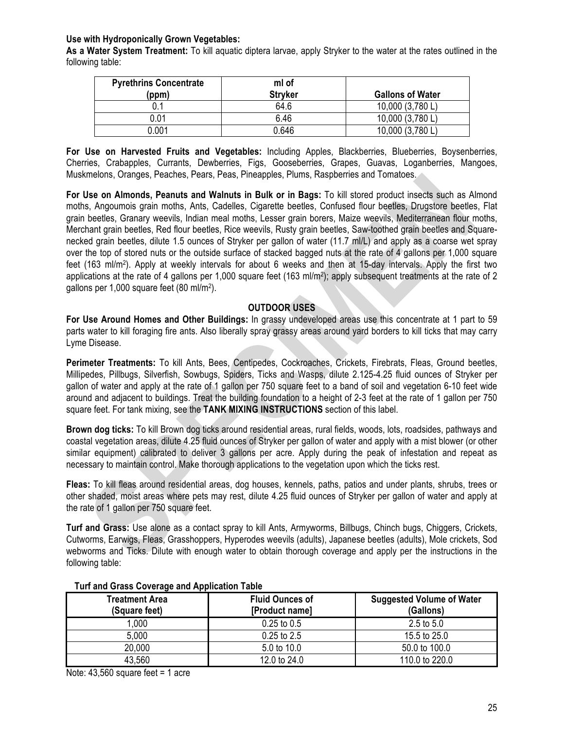#### **Use with Hydroponically Grown Vegetables:**

**As a Water System Treatment:** To kill aquatic diptera larvae, apply Stryker to the water at the rates outlined in the following table:

| <b>Pyrethrins Concentrate</b><br>(ppm) | ml of<br><b>Stryker</b> | <b>Gallons of Water</b> |
|----------------------------------------|-------------------------|-------------------------|
|                                        | 64.6                    | 10,000 (3,780 L)        |
| 0.01                                   | 6.46                    | 10,000 (3,780 L)        |
| 0.001                                  | 0.646                   | 10,000 (3,780 L)        |

**For Use on Harvested Fruits and Vegetables:** Including Apples, Blackberries, Blueberries, Boysenberries, Cherries, Crabapples, Currants, Dewberries, Figs, Gooseberries, Grapes, Guavas, Loganberries, Mangoes, Muskmelons, Oranges, Peaches, Pears, Peas, Pineapples, Plums, Raspberries and Tomatoes.

**For Use on Almonds, Peanuts and Walnuts in Bulk or in Bags:** To kill stored product insects such as Almond moths, Angoumois grain moths, Ants, Cadelles, Cigarette beetles, Confused flour beetles, Drugstore beetles, Flat grain beetles, Granary weevils, Indian meal moths, Lesser grain borers, Maize weevils, Mediterranean flour moths, Merchant grain beetles, Red flour beetles, Rice weevils, Rusty grain beetles, Saw-toothed grain beetles and Squarenecked grain beetles, dilute 1.5 ounces of Stryker per gallon of water (11.7 ml/L) and apply as a coarse wet spray over the top of stored nuts or the outside surface of stacked bagged nuts at the rate of 4 gallons per 1,000 square feet (163 ml/m2). Apply at weekly intervals for about 6 weeks and then at 15-day intervals. Apply the first two applications at the rate of 4 gallons per 1,000 square feet (163 ml/m<sup>2</sup>); apply subsequent treatments at the rate of 2 gallons per 1,000 square feet (80 ml/m2).

#### **OUTDOOR USES**

**For Use Around Homes and Other Buildings:** In grassy undeveloped areas use this concentrate at 1 part to 59 parts water to kill foraging fire ants. Also liberally spray grassy areas around yard borders to kill ticks that may carry Lyme Disease.

**Perimeter Treatments:** To kill Ants, Bees, Centipedes, Cockroaches, Crickets, Firebrats, Fleas, Ground beetles, Millipedes, Pillbugs, Silverfish, Sowbugs, Spiders, Ticks and Wasps, dilute 2.125-4.25 fluid ounces of Stryker per gallon of water and apply at the rate of 1 gallon per 750 square feet to a band of soil and vegetation 6-10 feet wide around and adjacent to buildings. Treat the building foundation to a height of 2-3 feet at the rate of 1 gallon per 750 square feet. For tank mixing, see the **TANK MIXING INSTRUCTIONS** section of this label.

**Brown dog ticks:** To kill Brown dog ticks around residential areas, rural fields, woods, lots, roadsides, pathways and coastal vegetation areas, dilute 4.25 fluid ounces of Stryker per gallon of water and apply with a mist blower (or other similar equipment) calibrated to deliver 3 gallons per acre. Apply during the peak of infestation and repeat as necessary to maintain control. Make thorough applications to the vegetation upon which the ticks rest.

**Fleas:** To kill fleas around residential areas, dog houses, kennels, paths, patios and under plants, shrubs, trees or other shaded, moist areas where pets may rest, dilute 4.25 fluid ounces of Stryker per gallon of water and apply at the rate of 1 gallon per 750 square feet.

**Turf and Grass:** Use alone as a contact spray to kill Ants, Armyworms, Billbugs, Chinch bugs, Chiggers, Crickets, Cutworms, Earwigs, Fleas, Grasshoppers, Hyperodes weevils (adults), Japanese beetles (adults), Mole crickets, Sod webworms and Ticks. Dilute with enough water to obtain thorough coverage and apply per the instructions in the following table:

| <b>Treatment Area</b><br>(Square feet) | <b>Fluid Ounces of</b><br>[Product name] | <b>Suggested Volume of Water</b><br>(Gallons) |
|----------------------------------------|------------------------------------------|-----------------------------------------------|
| 1.000                                  | $0.25$ to $0.5$                          | $2.5 \text{ to } 5.0$                         |
| 5,000                                  | $0.25$ to $2.5$                          | 15.5 to 25.0                                  |
| 20,000                                 | 5.0 to 10.0                              | 50.0 to 100.0                                 |
| 43,560                                 | 12.0 to 24.0                             | 110.0 to 220.0                                |

#### **Turf and Grass Coverage and Application Table**

Note: 43,560 square feet = 1 acre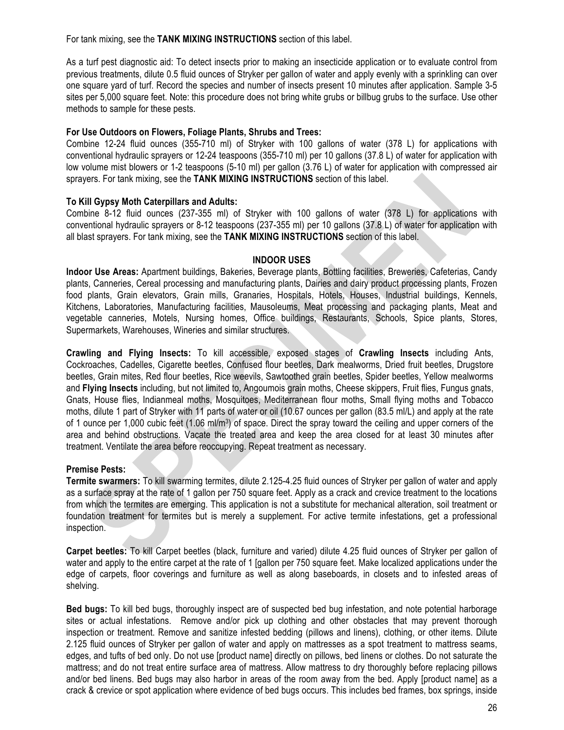For tank mixing, see the **TANK MIXING INSTRUCTIONS** section of this label.

As a turf pest diagnostic aid: To detect insects prior to making an insecticide application or to evaluate control from previous treatments, dilute 0.5 fluid ounces of Stryker per gallon of water and apply evenly with a sprinkling can over one square yard of turf. Record the species and number of insects present 10 minutes after application. Sample 3-5 sites per 5,000 square feet. Note: this procedure does not bring white grubs or billbug grubs to the surface. Use other methods to sample for these pests.

#### **For Use Outdoors on Flowers, Foliage Plants, Shrubs and Trees:**

Combine 12-24 fluid ounces (355-710 ml) of Stryker with 100 gallons of water (378 L) for applications with conventional hydraulic sprayers or 12-24 teaspoons (355-710 ml) per 10 gallons (37.8 L) of water for application with low volume mist blowers or 1-2 teaspoons (5-10 ml) per gallon (3.76 L) of water for application with compressed air sprayers. For tank mixing, see the **TANK MIXING INSTRUCTIONS** section of this label.

#### **To Kill Gypsy Moth Caterpillars and Adults:**

Combine 8-12 fluid ounces (237-355 ml) of Stryker with 100 gallons of water (378 L) for applications with conventional hydraulic sprayers or 8-12 teaspoons (237-355 ml) per 10 gallons (37.8 L) of water for application with all blast sprayers. For tank mixing, see the **TANK MIXING INSTRUCTIONS** section of this label.

#### **INDOOR USES**

**Indoor Use Areas:** Apartment buildings, Bakeries, Beverage plants, Bottling facilities, Breweries, Cafeterias, Candy plants, Canneries, Cereal processing and manufacturing plants, Dairies and dairy product processing plants, Frozen food plants, Grain elevators, Grain mills, Granaries, Hospitals, Hotels, Houses, Industrial buildings, Kennels, Kitchens, Laboratories, Manufacturing facilities, Mausoleums, Meat processing and packaging plants, Meat and vegetable canneries, Motels, Nursing homes, Office buildings, Restaurants, Schools, Spice plants, Stores, Supermarkets, Warehouses, Wineries and similar structures.

**Crawling and Flying Insects:** To kill accessible, exposed stages of **Crawling Insects** including Ants, Cockroaches, Cadelles, Cigarette beetles, Confused flour beetles, Dark mealworms, Dried fruit beetles, Drugstore beetles, Grain mites, Red flour beetles, Rice weevils, Sawtoothed grain beetles, Spider beetles, Yellow mealworms and **Flying Insects** including, but not limited to, Angoumois grain moths, Cheese skippers, Fruit flies, Fungus gnats, Gnats, House flies, Indianmeal moths, Mosquitoes, Mediterranean flour moths, Small flying moths and Tobacco moths, dilute 1 part of Stryker with 11 parts of water or oil (10.67 ounces per gallon (83.5 ml/L) and apply at the rate of 1 ounce per 1,000 cubic feet (1.06 ml/m<sup>3</sup>) of space. Direct the spray toward the ceiling and upper corners of the area and behind obstructions. Vacate the treated area and keep the area closed for at least 30 minutes after treatment. Ventilate the area before reoccupying. Repeat treatment as necessary.

#### **Premise Pests:**

**Termite swarmers:** To kill swarming termites, dilute 2.125-4.25 fluid ounces of Stryker per gallon of water and apply as a surface spray at the rate of 1 gallon per 750 square feet. Apply as a crack and crevice treatment to the locations from which the termites are emerging. This application is not a substitute for mechanical alteration, soil treatment or foundation treatment for termites but is merely a supplement. For active termite infestations, get a professional inspection.

**Carpet beetles:** To kill Carpet beetles (black, furniture and varied) dilute 4.25 fluid ounces of Stryker per gallon of water and apply to the entire carpet at the rate of 1 [gallon per 750 square feet. Make localized applications under the edge of carpets, floor coverings and furniture as well as along baseboards, in closets and to infested areas of shelving.

**Bed bugs:** To kill bed bugs, thoroughly inspect are of suspected bed bug infestation, and note potential harborage sites or actual infestations. Remove and/or pick up clothing and other obstacles that may prevent thorough inspection or treatment. Remove and sanitize infested bedding (pillows and linens), clothing, or other items. Dilute 2.125 fluid ounces of Stryker per gallon of water and apply on mattresses as a spot treatment to mattress seams, edges, and tufts of bed only. Do not use [product name] directly on pillows, bed linens or clothes. Do not saturate the mattress; and do not treat entire surface area of mattress. Allow mattress to dry thoroughly before replacing pillows and/or bed linens. Bed bugs may also harbor in areas of the room away from the bed. Apply [product name] as a crack & crevice or spot application where evidence of bed bugs occurs. This includes bed frames, box springs, inside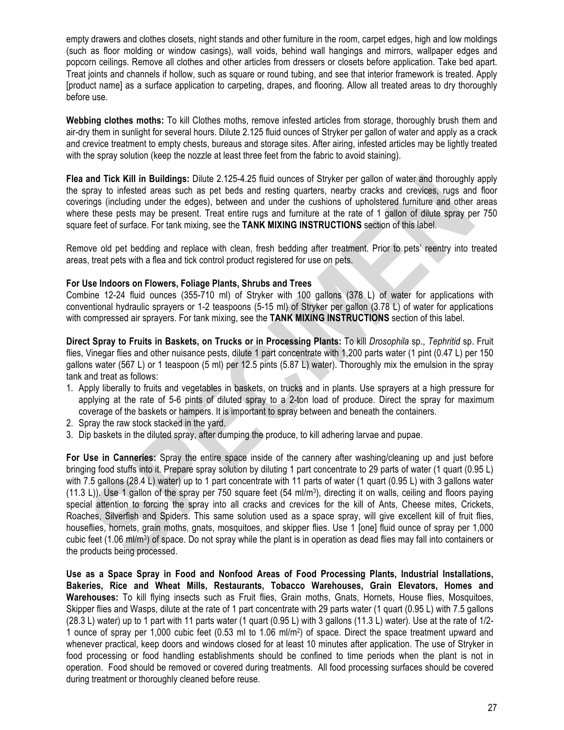empty drawers and clothes closets, night stands and other furniture in the room, carpet edges, high and low moldings (such as floor molding or window casings), wall voids, behind wall hangings and mirrors, wallpaper edges and popcorn ceilings. Remove all clothes and other articles from dressers or closets before application. Take bed apart. Treat joints and channels if hollow, such as square or round tubing, and see that interior framework is treated. Apply [product name] as a surface application to carpeting, drapes, and flooring. Allow all treated areas to dry thoroughly before use.

**Webbing clothes moths:** To kill Clothes moths, remove infested articles from storage, thoroughly brush them and air-dry them in sunlight for several hours. Dilute 2.125 fluid ounces of Stryker per gallon of water and apply as a crack and crevice treatment to empty chests, bureaus and storage sites. After airing, infested articles may be lightly treated with the spray solution (keep the nozzle at least three feet from the fabric to avoid staining).

**Flea and Tick Kill in Buildings:** Dilute 2.125-4.25 fluid ounces of Stryker per gallon of water and thoroughly apply the spray to infested areas such as pet beds and resting quarters, nearby cracks and crevices, rugs and floor coverings (including under the edges), between and under the cushions of upholstered furniture and other areas where these pests may be present. Treat entire rugs and furniture at the rate of 1 gallon of dilute spray per 750 square feet of surface. For tank mixing, see the **TANK MIXING INSTRUCTIONS** section of this label.

Remove old pet bedding and replace with clean, fresh bedding after treatment. Prior to pets' reentry into treated areas, treat pets with a flea and tick control product registered for use on pets.

#### **For Use Indoors on Flowers, Foliage Plants, Shrubs and Trees**

Combine 12-24 fluid ounces (355-710 ml) of Stryker with 100 gallons (378 L) of water for applications with conventional hydraulic sprayers or 1-2 teaspoons (5-15 ml) of Stryker per gallon (3.78 L) of water for applications with compressed air sprayers. For tank mixing, see the **TANK MIXING INSTRUCTIONS** section of this label.

**Direct Spray to Fruits in Baskets, on Trucks or in Processing Plants:** To kill *Drosophila* sp., *Tephritid* sp. Fruit flies, Vinegar flies and other nuisance pests, dilute 1 part concentrate with 1,200 parts water (1 pint (0.47 L) per 150 gallons water (567 L) or 1 teaspoon (5 ml) per 12.5 pints (5.87 L) water). Thoroughly mix the emulsion in the spray tank and treat as follows:

- 1. Apply liberally to fruits and vegetables in baskets, on trucks and in plants. Use sprayers at a high pressure for applying at the rate of 5-6 pints of diluted spray to a 2-ton load of produce. Direct the spray for maximum coverage of the baskets or hampers. It is important to spray between and beneath the containers.
- 2. Spray the raw stock stacked in the yard.
- 3. Dip baskets in the diluted spray, after dumping the produce, to kill adhering larvae and pupae.

**For Use in Canneries:** Spray the entire space inside of the cannery after washing/cleaning up and just before bringing food stuffs into it. Prepare spray solution by diluting 1 part concentrate to 29 parts of water (1 quart (0.95 L) with 7.5 gallons (28.4 L) water) up to 1 part concentrate with 11 parts of water (1 quart (0.95 L) with 3 gallons water (11.3 L)). Use 1 gallon of the spray per 750 square feet (54 ml/m<sup>3</sup>), directing it on walls, ceiling and floors paying special attention to forcing the spray into all cracks and crevices for the kill of Ants, Cheese mites, Crickets, Roaches, Silverfish and Spiders. This same solution used as a space spray, will give excellent kill of fruit flies, houseflies, hornets, grain moths, gnats, mosquitoes, and skipper flies. Use 1 [one] fluid ounce of spray per 1,000 cubic feet (1.06 ml/m3) of space. Do not spray while the plant is in operation as dead flies may fall into containers or the products being processed.

**Use as a Space Spray in Food and Nonfood Areas of Food Processing Plants, Industrial Installations, Bakeries, Rice and Wheat Mills, Restaurants, Tobacco Warehouses, Grain Elevators, Homes and Warehouses:** To kill flying insects such as Fruit flies, Grain moths, Gnats, Hornets, House flies, Mosquitoes, Skipper flies and Wasps, dilute at the rate of 1 part concentrate with 29 parts water (1 quart (0.95 L) with 7.5 gallons (28.3 L) water) up to 1 part with 11 parts water (1 quart (0.95 L) with 3 gallons (11.3 L) water). Use at the rate of 1/2- 1 ounce of spray per 1,000 cubic feet (0.53 ml to 1.06 ml/m2) of space. Direct the space treatment upward and whenever practical, keep doors and windows closed for at least 10 minutes after application. The use of Stryker in food processing or food handling establishments should be confined to time periods when the plant is not in operation. Food should be removed or covered during treatments. All food processing surfaces should be covered during treatment or thoroughly cleaned before reuse.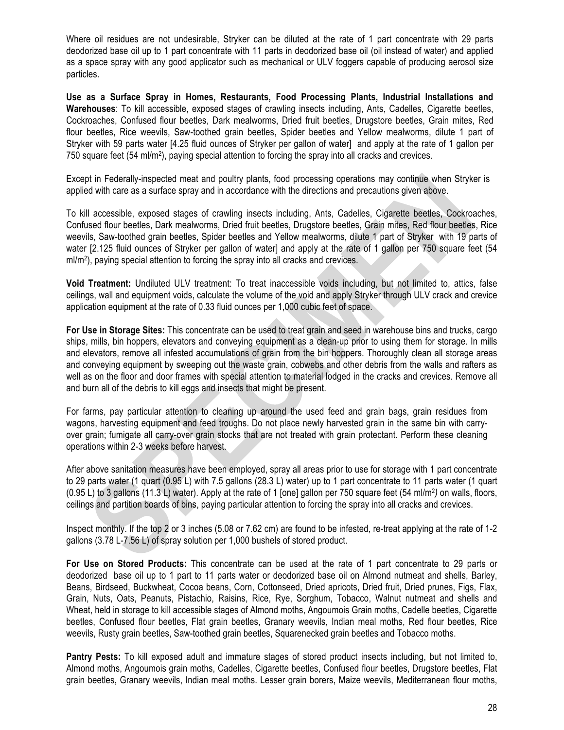Where oil residues are not undesirable, Stryker can be diluted at the rate of 1 part concentrate with 29 parts deodorized base oil up to 1 part concentrate with 11 parts in deodorized base oil (oil instead of water) and applied as a space spray with any good applicator such as mechanical or ULV foggers capable of producing aerosol size particles.

**Use as a Surface Spray in Homes, Restaurants, Food Processing Plants, Industrial Installations and Warehouses**: To kill accessible, exposed stages of crawling insects including, Ants, Cadelles, Cigarette beetles, Cockroaches, Confused flour beetles, Dark mealworms, Dried fruit beetles, Drugstore beetles, Grain mites, Red flour beetles, Rice weevils, Saw-toothed grain beetles, Spider beetles and Yellow mealworms, dilute 1 part of Stryker with 59 parts water [4.25 fluid ounces of Stryker per gallon of water] and apply at the rate of 1 gallon per 750 square feet (54 ml/m2), paying special attention to forcing the spray into all cracks and crevices.

Except in Federally-inspected meat and poultry plants, food processing operations may continue when Stryker is applied with care as a surface spray and in accordance with the directions and precautions given above.

To kill accessible, exposed stages of crawling insects including, Ants, Cadelles, Cigarette beetles, Cockroaches, Confused flour beetles, Dark mealworms, Dried fruit beetles, Drugstore beetles, Grain mites, Red flour beetles, Rice weevils, Saw-toothed grain beetles, Spider beetles and Yellow mealworms, dilute 1 part of Stryker with 19 parts of water [2.125 fluid ounces of Stryker per gallon of water] and apply at the rate of 1 gallon per 750 square feet (54 ml/m2), paying special attention to forcing the spray into all cracks and crevices.

**Void Treatment:** Undiluted ULV treatment: To treat inaccessible voids including, but not limited to, attics, false ceilings, wall and equipment voids, calculate the volume of the void and apply Stryker through ULV crack and crevice application equipment at the rate of 0.33 fluid ounces per 1,000 cubic feet of space.

**For Use in Storage Sites:** This concentrate can be used to treat grain and seed in warehouse bins and trucks, cargo ships, mills, bin hoppers, elevators and conveying equipment as a clean-up prior to using them for storage. In mills and elevators, remove all infested accumulations of grain from the bin hoppers. Thoroughly clean all storage areas and conveying equipment by sweeping out the waste grain, cobwebs and other debris from the walls and rafters as well as on the floor and door frames with special attention to material lodged in the cracks and crevices. Remove all and burn all of the debris to kill eggs and insects that might be present.

For farms, pay particular attention to cleaning up around the used feed and grain bags, grain residues from wagons, harvesting equipment and feed troughs. Do not place newly harvested grain in the same bin with carryover grain; fumigate all carry-over grain stocks that are not treated with grain protectant. Perform these cleaning operations within 2-3 weeks before harvest.

After above sanitation measures have been employed, spray all areas prior to use for storage with 1 part concentrate to 29 parts water (1 quart (0.95 L) with 7.5 gallons (28.3 L) water) up to 1 part concentrate to 11 parts water (1 quart (0.95 L) to 3 gallons (11.3 L) water). Apply at the rate of 1 [one] gallon per 750 square feet (54 ml/m2*)* on walls, floors, ceilings and partition boards of bins, paying particular attention to forcing the spray into all cracks and crevices.

Inspect monthly. If the top 2 or 3 inches (5.08 or 7.62 cm) are found to be infested, re-treat applying at the rate of 1-2 gallons (3.78 L-7.56 L) of spray solution per 1,000 bushels of stored product.

**For Use on Stored Products:** This concentrate can be used at the rate of 1 part concentrate to 29 parts or deodorized base oil up to 1 part to 11 parts water or deodorized base oil on Almond nutmeat and shells, Barley, Beans, Birdseed, Buckwheat, Cocoa beans, Corn, Cottonseed, Dried apricots, Dried fruit, Dried prunes, Figs, Flax, Grain, Nuts, Oats, Peanuts, Pistachio, Raisins, Rice, Rye, Sorghum, Tobacco, Walnut nutmeat and shells and Wheat, held in storage to kill accessible stages of Almond moths, Angoumois Grain moths, Cadelle beetles, Cigarette beetles, Confused flour beetles, Flat grain beetles, Granary weevils, Indian meal moths, Red flour beetles, Rice weevils, Rusty grain beetles, Saw-toothed grain beetles, Squarenecked grain beetles and Tobacco moths.

**Pantry Pests:** To kill exposed adult and immature stages of stored product insects including, but not limited to, Almond moths, Angoumois grain moths, Cadelles, Cigarette beetles, Confused flour beetles, Drugstore beetles, Flat grain beetles, Granary weevils, Indian meal moths. Lesser grain borers, Maize weevils, Mediterranean flour moths,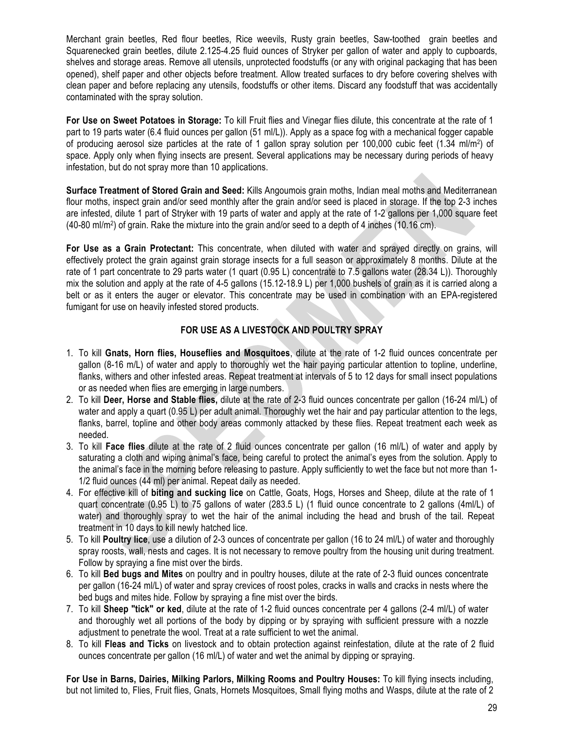Merchant grain beetles, Red flour beetles, Rice weevils, Rusty grain beetles, Saw-toothed grain beetles and Squarenecked grain beetles, dilute 2.125-4.25 fluid ounces of Stryker per gallon of water and apply to cupboards, shelves and storage areas. Remove all utensils, unprotected foodstuffs (or any with original packaging that has been opened), shelf paper and other objects before treatment. Allow treated surfaces to dry before covering shelves with clean paper and before replacing any utensils, foodstuffs or other items. Discard any foodstuff that was accidentally contaminated with the spray solution.

**For Use on Sweet Potatoes in Storage:** To kill Fruit flies and Vinegar flies dilute, this concentrate at the rate of 1 part to 19 parts water (6.4 fluid ounces per gallon (51 ml/L)). Apply as a space fog with a mechanical fogger capable of producing aerosol size particles at the rate of 1 gallon spray solution per 100,000 cubic feet (1.34 ml/m2) of space. Apply only when flying insects are present. Several applications may be necessary during periods of heavy infestation, but do not spray more than 10 applications.

**Surface Treatment of Stored Grain and Seed:** Kills Angoumois grain moths, Indian meal moths and Mediterranean flour moths, inspect grain and/or seed monthly after the grain and/or seed is placed in storage. If the top 2-3 inches are infested, dilute 1 part of Stryker with 19 parts of water and apply at the rate of 1-2 gallons per 1,000 square feet (40-80 ml/m2) of grain. Rake the mixture into the grain and/or seed to a depth of 4 inches (10.16 cm).

**For Use as a Grain Protectant:** This concentrate, when diluted with water and sprayed directly on grains, will effectively protect the grain against grain storage insects for a full season or approximately 8 months. Dilute at the rate of 1 part concentrate to 29 parts water (1 quart (0.95 L) concentrate to 7.5 gallons water (28.34 L)). Thoroughly mix the solution and apply at the rate of 4-5 gallons (15.12-18.9 L) per 1,000 bushels of grain as it is carried along a belt or as it enters the auger or elevator. This concentrate may be used in combination with an EPA-registered fumigant for use on heavily infested stored products.

## **FOR USE AS A LIVESTOCK AND POULTRY SPRAY**

- 1. To kill **Gnats, Horn flies, Houseflies and Mosquitoes**, dilute at the rate of 1-2 fluid ounces concentrate per gallon (8-16 m/L) of water and apply to thoroughly wet the hair paying particular attention to topline, underline, flanks, withers and other infested areas. Repeat treatment at intervals of 5 to 12 days for small insect populations or as needed when flies are emerging in large numbers.
- 2. To kill **Deer, Horse and Stable flies,** dilute at the rate of 2-3 fluid ounces concentrate per gallon (16-24 ml/L) of water and apply a quart (0.95 L) per adult animal. Thoroughly wet the hair and pay particular attention to the legs, flanks, barrel, topline and other body areas commonly attacked by these flies. Repeat treatment each week as needed.
- 3. To kill **Face flies** dilute at the rate of 2 fluid ounces concentrate per gallon (16 ml/L) of water and apply by saturating a cloth and wiping animal's face, being careful to protect the animal's eyes from the solution. Apply to the animal's face in the morning before releasing to pasture. Apply sufficiently to wet the face but not more than 1- 1/2 fluid ounces (44 ml) per animal. Repeat daily as needed.
- 4. For effective kill of **biting and sucking lice** on Cattle, Goats, Hogs, Horses and Sheep, dilute at the rate of 1 quart concentrate (0.95 L) to 75 gallons of water (283.5 L) (1 fluid ounce concentrate to 2 gallons (4ml/L) of water) and thoroughly spray to wet the hair of the animal including the head and brush of the tail. Repeat treatment in 10 days to kill newly hatched lice.
- 5. To kill **Poultry lice**, use a dilution of 2-3 ounces of concentrate per gallon (16 to 24 ml/L) of water and thoroughly spray roosts, wall, nests and cages. It is not necessary to remove poultry from the housing unit during treatment. Follow by spraying a fine mist over the birds.
- 6. To kill **Bed bugs and Mites** on poultry and in poultry houses, dilute at the rate of 2-3 fluid ounces concentrate per gallon (16-24 ml/L) of water and spray crevices of roost poles, cracks in walls and cracks in nests where the bed bugs and mites hide. Follow by spraying a fine mist over the birds.
- 7. To kill **Sheep "tick" or ked**, dilute at the rate of 1-2 fluid ounces concentrate per 4 gallons (2-4 ml/L) of water and thoroughly wet all portions of the body by dipping or by spraying with sufficient pressure with a nozzle adjustment to penetrate the wool. Treat at a rate sufficient to wet the animal.
- 8. To kill **Fleas and Ticks** on livestock and to obtain protection against reinfestation, dilute at the rate of 2 fluid ounces concentrate per gallon (16 ml/L) of water and wet the animal by dipping or spraying.

**For Use in Barns, Dairies, Milking Parlors, Milking Rooms and Poultry Houses:** To kill flying insects including, but not limited to, Flies, Fruit flies, Gnats, Hornets Mosquitoes, Small flying moths and Wasps, dilute at the rate of 2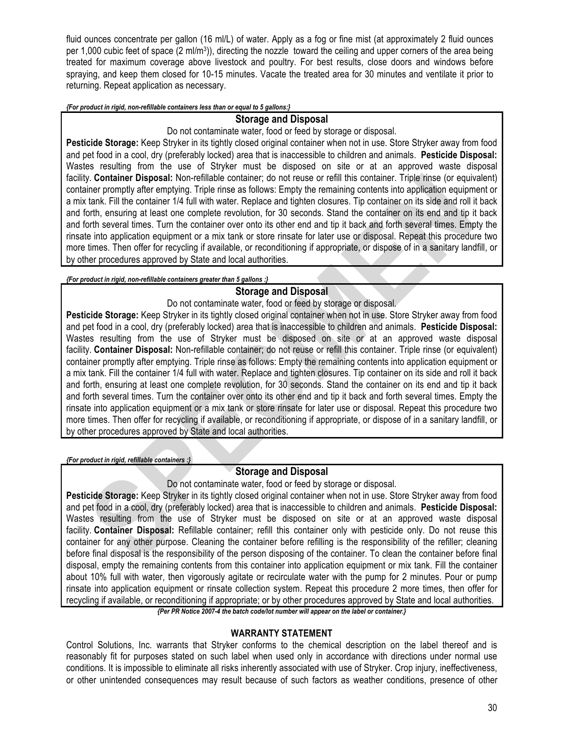fluid ounces concentrate per gallon (16 ml/L) of water. Apply as a fog or fine mist (at approximately 2 fluid ounces per 1,000 cubic feet of space  $(2 \text{ ml/m}^3)$ , directing the nozzle toward the ceiling and upper corners of the area being treated for maximum coverage above livestock and poultry. For best results, close doors and windows before spraying, and keep them closed for 10-15 minutes. Vacate the treated area for 30 minutes and ventilate it prior to returning. Repeat application as necessary.

*{For product in rigid, non-refillable containers less than or equal to 5 gallons:}*

#### **Storage and Disposal**

Do not contaminate water, food or feed by storage or disposal.

**Pesticide Storage:** Keep Stryker in its tightly closed original container when not in use. Store Stryker away from food and pet food in a cool, dry (preferably locked) area that is inaccessible to children and animals. **Pesticide Disposal:** Wastes resulting from the use of Stryker must be disposed on site or at an approved waste disposal facility. **Container Disposal:** Non-refillable container; do not reuse or refill this container. Triple rinse (or equivalent) container promptly after emptying. Triple rinse as follows: Empty the remaining contents into application equipment or a mix tank. Fill the container 1/4 full with water. Replace and tighten closures. Tip container on its side and roll it back and forth, ensuring at least one complete revolution, for 30 seconds. Stand the container on its end and tip it back and forth several times. Turn the container over onto its other end and tip it back and forth several times. Empty the rinsate into application equipment or a mix tank or store rinsate for later use or disposal. Repeat this procedure two more times. Then offer for recycling if available, or reconditioning if appropriate, or dispose of in a sanitary landfill, or by other procedures approved by State and local authorities.

*{For product in rigid, non-refillable containers greater than 5 gallons :}*

#### **Storage and Disposal**

Do not contaminate water, food or feed by storage or disposal.

**Pesticide Storage:** Keep Stryker in its tightly closed original container when not in use. Store Stryker away from food and pet food in a cool, dry (preferably locked) area that is inaccessible to children and animals. **Pesticide Disposal:** Wastes resulting from the use of Stryker must be disposed on site or at an approved waste disposal facility. **Container Disposal:** Non-refillable container; do not reuse or refill this container. Triple rinse (or equivalent) container promptly after emptying. Triple rinse as follows: Empty the remaining contents into application equipment or a mix tank. Fill the container 1/4 full with water. Replace and tighten closures. Tip container on its side and roll it back and forth, ensuring at least one complete revolution, for 30 seconds. Stand the container on its end and tip it back and forth several times. Turn the container over onto its other end and tip it back and forth several times. Empty the rinsate into application equipment or a mix tank or store rinsate for later use or disposal. Repeat this procedure two more times. Then offer for recycling if available, or reconditioning if appropriate, or dispose of in a sanitary landfill, or by other procedures approved by State and local authorities.

*{For product in rigid, refillable containers :}*

#### **Storage and Disposal**

Do not contaminate water, food or feed by storage or disposal.

**Pesticide Storage:** Keep Stryker in its tightly closed original container when not in use. Store Stryker away from food and pet food in a cool, dry (preferably locked) area that is inaccessible to children and animals. **Pesticide Disposal:** Wastes resulting from the use of Stryker must be disposed on site or at an approved waste disposal facility. **Container Disposal:** Refillable container; refill this container only with pesticide only. Do not reuse this container for any other purpose. Cleaning the container before refilling is the responsibility of the refiller; cleaning before final disposal is the responsibility of the person disposing of the container. To clean the container before final disposal, empty the remaining contents from this container into application equipment or mix tank. Fill the container about 10% full with water, then vigorously agitate or recirculate water with the pump for 2 minutes. Pour or pump rinsate into application equipment or rinsate collection system. Repeat this procedure 2 more times, then offer for recycling if available, or reconditioning if appropriate; or by other procedures approved by State and local authorities.

*{Per PR Notice 2007-4 the batch code/lot number will appear on the label or container.}*

#### **WARRANTY STATEMENT**

Control Solutions, Inc. warrants that Stryker conforms to the chemical description on the label thereof and is reasonably fit for purposes stated on such label when used only in accordance with directions under normal use conditions. It is impossible to eliminate all risks inherently associated with use of Stryker. Crop injury, ineffectiveness, or other unintended consequences may result because of such factors as weather conditions, presence of other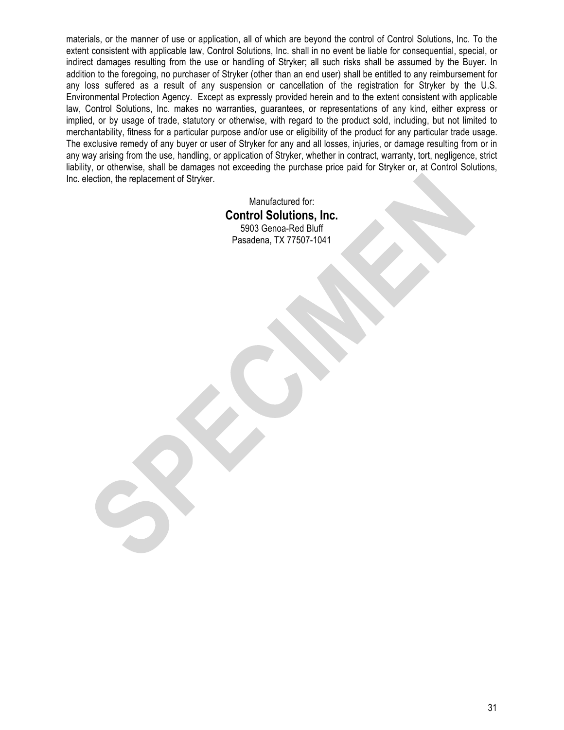materials, or the manner of use or application, all of which are beyond the control of Control Solutions, Inc. To the extent consistent with applicable law, Control Solutions, Inc. shall in no event be liable for consequential, special, or indirect damages resulting from the use or handling of Stryker; all such risks shall be assumed by the Buyer. In addition to the foregoing, no purchaser of Stryker (other than an end user) shall be entitled to any reimbursement for any loss suffered as a result of any suspension or cancellation of the registration for Stryker by the U.S. Environmental Protection Agency. Except as expressly provided herein and to the extent consistent with applicable law, Control Solutions, Inc. makes no warranties, guarantees, or representations of any kind, either express or implied, or by usage of trade, statutory or otherwise, with regard to the product sold, including, but not limited to merchantability, fitness for a particular purpose and/or use or eligibility of the product for any particular trade usage. The exclusive remedy of any buyer or user of Stryker for any and all losses, injuries, or damage resulting from or in any way arising from the use, handling, or application of Stryker, whether in contract, warranty, tort, negligence, strict liability, or otherwise, shall be damages not exceeding the purchase price paid for Stryker or, at Control Solutions, Inc. election, the replacement of Stryker.

> Manufactured for: **Control Solutions, Inc.** 5903 Genoa-Red Bluff Pasadena, TX 77507-1041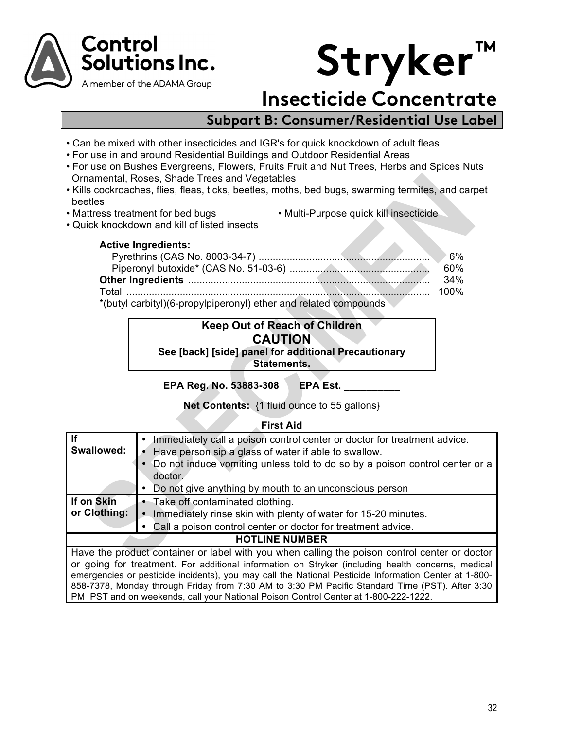

# **Stryker™**

# **Insecticide Concentrate**

# **Subpart B: Consumer/Residential Use Label**

- Can be mixed with other insecticides and IGR's for quick knockdown of adult fleas
- For use in and around Residential Buildings and Outdoor Residential Areas
- For use on Bushes Evergreens, Flowers, Fruits Fruit and Nut Trees, Herbs and Spices Nuts Ornamental, Roses, Shade Trees and Vegetables
- Kills cockroaches, flies, fleas, ticks, beetles, moths, bed bugs, swarming termites, and carpet beetles
- 
- Mattress treatment for bed bugs Multi-Purpose quick kill insecticide
- Quick knockdown and kill of listed insects

| <b>Active Ingredients:</b>                                       |      |
|------------------------------------------------------------------|------|
|                                                                  | 6%   |
|                                                                  | 60%  |
|                                                                  | 34%  |
|                                                                  | 100% |
| *(butyl carbityl)(6-propylpiperonyl) ether and related compounds |      |

# **Keep Out of Reach of Children CAUTION See [back] [side] panel for additional Precautionary Statements.**

**EPA Reg. No. 53883-308 EPA Est. \_\_\_\_\_\_\_\_\_\_**

**Net Contents:** {1 fluid ounce to 55 gallons}

| <b>First Aid</b>                                                                                      |                                                                                        |  |
|-------------------------------------------------------------------------------------------------------|----------------------------------------------------------------------------------------|--|
| <b>If</b>                                                                                             | Immediately call a poison control center or doctor for treatment advice.<br>$\bullet$  |  |
| Swallowed:                                                                                            | Have person sip a glass of water if able to swallow.                                   |  |
|                                                                                                       | Do not induce vomiting unless told to do so by a poison control center or a<br>doctor. |  |
|                                                                                                       | Do not give anything by mouth to an unconscious person                                 |  |
| If on Skin                                                                                            | • Take off contaminated clothing.                                                      |  |
| or Clothing:                                                                                          | Immediately rinse skin with plenty of water for 15-20 minutes.                         |  |
|                                                                                                       | Call a poison control center or doctor for treatment advice.<br>$\bullet$              |  |
| <b>HOTLINE NUMBER</b>                                                                                 |                                                                                        |  |
| Have the product container or label with you when calling the poison control center or doctor         |                                                                                        |  |
| or going for treatment. For additional information on Stryker (including health concerns, medical     |                                                                                        |  |
| emergencies or pesticide incidents), you may call the National Pesticide Information Center at 1-800- |                                                                                        |  |
| 858-7378, Monday through Friday from 7:30 AM to 3:30 PM Pacific Standard Time (PST). After 3:30       |                                                                                        |  |
|                                                                                                       | PM PST and on weekends, call your National Poison Control Center at 1-800-222-1222.    |  |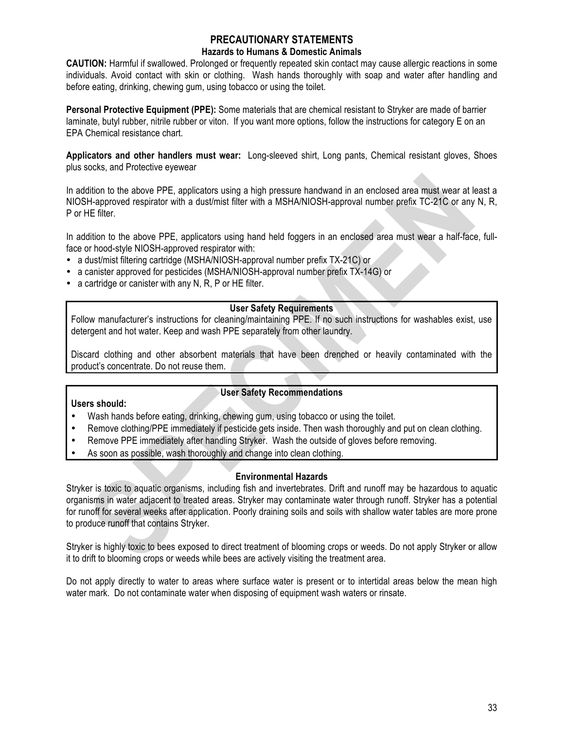#### **PRECAUTIONARY STATEMENTS**

#### **Hazards to Humans & Domestic Animals**

**CAUTION:** Harmful if swallowed. Prolonged or frequently repeated skin contact may cause allergic reactions in some individuals. Avoid contact with skin or clothing. Wash hands thoroughly with soap and water after handling and before eating, drinking, chewing gum, using tobacco or using the toilet.

**Personal Protective Equipment (PPE):** Some materials that are chemical resistant to Stryker are made of barrier laminate, butyl rubber, nitrile rubber or viton. If you want more options, follow the instructions for category E on an EPA Chemical resistance chart.

**Applicators and other handlers must wear:** Long-sleeved shirt, Long pants, Chemical resistant gloves, Shoes plus socks, and Protective eyewear

In addition to the above PPE, applicators using a high pressure handwand in an enclosed area must wear at least a NIOSH-approved respirator with a dust/mist filter with a MSHA/NIOSH-approval number prefix TC-21C or any N, R, P or HE filter.

In addition to the above PPE, applicators using hand held foggers in an enclosed area must wear a half-face, fullface or hood-style NIOSH-approved respirator with:

- a dust/mist filtering cartridge (MSHA/NIOSH-approval number prefix TX-21C) or
- a canister approved for pesticides (MSHA/NIOSH-approval number prefix TX-14G) or
- a cartridge or canister with any N, R, P or HE filter.

#### **User Safety Requirements**

Follow manufacturer's instructions for cleaning/maintaining PPE. If no such instructions for washables exist, use detergent and hot water. Keep and wash PPE separately from other laundry.

Discard clothing and other absorbent materials that have been drenched or heavily contaminated with the product's concentrate. Do not reuse them.

#### **User Safety Recommendations**

#### **Users should:**

- Wash hands before eating, drinking, chewing gum, using tobacco or using the toilet.
- Remove clothing/PPE immediately if pesticide gets inside. Then wash thoroughly and put on clean clothing.
- Remove PPE immediately after handling Stryker. Wash the outside of gloves before removing.
- As soon as possible, wash thoroughly and change into clean clothing.

#### **Environmental Hazards**

Stryker is toxic to aquatic organisms, including fish and invertebrates. Drift and runoff may be hazardous to aquatic organisms in water adjacent to treated areas. Stryker may contaminate water through runoff. Stryker has a potential for runoff for several weeks after application. Poorly draining soils and soils with shallow water tables are more prone to produce runoff that contains Stryker.

Stryker is highly toxic to bees exposed to direct treatment of blooming crops or weeds. Do not apply Stryker or allow it to drift to blooming crops or weeds while bees are actively visiting the treatment area.

Do not apply directly to water to areas where surface water is present or to intertidal areas below the mean high water mark. Do not contaminate water when disposing of equipment wash waters or rinsate.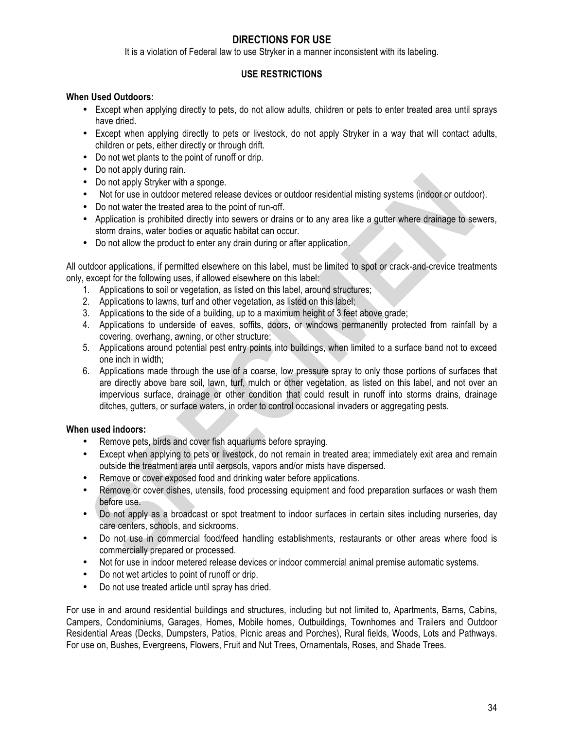# **DIRECTIONS FOR USE**

It is a violation of Federal law to use Stryker in a manner inconsistent with its labeling.

#### **USE RESTRICTIONS**

#### **When Used Outdoors:**

- Except when applying directly to pets, do not allow adults, children or pets to enter treated area until sprays have dried.
- Except when applying directly to pets or livestock, do not apply Stryker in a way that will contact adults, children or pets, either directly or through drift.
- Do not wet plants to the point of runoff or drip.
- Do not apply during rain.
- Do not apply Stryker with a sponge.
- Not for use in outdoor metered release devices or outdoor residential misting systems (indoor or outdoor).
- Do not water the treated area to the point of run-off.
- Application is prohibited directly into sewers or drains or to any area like a gutter where drainage to sewers, storm drains, water bodies or aquatic habitat can occur.
- Do not allow the product to enter any drain during or after application.

All outdoor applications, if permitted elsewhere on this label, must be limited to spot or crack-and-crevice treatments only, except for the following uses, if allowed elsewhere on this label:

- 1. Applications to soil or vegetation, as listed on this label, around structures;
- 2. Applications to lawns, turf and other vegetation, as listed on this label;
- 3. Applications to the side of a building, up to a maximum height of 3 feet above grade;
- 4. Applications to underside of eaves, soffits, doors, or windows permanently protected from rainfall by a covering, overhang, awning, or other structure;
- 5. Applications around potential pest entry points into buildings, when limited to a surface band not to exceed one inch in width;
- 6. Applications made through the use of a coarse, low pressure spray to only those portions of surfaces that are directly above bare soil, lawn, turf, mulch or other vegetation, as listed on this label, and not over an impervious surface, drainage or other condition that could result in runoff into storms drains, drainage ditches, gutters, or surface waters, in order to control occasional invaders or aggregating pests.

#### **When used indoors:**

- Remove pets, birds and cover fish aquariums before spraying.
- Except when applying to pets or livestock, do not remain in treated area; immediately exit area and remain outside the treatment area until aerosols, vapors and/or mists have dispersed.
- Remove or cover exposed food and drinking water before applications.
- Remove or cover dishes, utensils, food processing equipment and food preparation surfaces or wash them before use.
- Do not apply as a broadcast or spot treatment to indoor surfaces in certain sites including nurseries, day care centers, schools, and sickrooms.
- Do not use in commercial food/feed handling establishments, restaurants or other areas where food is commercially prepared or processed.
- Not for use in indoor metered release devices or indoor commercial animal premise automatic systems.
- Do not wet articles to point of runoff or drip.
- Do not use treated article until spray has dried.

For use in and around residential buildings and structures, including but not limited to, Apartments, Barns, Cabins, Campers, Condominiums, Garages, Homes, Mobile homes, Outbuildings, Townhomes and Trailers and Outdoor Residential Areas (Decks, Dumpsters, Patios, Picnic areas and Porches), Rural fields, Woods, Lots and Pathways. For use on, Bushes, Evergreens, Flowers, Fruit and Nut Trees, Ornamentals, Roses, and Shade Trees.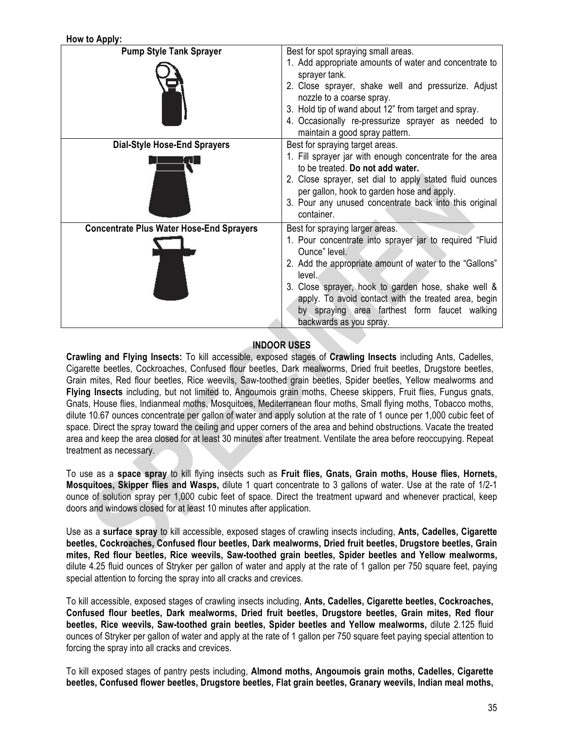| How to Apply:                                   |                                                                                                                                                                                                                                                                                                                                                                              |
|-------------------------------------------------|------------------------------------------------------------------------------------------------------------------------------------------------------------------------------------------------------------------------------------------------------------------------------------------------------------------------------------------------------------------------------|
| <b>Pump Style Tank Sprayer</b>                  | Best for spot spraying small areas.<br>1. Add appropriate amounts of water and concentrate to<br>sprayer tank.<br>2. Close sprayer, shake well and pressurize. Adjust<br>nozzle to a coarse spray.<br>3. Hold tip of wand about 12" from target and spray.                                                                                                                   |
|                                                 | 4. Occasionally re-pressurize sprayer as needed to<br>maintain a good spray pattern.                                                                                                                                                                                                                                                                                         |
| <b>Dial-Style Hose-End Sprayers</b>             | Best for spraying target areas.<br>1. Fill sprayer jar with enough concentrate for the area<br>to be treated. Do not add water.<br>2. Close sprayer, set dial to apply stated fluid ounces<br>per gallon, hook to garden hose and apply.<br>3. Pour any unused concentrate back into this original<br>container.                                                             |
| <b>Concentrate Plus Water Hose-End Sprayers</b> | Best for spraying larger areas.<br>1. Pour concentrate into sprayer jar to required "Fluid"<br>Ounce" level.<br>2. Add the appropriate amount of water to the "Gallons"<br>level.<br>3. Close sprayer, hook to garden hose, shake well &<br>apply. To avoid contact with the treated area, begin<br>by spraying area farthest form faucet walking<br>backwards as you spray. |

#### **INDOOR USES**

**Crawling and Flying Insects:** To kill accessible, exposed stages of **Crawling Insects** including Ants, Cadelles, Cigarette beetles, Cockroaches, Confused flour beetles, Dark mealworms, Dried fruit beetles, Drugstore beetles, Grain mites, Red flour beetles, Rice weevils, Saw-toothed grain beetles, Spider beetles, Yellow mealworms and **Flying Insects** including, but not limited to, Angoumois grain moths, Cheese skippers, Fruit flies, Fungus gnats, Gnats, House flies, Indianmeal moths, Mosquitoes, Mediterranean flour moths, Small flying moths, Tobacco moths, dilute 10.67 ounces concentrate per gallon of water and apply solution at the rate of 1 ounce per 1,000 cubic feet of space. Direct the spray toward the ceiling and upper corners of the area and behind obstructions. Vacate the treated area and keep the area closed for at least 30 minutes after treatment. Ventilate the area before reoccupying. Repeat treatment as necessary.

To use as a **space spray** to kill flying insects such as **Fruit flies, Gnats, Grain moths, House flies, Hornets, Mosquitoes, Skipper flies and Wasps,** dilute 1 quart concentrate to 3 gallons of water. Use at the rate of 1/2-1 ounce of solution spray per 1,000 cubic feet of space. Direct the treatment upward and whenever practical, keep doors and windows closed for at least 10 minutes after application.

Use as a **surface spray** to kill accessible, exposed stages of crawling insects including, **Ants, Cadelles, Cigarette beetles, Cockroaches, Confused flour beetles, Dark mealworms, Dried fruit beetles, Drugstore beetles, Grain mites, Red flour beetles, Rice weevils, Saw-toothed grain beetles, Spider beetles and Yellow mealworms,**  dilute 4.25 fluid ounces of Stryker per gallon of water and apply at the rate of 1 gallon per 750 square feet, paying special attention to forcing the spray into all cracks and crevices.

To kill accessible, exposed stages of crawling insects including, **Ants, Cadelles, Cigarette beetles, Cockroaches, Confused flour beetles, Dark mealworms, Dried fruit beetles, Drugstore beetles, Grain mites, Red flour beetles, Rice weevils, Saw-toothed grain beetles, Spider beetles and Yellow mealworms,** dilute 2.125 fluid ounces of Stryker per gallon of water and apply at the rate of 1 gallon per 750 square feet paying special attention to forcing the spray into all cracks and crevices.

To kill exposed stages of pantry pests including, **Almond moths, Angoumois grain moths, Cadelles, Cigarette beetles, Confused flower beetles, Drugstore beetles, Flat grain beetles, Granary weevils, Indian meal moths,**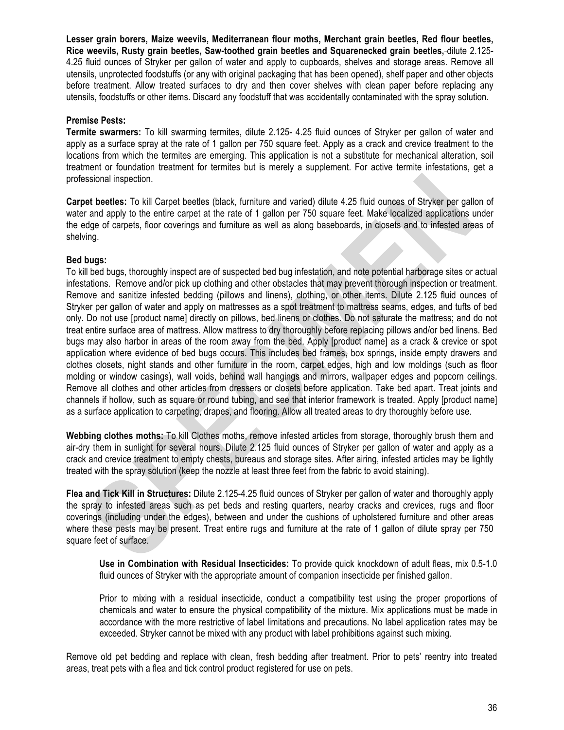**Lesser grain borers, Maize weevils, Mediterranean flour moths, Merchant grain beetles, Red flour beetles, Rice weevils, Rusty grain beetles, Saw-toothed grain beetles and Squarenecked grain beetles,** dilute 2.125- 4.25 fluid ounces of Stryker per gallon of water and apply to cupboards, shelves and storage areas. Remove all utensils, unprotected foodstuffs (or any with original packaging that has been opened), shelf paper and other objects before treatment. Allow treated surfaces to dry and then cover shelves with clean paper before replacing any utensils, foodstuffs or other items. Discard any foodstuff that was accidentally contaminated with the spray solution.

#### **Premise Pests:**

**Termite swarmers:** To kill swarming termites, dilute 2.125- 4.25 fluid ounces of Stryker per gallon of water and apply as a surface spray at the rate of 1 gallon per 750 square feet. Apply as a crack and crevice treatment to the locations from which the termites are emerging. This application is not a substitute for mechanical alteration, soil treatment or foundation treatment for termites but is merely a supplement. For active termite infestations, get a professional inspection.

**Carpet beetles:** To kill Carpet beetles (black, furniture and varied) dilute 4.25 fluid ounces of Stryker per gallon of water and apply to the entire carpet at the rate of 1 gallon per 750 square feet. Make localized applications under the edge of carpets, floor coverings and furniture as well as along baseboards, in closets and to infested areas of shelving.

#### **Bed bugs:**

To kill bed bugs, thoroughly inspect are of suspected bed bug infestation, and note potential harborage sites or actual infestations. Remove and/or pick up clothing and other obstacles that may prevent thorough inspection or treatment. Remove and sanitize infested bedding (pillows and linens), clothing, or other items. Dilute 2.125 fluid ounces of Stryker per gallon of water and apply on mattresses as a spot treatment to mattress seams, edges, and tufts of bed only. Do not use [product name] directly on pillows, bed linens or clothes. Do not saturate the mattress; and do not treat entire surface area of mattress. Allow mattress to dry thoroughly before replacing pillows and/or bed linens. Bed bugs may also harbor in areas of the room away from the bed. Apply [product name] as a crack & crevice or spot application where evidence of bed bugs occurs. This includes bed frames, box springs, inside empty drawers and clothes closets, night stands and other furniture in the room, carpet edges, high and low moldings (such as floor molding or window casings), wall voids, behind wall hangings and mirrors, wallpaper edges and popcorn ceilings. Remove all clothes and other articles from dressers or closets before application. Take bed apart. Treat joints and channels if hollow, such as square or round tubing, and see that interior framework is treated. Apply [product name] as a surface application to carpeting, drapes, and flooring. Allow all treated areas to dry thoroughly before use.

**Webbing clothes moths:** To kill Clothes moths, remove infested articles from storage, thoroughly brush them and air-dry them in sunlight for several hours. Dilute 2.125 fluid ounces of Stryker per gallon of water and apply as a crack and crevice treatment to empty chests, bureaus and storage sites. After airing, infested articles may be lightly treated with the spray solution (keep the nozzle at least three feet from the fabric to avoid staining).

**Flea and Tick Kill in Structures:** Dilute 2.125-4.25 fluid ounces of Stryker per gallon of water and thoroughly apply the spray to infested areas such as pet beds and resting quarters, nearby cracks and crevices, rugs and floor coverings (including under the edges), between and under the cushions of upholstered furniture and other areas where these pests may be present. Treat entire rugs and furniture at the rate of 1 gallon of dilute spray per 750 square feet of surface.

**Use in Combination with Residual Insecticides:** To provide quick knockdown of adult fleas, mix 0.5-1.0 fluid ounces of Stryker with the appropriate amount of companion insecticide per finished gallon.

Prior to mixing with a residual insecticide, conduct a compatibility test using the proper proportions of chemicals and water to ensure the physical compatibility of the mixture. Mix applications must be made in accordance with the more restrictive of label limitations and precautions. No label application rates may be exceeded. Stryker cannot be mixed with any product with label prohibitions against such mixing.

Remove old pet bedding and replace with clean, fresh bedding after treatment. Prior to pets' reentry into treated areas, treat pets with a flea and tick control product registered for use on pets.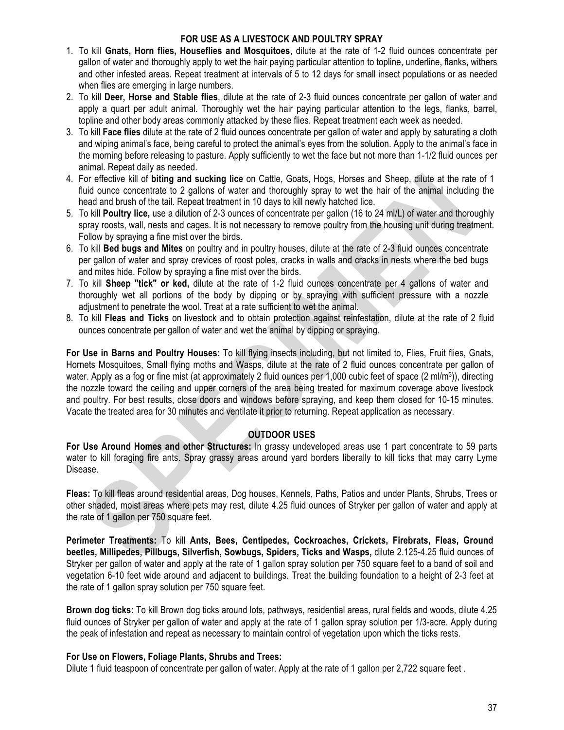#### **FOR USE AS A LIVESTOCK AND POULTRY SPRAY**

- 1. To kill **Gnats, Horn flies, Houseflies and Mosquitoes**, dilute at the rate of 1-2 fluid ounces concentrate per gallon of water and thoroughly apply to wet the hair paying particular attention to topline, underline, flanks, withers and other infested areas. Repeat treatment at intervals of 5 to 12 days for small insect populations or as needed when flies are emerging in large numbers.
- 2. To kill **Deer, Horse and Stable flies**, dilute at the rate of 2-3 fluid ounces concentrate per gallon of water and apply a quart per adult animal. Thoroughly wet the hair paying particular attention to the legs, flanks, barrel, topline and other body areas commonly attacked by these flies. Repeat treatment each week as needed.
- 3. To kill **Face flies** dilute at the rate of 2 fluid ounces concentrate per gallon of water and apply by saturating a cloth and wiping animal's face, being careful to protect the animal's eyes from the solution. Apply to the animal's face in the morning before releasing to pasture. Apply sufficiently to wet the face but not more than 1-1/2 fluid ounces per animal. Repeat daily as needed.
- 4. For effective kill of **biting and sucking lice** on Cattle, Goats, Hogs, Horses and Sheep, dilute at the rate of 1 fluid ounce concentrate to 2 gallons of water and thoroughly spray to wet the hair of the animal including the head and brush of the tail. Repeat treatment in 10 days to kill newly hatched lice.
- 5. To kill **Poultry lice,** use a dilution of 2-3 ounces of concentrate per gallon (16 to 24 ml/L) of water and thoroughly spray roosts, wall, nests and cages. It is not necessary to remove poultry from the housing unit during treatment. Follow by spraying a fine mist over the birds.
- 6. To kill **Bed bugs and Mites** on poultry and in poultry houses, dilute at the rate of 2-3 fluid ounces concentrate per gallon of water and spray crevices of roost poles, cracks in walls and cracks in nests where the bed bugs and mites hide. Follow by spraying a fine mist over the birds.
- 7. To kill **Sheep "tick" or ked,** dilute at the rate of 1-2 fluid ounces concentrate per 4 gallons of water and thoroughly wet all portions of the body by dipping or by spraying with sufficient pressure with a nozzle adjustment to penetrate the wool. Treat at a rate sufficient to wet the animal.
- 8. To kill **Fleas and Ticks** on livestock and to obtain protection against reinfestation, dilute at the rate of 2 fluid ounces concentrate per gallon of water and wet the animal by dipping or spraying.

**For Use in Barns and Poultry Houses:** To kill flying insects including, but not limited to, Flies, Fruit flies, Gnats, Hornets Mosquitoes, Small flying moths and Wasps, dilute at the rate of 2 fluid ounces concentrate per gallon of water. Apply as a fog or fine mist (at approximately 2 fluid ounces per 1,000 cubic feet of space (2 ml/m<sup>3</sup>)), directing the nozzle toward the ceiling and upper corners of the area being treated for maximum coverage above livestock and poultry. For best results, close doors and windows before spraying, and keep them closed for 10-15 minutes. Vacate the treated area for 30 minutes and ventilate it prior to returning. Repeat application as necessary.

#### **OUTDOOR USES**

**For Use Around Homes and other Structures:** In grassy undeveloped areas use 1 part concentrate to 59 parts water to kill foraging fire ants. Spray grassy areas around yard borders liberally to kill ticks that may carry Lyme Disease.

**Fleas:** To kill fleas around residential areas, Dog houses, Kennels, Paths, Patios and under Plants, Shrubs, Trees or other shaded, moist areas where pets may rest, dilute 4.25 fluid ounces of Stryker per gallon of water and apply at the rate of 1 gallon per 750 square feet.

**Perimeter Treatments:** To kill **Ants, Bees, Centipedes, Cockroaches, Crickets, Firebrats, Fleas, Ground beetles, Millipedes, Pillbugs, Silverfish, Sowbugs, Spiders, Ticks and Wasps,** dilute 2.125-4.25 fluid ounces of Stryker per gallon of water and apply at the rate of 1 gallon spray solution per 750 square feet to a band of soil and vegetation 6-10 feet wide around and adjacent to buildings. Treat the building foundation to a height of 2-3 feet at the rate of 1 gallon spray solution per 750 square feet.

**Brown dog ticks:** To kill Brown dog ticks around lots, pathways, residential areas, rural fields and woods, dilute 4.25 fluid ounces of Stryker per gallon of water and apply at the rate of 1 gallon spray solution per 1/3-acre. Apply during the peak of infestation and repeat as necessary to maintain control of vegetation upon which the ticks rests.

#### **For Use on Flowers, Foliage Plants, Shrubs and Trees:**

Dilute 1 fluid teaspoon of concentrate per gallon of water. Apply at the rate of 1 gallon per 2,722 square feet.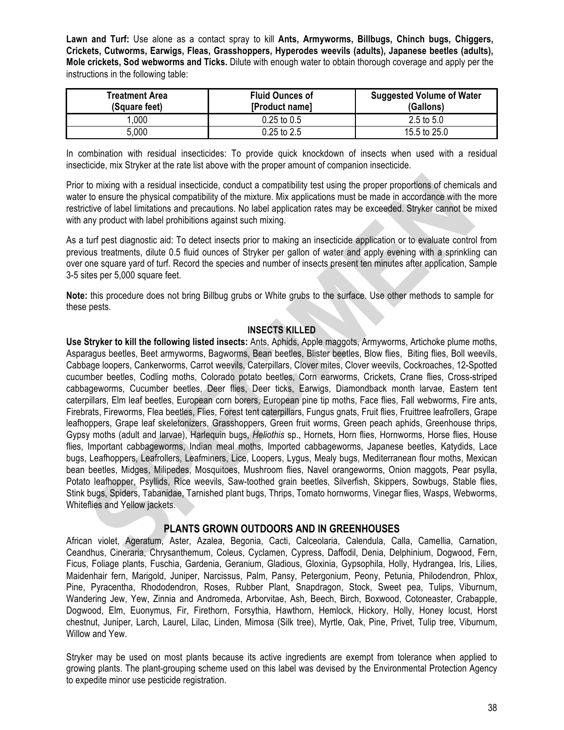**Lawn and Turf:** Use alone as a contact spray to kill **Ants, Armyworms, Billbugs, Chinch bugs, Chiggers, Crickets, Cutworms, Earwigs, Fleas, Grasshoppers, Hyperodes weevils (adults), Japanese beetles (adults), Mole crickets, Sod webworms and Ticks.** Dilute with enough water to obtain thorough coverage and apply per the instructions in the following table:

| Treatment Area<br>(Square feet) | <b>Fluid Ounces of</b><br>[Product name] | <b>Suggested Volume of Water</b><br>(Gallons) |
|---------------------------------|------------------------------------------|-----------------------------------------------|
| 000                             | $0.25$ to $0.5$                          | 2.5 to $5.0$                                  |
| 5,000                           | $0.25$ to $2.5$                          | 15.5 to 25.0                                  |

In combination with residual insecticides: To provide quick knockdown of insects when used with a residual insecticide, mix Stryker at the rate list above with the proper amount of companion insecticide.

Prior to mixing with a residual insecticide, conduct a compatibility test using the proper proportions of chemicals and water to ensure the physical compatibility of the mixture. Mix applications must be made in accordance with the more restrictive of label limitations and precautions. No label application rates may be exceeded. Stryker cannot be mixed with any product with label prohibitions against such mixing.

As a turf pest diagnostic aid: To detect insects prior to making an insecticide application or to evaluate control from previous treatments, dilute 0.5 fluid ounces of Stryker per gallon of water and apply evening with a sprinkling can over one square yard of turf. Record the species and number of insects present ten minutes after application, Sample 3-5 sites per 5,000 square feet.

**Note:** this procedure does not bring Billbug grubs or White grubs to the surface. Use other methods to sample for these pests.

#### **INSECTS KILLED**

**Use Stryker to kill the following listed insects:** Ants, Aphids, Apple maggots, Armyworms, Artichoke plume moths, Asparagus beetles, Beet armyworms, Bagworms, Bean beetles, Blister beetles, Blow flies, Biting flies, Boll weevils, Cabbage loopers, Cankerworms, Carrot weevils, Caterpillars, Clover mites, Clover weevils, Cockroaches, 12-Spotted cucumber beetles, Codling moths, Colorado potato beetles, Corn earworms, Crickets, Crane flies, Cross-striped cabbageworms, Cucumber beetles, Deer flies, Deer ticks, Earwigs, Diamondback month larvae, Eastern tent caterpillars, Elm leaf beetles, European corn borers, European pine tip moths, Face flies, Fall webworms, Fire ants, Firebrats, Fireworms, Flea beetles, Flies, Forest tent caterpillars, Fungus gnats, Fruit flies, Fruittree leafrollers, Grape leafhoppers, Grape leaf skeletonizers, Grasshoppers, Green fruit worms, Green peach aphids, Greenhouse thrips, Gypsy moths (adult and larvae), Harlequin bugs, *Heliothis* sp., Hornets, Horn flies, Hornworms, Horse flies, House flies, Important cabbageworms, Indian meal moths, Imported cabbageworms, Japanese beetles, Katydids, Lace bugs, Leafhoppers, Leafrollers, Leafminers, Lice, Loopers, Lygus, Mealy bugs, Mediterranean flour moths, Mexican bean beetles, Midges, Milipedes, Mosquitoes, Mushroom flies, Navel orangeworms, Onion maggots, Pear psylla, Potato leafhopper, Psyllids, Rice weevils, Saw-toothed grain beetles, Silverfish, Skippers, Sowbugs, Stable flies, Stink bugs, Spiders, Tabanidae, Tarnished plant bugs, Thrips, Tomato hornworms, Vinegar flies, Wasps, Webworms, Whiteflies and Yellow jackets.

#### **PLANTS GROWN OUTDOORS AND IN GREENHOUSES**

African violet, Ageratum, Aster, Azalea, Begonia, Cacti, Calceolaria, Calendula, Calla, Camellia, Carnation, Ceandhus, Cineraria, Chrysanthemum, Coleus, Cyclamen, Cypress, Daffodil, Denia, Delphinium, Dogwood, Fern, Ficus, Foliage plants, Fuschia, Gardenia, Geranium, Gladious, Gloxinia, Gypsophila, Holly, Hydrangea, Iris, Lilies, Maidenhair fern, Marigold, Juniper, Narcissus, Palm, Pansy, Petergonium, Peony, Petunia, Philodendron, Phlox, Pine, Pyracentha, Rhododendron, Roses, Rubber Plant, Snapdragon, Stock, Sweet pea, Tulips, Viburnum, Wandering Jew, Yew, Zinnia and Andromeda, Arborvitae, Ash, Beech, Birch, Boxwood, Cotoneaster, Crabapple, Dogwood, Elm, Euonymus, Fir, Firethorn, Forsythia, Hawthorn, Hemlock, Hickory, Holly, Honey locust, Horst chestnut, Juniper, Larch, Laurel, Lilac, Linden, Mimosa (Silk tree), Myrtle, Oak, Pine, Privet, Tulip tree, Viburnum, Willow and Yew.

Stryker may be used on most plants because its active ingredients are exempt from tolerance when applied to growing plants. The plant-grouping scheme used on this label was devised by the Environmental Protection Agency to expedite minor use pesticide registration.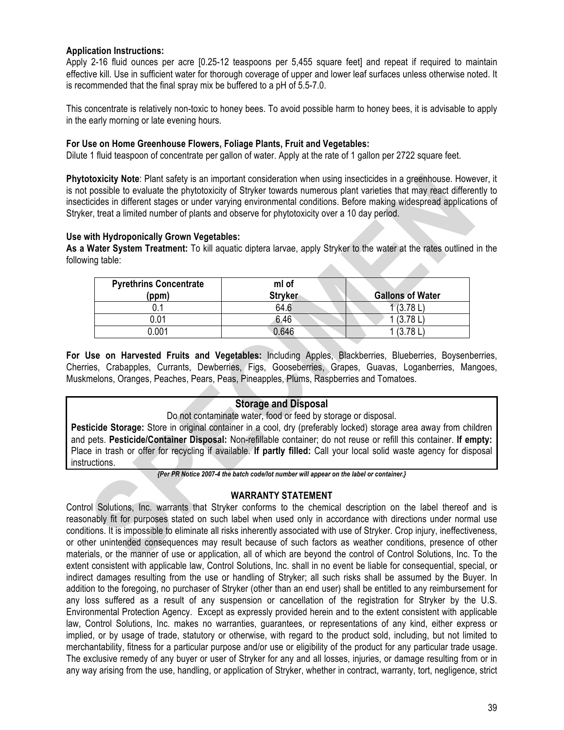#### **Application Instructions:**

Apply 2-16 fluid ounces per acre [0.25-12 teaspoons per 5,455 square feet] and repeat if required to maintain effective kill. Use in sufficient water for thorough coverage of upper and lower leaf surfaces unless otherwise noted. It is recommended that the final spray mix be buffered to a pH of 5.5-7.0.

This concentrate is relatively non-toxic to honey bees. To avoid possible harm to honey bees, it is advisable to apply in the early morning or late evening hours.

#### **For Use on Home Greenhouse Flowers, Foliage Plants, Fruit and Vegetables:**

Dilute 1 fluid teaspoon of concentrate per gallon of water. Apply at the rate of 1 gallon per 2722 square feet.

**Phytotoxicity Note**: Plant safety is an important consideration when using insecticides in a greenhouse. However, it is not possible to evaluate the phytotoxicity of Stryker towards numerous plant varieties that may react differently to insecticides in different stages or under varying environmental conditions. Before making widespread applications of Stryker, treat a limited number of plants and observe for phytotoxicity over a 10 day period.

#### **Use with Hydroponically Grown Vegetables:**

**As a Water System Treatment:** To kill aquatic diptera larvae, apply Stryker to the water at the rates outlined in the following table:

| <b>Pyrethrins Concentrate</b><br>(ppm) | ml of<br><b>Stryker</b> | <b>Gallons of Water</b> |
|----------------------------------------|-------------------------|-------------------------|
| 0.1                                    | 64.6                    | 1(3.78L)                |
| 0.01                                   | 6.46                    | 1 (3.78 L               |
| .001                                   | 0.646                   | 1(3.78)                 |

**For Use on Harvested Fruits and Vegetables:** Including Apples, Blackberries, Blueberries, Boysenberries, Cherries, Crabapples, Currants, Dewberries, Figs, Gooseberries, Grapes, Guavas, Loganberries, Mangoes, Muskmelons, Oranges, Peaches, Pears, Peas, Pineapples, Plums, Raspberries and Tomatoes.

#### **Storage and Disposal**

Do not contaminate water, food or feed by storage or disposal.

**Pesticide Storage:** Store in original container in a cool, dry (preferably locked) storage area away from children and pets. **Pesticide/Container Disposal:** Non-refillable container; do not reuse or refill this container. **If empty:** Place in trash or offer for recycling if available. **If partly filled:** Call your local solid waste agency for disposal instructions.

*{Per PR Notice 2007-4 the batch code/lot number will appear on the label or container.}*

#### **WARRANTY STATEMENT**

Control Solutions, Inc. warrants that Stryker conforms to the chemical description on the label thereof and is reasonably fit for purposes stated on such label when used only in accordance with directions under normal use conditions. It is impossible to eliminate all risks inherently associated with use of Stryker. Crop injury, ineffectiveness, or other unintended consequences may result because of such factors as weather conditions, presence of other materials, or the manner of use or application, all of which are beyond the control of Control Solutions, Inc. To the extent consistent with applicable law, Control Solutions, Inc. shall in no event be liable for consequential, special, or indirect damages resulting from the use or handling of Stryker; all such risks shall be assumed by the Buyer. In addition to the foregoing, no purchaser of Stryker (other than an end user) shall be entitled to any reimbursement for any loss suffered as a result of any suspension or cancellation of the registration for Stryker by the U.S. Environmental Protection Agency. Except as expressly provided herein and to the extent consistent with applicable law, Control Solutions, Inc. makes no warranties, guarantees, or representations of any kind, either express or implied, or by usage of trade, statutory or otherwise, with regard to the product sold, including, but not limited to merchantability, fitness for a particular purpose and/or use or eligibility of the product for any particular trade usage. The exclusive remedy of any buyer or user of Stryker for any and all losses, injuries, or damage resulting from or in any way arising from the use, handling, or application of Stryker, whether in contract, warranty, tort, negligence, strict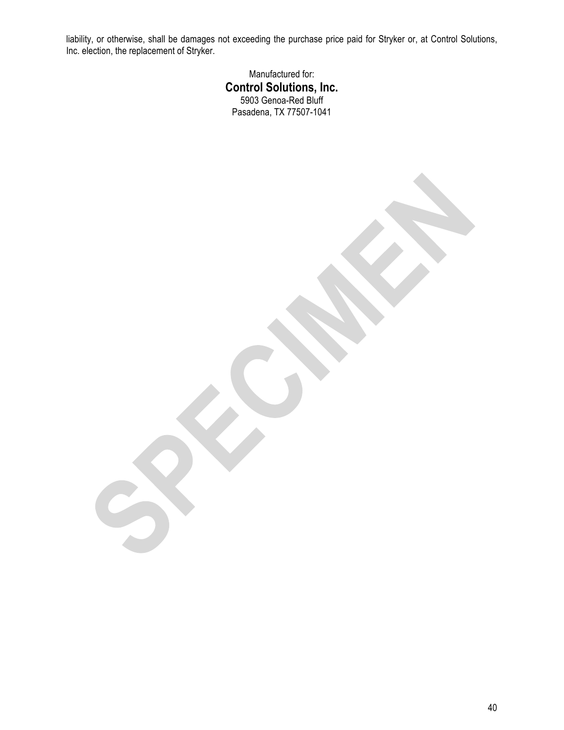liability, or otherwise, shall be damages not exceeding the purchase price paid for Stryker or, at Control Solutions, Inc. election, the replacement of Stryker.

> Manufactured for: **Control Solutions, Inc.** 5903 Genoa-Red Bluff Pasadena, TX 77507-1041

2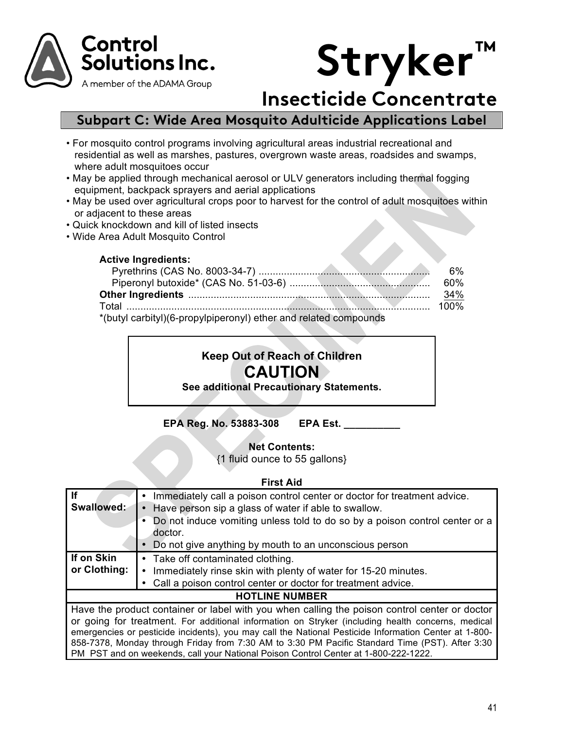



# **Insecticide Concentrate**

# **Subpart C: Wide Area Mosquito Adulticide Applications Label**

- For mosquito control programs involving agricultural areas industrial recreational and residential as well as marshes, pastures, overgrown waste areas, roadsides and swamps, where adult mosquitoes occur
- May be applied through mechanical aerosol or ULV generators including thermal fogging equipment, backpack sprayers and aerial applications
- May be used over agricultural crops poor to harvest for the control of adult mosquitoes within or adjacent to these areas
- Quick knockdown and kill of listed insects
- Wide Area Adult Mosquito Control

| <b>Active Ingredients:</b> |     |
|----------------------------|-----|
|                            | 6%  |
|                            | 60% |

| Total                                                              |  |
|--------------------------------------------------------------------|--|
| */butyleorbityl)/ $6$ propulningrapyl) other and related compounds |  |

\*(butyl carbityl)(6-propylpiperonyl) ether and related compounds

# **Keep Out of Reach of Children CAUTION**

**See additional Precautionary Statements.**

**EPA Reg. No. 53883-308 EPA Est. \_\_\_\_\_\_\_\_\_\_**

**Net Contents:** 

{1 fluid ounce to 55 gallons}

#### **First Aid**

| If<br>Swallowed:                                                                                      | • Immediately call a poison control center or doctor for treatment advice.<br>Have person sip a glass of water if able to swallow.<br>• Do not induce vomiting unless told to do so by a poison control center or a |
|-------------------------------------------------------------------------------------------------------|---------------------------------------------------------------------------------------------------------------------------------------------------------------------------------------------------------------------|
|                                                                                                       | doctor.<br>Do not give anything by mouth to an unconscious person                                                                                                                                                   |
|                                                                                                       |                                                                                                                                                                                                                     |
| If on Skin                                                                                            | • Take off contaminated clothing.                                                                                                                                                                                   |
| or Clothing:                                                                                          | Immediately rinse skin with plenty of water for 15-20 minutes.                                                                                                                                                      |
|                                                                                                       |                                                                                                                                                                                                                     |
|                                                                                                       | • Call a poison control center or doctor for treatment advice.                                                                                                                                                      |
| <b>HOTLINE NUMBER</b>                                                                                 |                                                                                                                                                                                                                     |
| Have the product container or label with you when calling the poison control center or doctor         |                                                                                                                                                                                                                     |
| or going for treatment. For additional information on Stryker (including health concerns, medical     |                                                                                                                                                                                                                     |
| emergencies or pesticide incidents), you may call the National Pesticide Information Center at 1-800- |                                                                                                                                                                                                                     |
| 858-7378, Monday through Friday from 7:30 AM to 3:30 PM Pacific Standard Time (PST). After 3:30       |                                                                                                                                                                                                                     |
| PM PST and on weekends, call your National Poison Control Center at 1-800-222-1222.                   |                                                                                                                                                                                                                     |
|                                                                                                       |                                                                                                                                                                                                                     |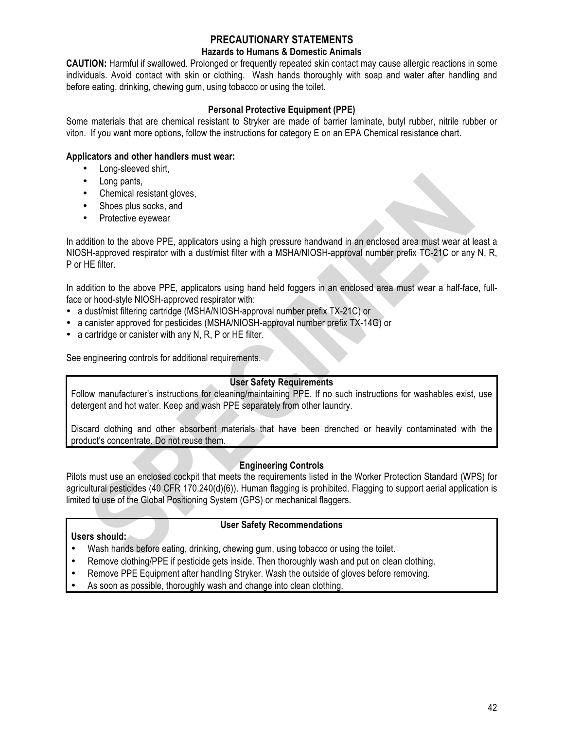#### **PRECAUTIONARY STATEMENTS**

#### **Hazards to Humans & Domestic Animals**

**CAUTION:** Harmful if swallowed. Prolonged or frequently repeated skin contact may cause allergic reactions in some individuals. Avoid contact with skin or clothing. Wash hands thoroughly with soap and water after handling and before eating, drinking, chewing gum, using tobacco or using the toilet.

#### **Personal Protective Equipment (PPE)**

Some materials that are chemical resistant to Stryker are made of barrier laminate, butyl rubber, nitrile rubber or viton. If you want more options, follow the instructions for category E on an EPA Chemical resistance chart.

#### **Applicators and other handlers must wear:**

- Long-sleeved shirt,
- Long pants,

**Users should:**

- Chemical resistant gloves,
- Shoes plus socks, and<br>• Protective evewear
- Protective eyewear

In addition to the above PPE, applicators using a high pressure handwand in an enclosed area must wear at least a NIOSH-approved respirator with a dust/mist filter with a MSHA/NIOSH-approval number prefix TC-21C or any N, R, P or HE filter.

In addition to the above PPE, applicators using hand held foggers in an enclosed area must wear a half-face, fullface or hood-style NIOSH-approved respirator with:

- a dust/mist filtering cartridge (MSHA/NIOSH-approval number prefix TX-21C) or
- a canister approved for pesticides (MSHA/NIOSH-approval number prefix TX-14G) or
- a cartridge or canister with any N, R, P or HE filter.

See engineering controls for additional requirements.

#### **User Safety Requirements**

Follow manufacturer's instructions for cleaning/maintaining PPE. If no such instructions for washables exist, use detergent and hot water. Keep and wash PPE separately from other laundry.

Discard clothing and other absorbent materials that have been drenched or heavily contaminated with the product's concentrate. Do not reuse them.

#### **Engineering Controls**

Pilots must use an enclosed cockpit that meets the requirements listed in the Worker Protection Standard (WPS) for agricultural pesticides (40 CFR 170.240(d)(6)). Human flagging is prohibited. Flagging to support aerial application is limited to use of the Global Positioning System (GPS) or mechanical flaggers.

# **User Safety Recommendations**

- Wash hands before eating, drinking, chewing gum, using tobacco or using the toilet.
- Remove clothing/PPE if pesticide gets inside. Then thoroughly wash and put on clean clothing.
- Remove PPE Equipment after handling Stryker. Wash the outside of gloves before removing.
- As soon as possible, thoroughly wash and change into clean clothing.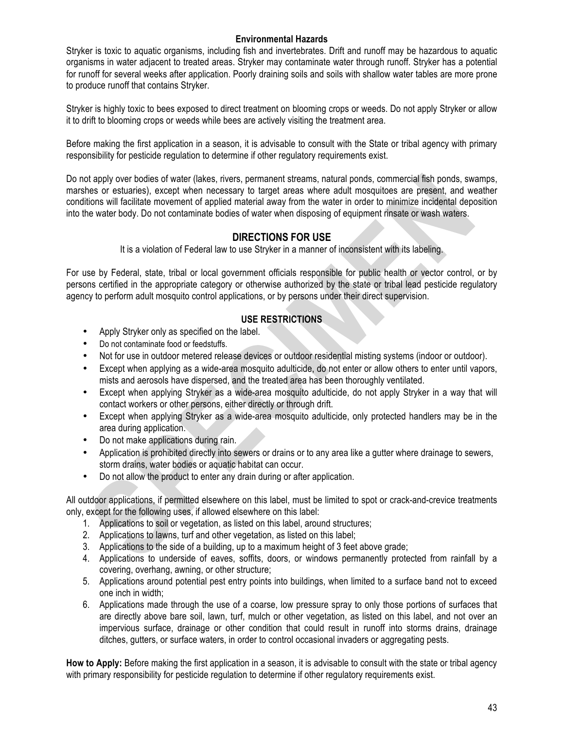#### **Environmental Hazards**

Stryker is toxic to aquatic organisms, including fish and invertebrates. Drift and runoff may be hazardous to aquatic organisms in water adjacent to treated areas. Stryker may contaminate water through runoff. Stryker has a potential for runoff for several weeks after application. Poorly draining soils and soils with shallow water tables are more prone to produce runoff that contains Stryker.

Stryker is highly toxic to bees exposed to direct treatment on blooming crops or weeds. Do not apply Stryker or allow it to drift to blooming crops or weeds while bees are actively visiting the treatment area.

Before making the first application in a season, it is advisable to consult with the State or tribal agency with primary responsibility for pesticide regulation to determine if other regulatory requirements exist.

Do not apply over bodies of water (lakes, rivers, permanent streams, natural ponds, commercial fish ponds, swamps, marshes or estuaries), except when necessary to target areas where adult mosquitoes are present, and weather conditions will facilitate movement of applied material away from the water in order to minimize incidental deposition into the water body. Do not contaminate bodies of water when disposing of equipment rinsate or wash waters.

# **DIRECTIONS FOR USE**

It is a violation of Federal law to use Stryker in a manner of inconsistent with its labeling.

For use by Federal, state, tribal or local government officials responsible for public health or vector control, or by persons certified in the appropriate category or otherwise authorized by the state or tribal lead pesticide regulatory agency to perform adult mosquito control applications, or by persons under their direct supervision.

#### **USE RESTRICTIONS**

- Apply Stryker only as specified on the label.
- Do not contaminate food or feedstuffs.
- Not for use in outdoor metered release devices or outdoor residential misting systems (indoor or outdoor).
- Except when applying as a wide-area mosquito adulticide, do not enter or allow others to enter until vapors, mists and aerosols have dispersed, and the treated area has been thoroughly ventilated.
- Except when applying Stryker as a wide-area mosquito adulticide, do not apply Stryker in a way that will contact workers or other persons, either directly or through drift.
- Except when applying Stryker as a wide-area mosquito adulticide, only protected handlers may be in the area during application.
- Do not make applications during rain.
- Application is prohibited directly into sewers or drains or to any area like a gutter where drainage to sewers, storm drains, water bodies or aquatic habitat can occur.
- Do not allow the product to enter any drain during or after application.

All outdoor applications, if permitted elsewhere on this label, must be limited to spot or crack-and-crevice treatments only, except for the following uses, if allowed elsewhere on this label:

- 1. Applications to soil or vegetation, as listed on this label, around structures;
- 2. Applications to lawns, turf and other vegetation, as listed on this label;
- 3. Applications to the side of a building, up to a maximum height of 3 feet above grade;
- 4. Applications to underside of eaves, soffits, doors, or windows permanently protected from rainfall by a covering, overhang, awning, or other structure;
- 5. Applications around potential pest entry points into buildings, when limited to a surface band not to exceed one inch in width;
- 6. Applications made through the use of a coarse, low pressure spray to only those portions of surfaces that are directly above bare soil, lawn, turf, mulch or other vegetation, as listed on this label, and not over an impervious surface, drainage or other condition that could result in runoff into storms drains, drainage ditches, gutters, or surface waters, in order to control occasional invaders or aggregating pests.

**How to Apply:** Before making the first application in a season, it is advisable to consult with the state or tribal agency with primary responsibility for pesticide regulation to determine if other regulatory requirements exist.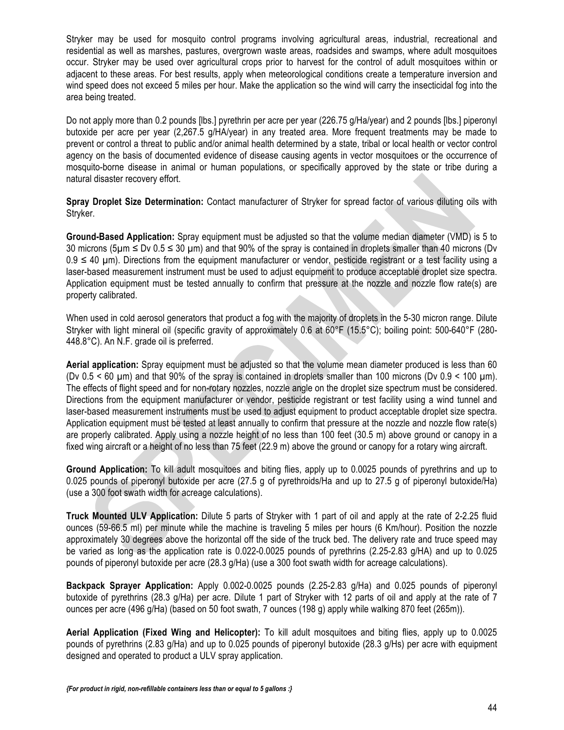Stryker may be used for mosquito control programs involving agricultural areas, industrial, recreational and residential as well as marshes, pastures, overgrown waste areas, roadsides and swamps, where adult mosquitoes occur. Stryker may be used over agricultural crops prior to harvest for the control of adult mosquitoes within or adjacent to these areas. For best results, apply when meteorological conditions create a temperature inversion and wind speed does not exceed 5 miles per hour. Make the application so the wind will carry the insecticidal fog into the area being treated.

Do not apply more than 0.2 pounds [lbs.] pyrethrin per acre per year (226.75 g/Ha/year) and 2 pounds [lbs.] piperonyl butoxide per acre per year (2,267.5 g/HA/year) in any treated area. More frequent treatments may be made to prevent or control a threat to public and/or animal health determined by a state, tribal or local health or vector control agency on the basis of documented evidence of disease causing agents in vector mosquitoes or the occurrence of mosquito-borne disease in animal or human populations, or specifically approved by the state or tribe during a natural disaster recovery effort.

**Spray Droplet Size Determination:** Contact manufacturer of Stryker for spread factor of various diluting oils with Stryker.

**Ground-Based Application:** Spray equipment must be adjusted so that the volume median diameter (VMD) is 5 to 30 microns (5µm ≤ Dv 0.5 ≤ 30 µm) and that 90% of the spray is contained in droplets smaller than 40 microns (Dv 0.9 ≤ 40 um). Directions from the equipment manufacturer or vendor, pesticide registrant or a test facility using a laser-based measurement instrument must be used to adjust equipment to produce acceptable droplet size spectra. Application equipment must be tested annually to confirm that pressure at the nozzle and nozzle flow rate(s) are property calibrated.

When used in cold aerosol generators that product a fog with the majority of droplets in the 5-30 micron range. Dilute Stryker with light mineral oil (specific gravity of approximately 0.6 at 60°F (15.5°C); boiling point: 500-640°F (280- 448.8°C). An N.F. grade oil is preferred.

**Aerial application:** Spray equipment must be adjusted so that the volume mean diameter produced is less than 60 (Dv  $0.5 < 60$  µm) and that 90% of the spray is contained in droplets smaller than 100 microns (Dv  $0.9 < 100$  µm). The effects of flight speed and for non-rotary nozzles, nozzle angle on the droplet size spectrum must be considered. Directions from the equipment manufacturer or vendor, pesticide registrant or test facility using a wind tunnel and laser-based measurement instruments must be used to adjust equipment to product acceptable droplet size spectra. Application equipment must be tested at least annually to confirm that pressure at the nozzle and nozzle flow rate(s) are properly calibrated. Apply using a nozzle height of no less than 100 feet (30.5 m) above ground or canopy in a fixed wing aircraft or a height of no less than 75 feet (22.9 m) above the ground or canopy for a rotary wing aircraft.

**Ground Application:** To kill adult mosquitoes and biting flies, apply up to 0.0025 pounds of pyrethrins and up to 0.025 pounds of piperonyl butoxide per acre (27.5 g of pyrethroids/Ha and up to 27.5 g of piperonyl butoxide/Ha) (use a 300 foot swath width for acreage calculations).

**Truck Mounted ULV Application:** Dilute 5 parts of Stryker with 1 part of oil and apply at the rate of 2-2.25 fluid ounces (59-66.5 ml) per minute while the machine is traveling 5 miles per hours (6 Km/hour). Position the nozzle approximately 30 degrees above the horizontal off the side of the truck bed. The delivery rate and truce speed may be varied as long as the application rate is 0.022-0.0025 pounds of pyrethrins (2.25-2.83 g/HA) and up to 0.025 pounds of piperonyl butoxide per acre (28.3 g/Ha) (use a 300 foot swath width for acreage calculations).

**Backpack Sprayer Application:** Apply 0.002-0.0025 pounds (2.25-2.83 g/Ha) and 0.025 pounds of piperonyl butoxide of pyrethrins (28.3 g/Ha) per acre. Dilute 1 part of Stryker with 12 parts of oil and apply at the rate of 7 ounces per acre (496 g/Ha) (based on 50 foot swath, 7 ounces (198 g) apply while walking 870 feet (265m)).

**Aerial Application (Fixed Wing and Helicopter):** To kill adult mosquitoes and biting flies, apply up to 0.0025 pounds of pyrethrins (2.83 g/Ha) and up to 0.025 pounds of piperonyl butoxide (28.3 g/Hs) per acre with equipment designed and operated to product a ULV spray application.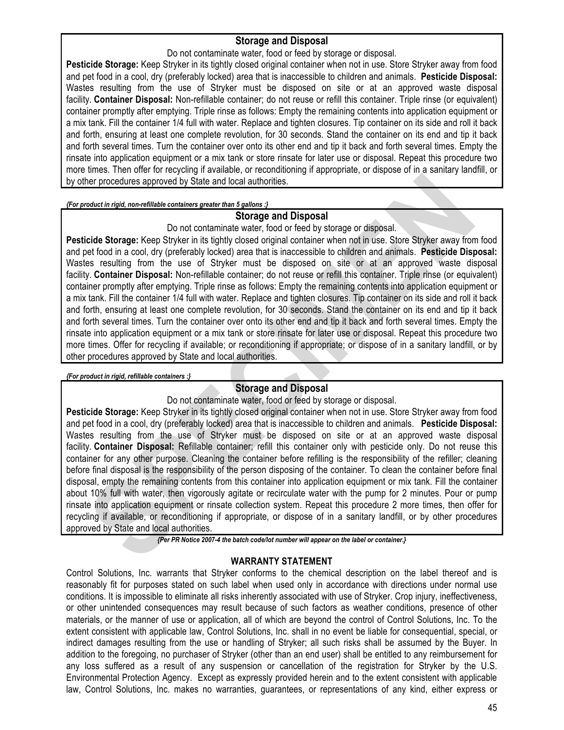#### **Storage and Disposal**

Do not contaminate water, food or feed by storage or disposal.

**Pesticide Storage:** Keep Stryker in its tightly closed original container when not in use. Store Stryker away from food and pet food in a cool, dry (preferably locked) area that is inaccessible to children and animals. **Pesticide Disposal:** Wastes resulting from the use of Stryker must be disposed on site or at an approved waste disposal facility. **Container Disposal:** Non-refillable container; do not reuse or refill this container. Triple rinse (or equivalent) container promptly after emptying. Triple rinse as follows: Empty the remaining contents into application equipment or a mix tank. Fill the container 1/4 full with water. Replace and tighten closures. Tip container on its side and roll it back and forth, ensuring at least one complete revolution, for 30 seconds. Stand the container on its end and tip it back and forth several times. Turn the container over onto its other end and tip it back and forth several times. Empty the rinsate into application equipment or a mix tank or store rinsate for later use or disposal. Repeat this procedure two more times. Then offer for recycling if available, or reconditioning if appropriate, or dispose of in a sanitary landfill, or by other procedures approved by State and local authorities.

*{For product in rigid, non-refillable containers greater than 5 gallons :}*

#### **Storage and Disposal**

Do not contaminate water, food or feed by storage or disposal.

**Pesticide Storage:** Keep Stryker in its tightly closed original container when not in use. Store Stryker away from food and pet food in a cool, dry (preferably locked) area that is inaccessible to children and animals. **Pesticide Disposal:** Wastes resulting from the use of Stryker must be disposed on site or at an approved waste disposal facility. **Container Disposal:** Non-refillable container; do not reuse or refill this container. Triple rinse (or equivalent) container promptly after emptying. Triple rinse as follows: Empty the remaining contents into application equipment or a mix tank. Fill the container 1/4 full with water. Replace and tighten closures. Tip container on its side and roll it back and forth, ensuring at least one complete revolution, for 30 seconds. Stand the container on its end and tip it back and forth several times. Turn the container over onto its other end and tip it back and forth several times. Empty the rinsate into application equipment or a mix tank or store rinsate for later use or disposal. Repeat this procedure two more times. Offer for recycling if available; or reconditioning if appropriate; or dispose of in a sanitary landfill, or by other procedures approved by State and local authorities.

*{For product in rigid, refillable containers :}*

#### **Storage and Disposal**

Do not contaminate water, food or feed by storage or disposal.

**Pesticide Storage:** Keep Stryker in its tightly closed original container when not in use. Store Stryker away from food and pet food in a cool, dry (preferably locked) area that is inaccessible to children and animals. **Pesticide Disposal:** Wastes resulting from the use of Stryker must be disposed on site or at an approved waste disposal facility. **Container Disposal:** Refillable container; refill this container only with pesticide only. Do not reuse this container for any other purpose. Cleaning the container before refilling is the responsibility of the refiller; cleaning before final disposal is the responsibility of the person disposing of the container. To clean the container before final disposal, empty the remaining contents from this container into application equipment or mix tank. Fill the container about 10% full with water, then vigorously agitate or recirculate water with the pump for 2 minutes. Pour or pump rinsate into application equipment or rinsate collection system. Repeat this procedure 2 more times, then offer for recycling if available, or reconditioning if appropriate, or dispose of in a sanitary landfill, or by other procedures approved by State and local authorities.

*{Per PR Notice 2007-4 the batch code/lot number will appear on the label or container.}*

#### **WARRANTY STATEMENT**

Control Solutions, Inc. warrants that Stryker conforms to the chemical description on the label thereof and is reasonably fit for purposes stated on such label when used only in accordance with directions under normal use conditions. It is impossible to eliminate all risks inherently associated with use of Stryker. Crop injury, ineffectiveness, or other unintended consequences may result because of such factors as weather conditions, presence of other materials, or the manner of use or application, all of which are beyond the control of Control Solutions, Inc. To the extent consistent with applicable law, Control Solutions, Inc. shall in no event be liable for consequential, special, or indirect damages resulting from the use or handling of Stryker; all such risks shall be assumed by the Buyer. In addition to the foregoing, no purchaser of Stryker (other than an end user) shall be entitled to any reimbursement for any loss suffered as a result of any suspension or cancellation of the registration for Stryker by the U.S. Environmental Protection Agency. Except as expressly provided herein and to the extent consistent with applicable law, Control Solutions, Inc. makes no warranties, guarantees, or representations of any kind, either express or